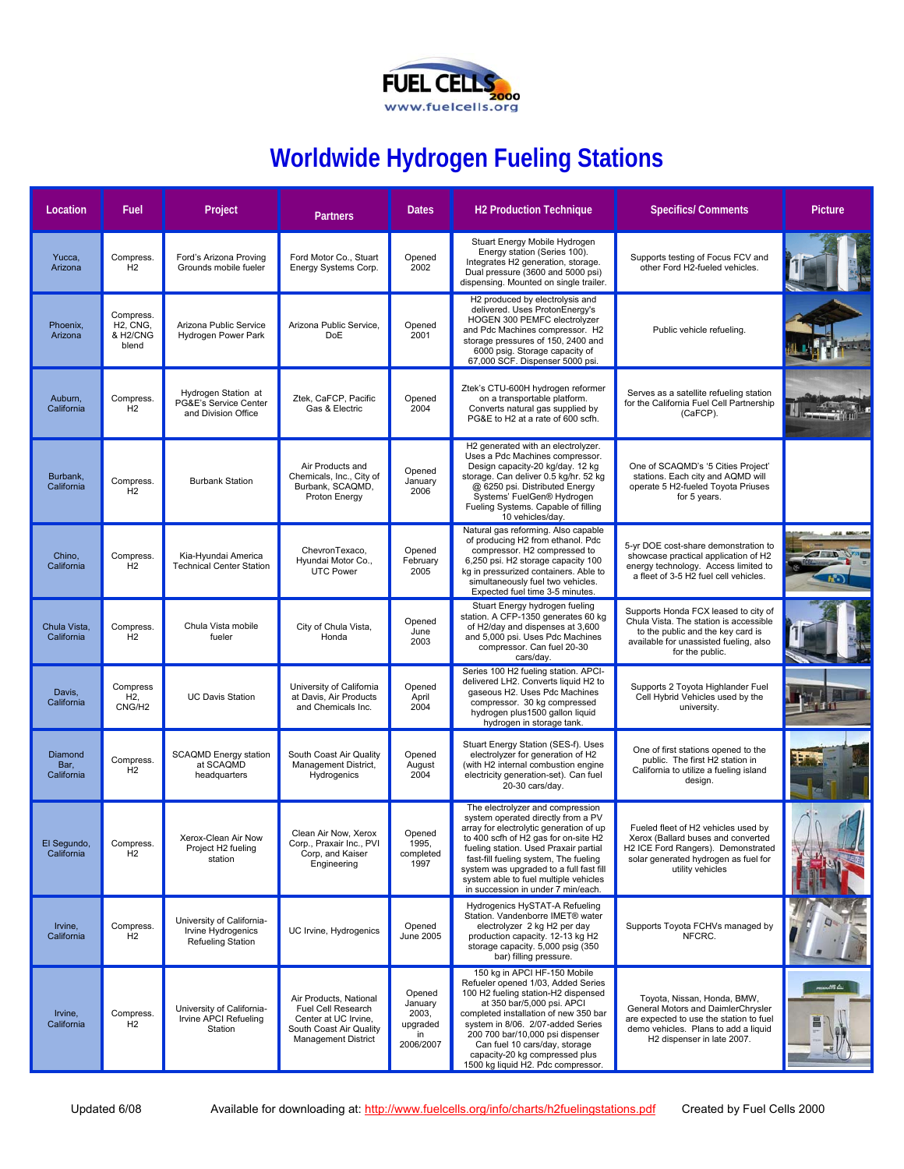

## **Worldwide Hydrogen Fueling Stations**

| Location                      | Fuel                                                                              | Project                                                              | <b>Partners</b>                                                                                                               | <b>Dates</b>                                              | <b>H2 Production Technique</b>                                                                                                                                                                                                                                                                                                                                        | <b>Specifics/Comments</b>                                                                                                                                                          | <b>Picture</b> |
|-------------------------------|-----------------------------------------------------------------------------------|----------------------------------------------------------------------|-------------------------------------------------------------------------------------------------------------------------------|-----------------------------------------------------------|-----------------------------------------------------------------------------------------------------------------------------------------------------------------------------------------------------------------------------------------------------------------------------------------------------------------------------------------------------------------------|------------------------------------------------------------------------------------------------------------------------------------------------------------------------------------|----------------|
| Yucca,<br>Arizona             | Compress.<br>H2                                                                   | Ford's Arizona Proving<br>Grounds mobile fueler                      | Ford Motor Co., Stuart<br>Energy Systems Corp.                                                                                | Opened<br>2002                                            | Stuart Energy Mobile Hydrogen<br>Energy station (Series 100).<br>Integrates H2 generation, storage.<br>Dual pressure (3600 and 5000 psi)<br>dispensing. Mounted on single trailer.                                                                                                                                                                                    | Supports testing of Focus FCV and<br>other Ford H2-fueled vehicles.                                                                                                                |                |
| Phoenix,<br>Arizona           | Compress.<br>H <sub>2</sub> , CN <sub>G</sub> ,<br>& H <sub>2</sub> /CNG<br>blend | Arizona Public Service<br>Hydrogen Power Park                        | Arizona Public Service.<br><b>DoE</b>                                                                                         | Opened<br>2001                                            | H2 produced by electrolysis and<br>delivered. Uses ProtonEnergy's<br>HOGEN 300 PEMFC electrolyzer<br>and Pdc Machines compressor. H2<br>storage pressures of 150, 2400 and<br>6000 psig. Storage capacity of<br>67,000 SCF. Dispenser 5000 psi.                                                                                                                       | Public vehicle refueling.                                                                                                                                                          |                |
| Auburn,<br>California         | Compress.<br>H2                                                                   | Hydrogen Station at<br>PG&E's Service Center<br>and Division Office  | Ztek, CaFCP, Pacific<br>Gas & Electric                                                                                        | Opened<br>2004                                            | Ztek's CTU-600H hydrogen reformer<br>on a transportable platform.<br>Converts natural gas supplied by<br>PG&E to H2 at a rate of 600 scfh.                                                                                                                                                                                                                            | Serves as a satellite refueling station<br>for the California Fuel Cell Partnership<br>(CaFCP).                                                                                    |                |
| Burbank,<br>California        | Compress.<br>H2                                                                   | <b>Burbank Station</b>                                               | Air Products and<br>Chemicals, Inc., City of<br>Burbank, SCAQMD,<br>Proton Energy                                             | Opened<br>January<br>2006                                 | H2 generated with an electrolyzer.<br>Uses a Pdc Machines compressor.<br>Design capacity-20 kg/day. 12 kg<br>storage. Can deliver 0.5 kg/hr. 52 kg<br>@ 6250 psi. Distributed Energy<br>Systems' FuelGen® Hydrogen<br>Fueling Systems. Capable of filling<br>10 vehicles/day.                                                                                         | One of SCAQMD's '5 Cities Project'<br>stations. Each city and AQMD will<br>operate 5 H2-fueled Toyota Priuses<br>for 5 years.                                                      |                |
| Chino,<br>California          | Compress.<br>H2                                                                   | Kia-Hyundai America<br><b>Technical Center Station</b>               | ChevronTexaco.<br>Hyundai Motor Co.,<br><b>UTC Power</b>                                                                      | Opened<br>February<br>2005                                | Natural gas reforming. Also capable<br>of producing H2 from ethanol. Pdc<br>compressor. H2 compressed to<br>6,250 psi. H2 storage capacity 100<br>kg in pressurized containers. Able to<br>simultaneously fuel two vehicles.<br>Expected fuel time 3-5 minutes.                                                                                                       | 5-yr DOE cost-share demonstration to<br>showcase practical application of H2<br>energy technology. Access limited to<br>a fleet of 3-5 H2 fuel cell vehicles.                      |                |
| Chula Vista,<br>California    | Compress.<br>H <sub>2</sub>                                                       | Chula Vista mobile<br>fueler                                         | City of Chula Vista,<br>Honda                                                                                                 | Opened<br>June<br>2003                                    | Stuart Energy hydrogen fueling<br>station. A CFP-1350 generates 60 kg<br>of H2/day and dispenses at 3,600<br>and 5,000 psi. Uses Pdc Machines<br>compressor. Can fuel 20-30<br>cars/day.                                                                                                                                                                              | Supports Honda FCX leased to city of<br>Chula Vista. The station is accessible<br>to the public and the key card is<br>available for unassisted fueling, also<br>for the public.   |                |
| Davis,<br>California          | Compress<br>H <sub>2</sub> ,<br>CNG/H <sub>2</sub>                                | <b>UC Davis Station</b>                                              | University of California<br>at Davis, Air Products<br>and Chemicals Inc.                                                      | Opened<br>April<br>2004                                   | Series 100 H2 fueling station. APCI-<br>delivered LH2. Converts liquid H2 to<br>gaseous H2. Uses Pdc Machines<br>compressor. 30 kg compressed<br>hydrogen plus1500 gallon liquid<br>hydrogen in storage tank.                                                                                                                                                         | Supports 2 Toyota Highlander Fuel<br>Cell Hybrid Vehicles used by the<br>university.                                                                                               |                |
| Diamond<br>Bar,<br>California | Compress.<br>H2                                                                   | <b>SCAQMD Energy station</b><br>at SCAQMD<br>headquarters            | South Coast Air Quality<br>Management District,<br>Hydrogenics                                                                | Opened<br>August<br>2004                                  | Stuart Energy Station (SES-f). Uses<br>electrolyzer for generation of H2<br>(with H2 internal combustion engine<br>electricity generation-set). Can fuel<br>20-30 cars/day.                                                                                                                                                                                           | One of first stations opened to the<br>public. The first H2 station in<br>California to utilize a fueling island<br>design.                                                        |                |
| El Segundo,<br>California     | Compress.<br>H <sub>2</sub>                                                       | Xerox-Clean Air Now<br>Project H <sub>2</sub> fueling<br>station     | Clean Air Now, Xerox<br>Corp., Praxair Inc., PVI<br>Corp, and Kaiser<br>Engineering                                           | Opened<br>1995,<br>completed<br>1997                      | The electrolyzer and compression<br>system operated directly from a PV<br>array for electrolytic generation of up<br>to 400 scfh of H2 gas for on-site H2<br>fueling station. Used Praxair partial<br>fast-fill fueling system, The fueling<br>system was upgraded to a full fast fill<br>system able to fuel multiple vehicles<br>in succession in under 7 min/each. | Fueled fleet of H2 vehicles used by<br>Xerox (Ballard buses and converted<br>H2 ICE Ford Rangers). Demonstrated<br>solar generated hydrogen as fuel for<br>utility vehicles        |                |
| Irvine,<br>California         | Compress.<br>H2                                                                   | University of California-<br>Irvine Hydrogenics<br>Refueling Station | UC Irvine, Hydrogenics                                                                                                        | Opened<br>June 2005                                       | Hydrogenics HySTAT-A Refueling<br>Station. Vandenborre IMET® water<br>electrolyzer 2 kg H2 per day<br>production capacity. 12-13 kg H2<br>storage capacity. 5,000 psig (350<br>bar) filling pressure.                                                                                                                                                                 | Supports Toyota FCHVs managed by<br>NFCRC.                                                                                                                                         |                |
| Irvine,<br>California         | Compress.<br>H2                                                                   | University of California-<br>Irvine APCI Refueling<br>Station        | Air Products, National<br>Fuel Cell Research<br>Center at UC Irvine,<br>South Coast Air Quality<br><b>Management District</b> | Opened<br>January<br>2003,<br>upgraded<br>in<br>2006/2007 | 150 kg in APCI HF-150 Mobile<br>Refueler opened 1/03, Added Series<br>100 H2 fueling station-H2 dispensed<br>at 350 bar/5,000 psi. APCI<br>completed installation of new 350 bar<br>system in 8/06. 2/07-added Series<br>200 700 bar/10,000 psi dispenser<br>Can fuel 10 cars/day, storage<br>capacity-20 kg compressed plus<br>1500 kg liquid H2. Pdc compressor.    | Toyota, Nissan, Honda, BMW,<br>General Motors and DaimlerChrysler<br>are expected to use the station to fuel<br>demo vehicles. Plans to add a liquid<br>H2 dispenser in late 2007. | 湖丘             |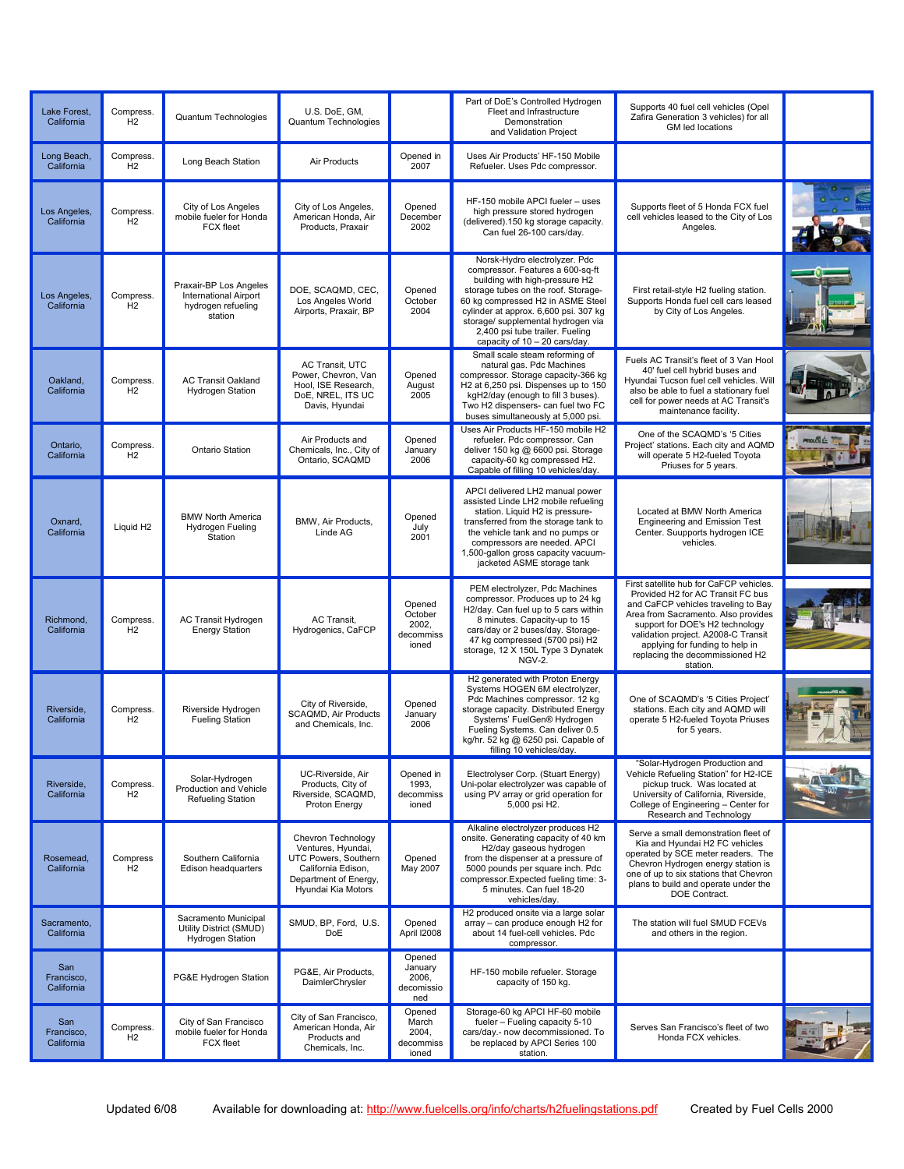| Lake Forest,<br>California      | Compress.<br>H2             | Quantum Technologies                                                                    | U.S. DoE, GM,<br>Quantum Technologies                                                                                                 |                                                  | Part of DoE's Controlled Hydrogen<br>Fleet and Infrastructure<br>Demonstration<br>and Validation Project                                                                                                                                                                                                                           | Supports 40 fuel cell vehicles (Opel<br>Zafira Generation 3 vehicles) for all<br>GM led locations                                                                                                                                                                                                                      |  |
|---------------------------------|-----------------------------|-----------------------------------------------------------------------------------------|---------------------------------------------------------------------------------------------------------------------------------------|--------------------------------------------------|------------------------------------------------------------------------------------------------------------------------------------------------------------------------------------------------------------------------------------------------------------------------------------------------------------------------------------|------------------------------------------------------------------------------------------------------------------------------------------------------------------------------------------------------------------------------------------------------------------------------------------------------------------------|--|
| Long Beach,<br>California       | Compress.<br>H2             | Long Beach Station                                                                      | Air Products                                                                                                                          | Opened in<br>2007                                | Uses Air Products' HF-150 Mobile<br>Refueler. Uses Pdc compressor.                                                                                                                                                                                                                                                                 |                                                                                                                                                                                                                                                                                                                        |  |
| Los Angeles,<br>California      | Compress.<br>H <sub>2</sub> | City of Los Angeles<br>mobile fueler for Honda<br><b>FCX fleet</b>                      | City of Los Angeles,<br>American Honda, Air<br>Products, Praxair                                                                      | Opened<br>December<br>2002                       | HF-150 mobile APCI fueler - uses<br>high pressure stored hydrogen<br>(delivered).150 kg storage capacity.<br>Can fuel 26-100 cars/day.                                                                                                                                                                                             | Supports fleet of 5 Honda FCX fuel<br>cell vehicles leased to the City of Los<br>Angeles.                                                                                                                                                                                                                              |  |
| Los Angeles,<br>California      | Compress.<br>H <sub>2</sub> | Praxair-BP Los Angeles<br><b>International Airport</b><br>hydrogen refueling<br>station | DOE, SCAQMD, CEC,<br>Los Angeles World<br>Airports, Praxair, BP                                                                       | Opened<br>October<br>2004                        | Norsk-Hydro electrolyzer. Pdc<br>compressor. Features a 600-sq-ft<br>building with high-pressure H2<br>storage tubes on the roof. Storage-<br>60 kg compressed H2 in ASME Steel<br>cylinder at approx. 6,600 psi. 307 kg<br>storage/ supplemental hydrogen via<br>2,400 psi tube trailer. Fueling<br>capacity of 10 - 20 cars/day. | First retail-style H2 fueling station.<br>Supports Honda fuel cell cars leased<br>by City of Los Angeles.                                                                                                                                                                                                              |  |
| Oakland,<br>California          | Compress.<br>H <sub>2</sub> | <b>AC Transit Oakland</b><br><b>Hydrogen Station</b>                                    | AC Transit, UTC<br>Power, Chevron, Van<br>Hool, ISE Research,<br>DoE, NREL, ITS UC<br>Davis, Hyundai                                  | Opened<br>August<br>2005                         | Small scale steam reforming of<br>natural gas. Pdc Machines<br>compressor. Storage capacity-366 kg<br>H <sub>2</sub> at 6,250 psi. Dispenses up to 150<br>kgH2/day (enough to fill 3 buses).<br>Two H2 dispensers- can fuel two FC<br>buses simultaneously at 5,000 psi.                                                           | Fuels AC Transit's fleet of 3 Van Hool<br>40' fuel cell hybrid buses and<br>Hyundai Tucson fuel cell vehicles. Will<br>also be able to fuel a stationary fuel<br>cell for power needs at AC Transit's<br>maintenance facility.                                                                                         |  |
| Ontario,<br>California          | Compress.<br>H <sub>2</sub> | Ontario Station                                                                         | Air Products and<br>Chemicals, Inc., City of<br>Ontario, SCAQMD                                                                       | Opened<br>January<br>2006                        | Uses Air Products HF-150 mobile H2<br>refueler. Pdc compressor. Can<br>deliver 150 kg @ 6600 psi. Storage<br>capacity-60 kg compressed H2.<br>Capable of filling 10 vehicles/day.                                                                                                                                                  | One of the SCAQMD's '5 Cities<br>Project' stations. Each city and AQMD<br>will operate 5 H2-fueled Toyota<br>Priuses for 5 years.                                                                                                                                                                                      |  |
| Oxnard,<br>California           | Liquid H <sub>2</sub>       | <b>BMW North America</b><br>Hydrogen Fueling<br>Station                                 | BMW, Air Products,<br>Linde AG                                                                                                        | Opened<br>July<br>2001                           | APCI delivered LH2 manual power<br>assisted Linde LH2 mobile refueling<br>station. Liquid H2 is pressure-<br>transferred from the storage tank to<br>the vehicle tank and no pumps or<br>compressors are needed. APCI<br>1,500-gallon gross capacity vacuum-<br>jacketed ASME storage tank                                         | Located at BMW North America<br><b>Engineering and Emission Test</b><br>Center. Suupports hydrogen ICE<br>vehicles.                                                                                                                                                                                                    |  |
| Richmond,<br>California         | Compress.<br>H <sub>2</sub> | AC Transit Hydrogen<br><b>Energy Station</b>                                            | AC Transit,<br>Hydrogenics, CaFCP                                                                                                     | Opened<br>October<br>2002.<br>decommiss<br>ioned | PEM electrolyzer, Pdc Machines<br>compressor. Produces up to 24 kg<br>H2/day. Can fuel up to 5 cars within<br>8 minutes. Capacity-up to 15<br>cars/day or 2 buses/day. Storage-<br>47 kg compressed (5700 psi) H2<br>storage, 12 X 150L Type 3 Dynatek<br>NGV-2.                                                                   | First satellite hub for CaFCP vehicles.<br>Provided H2 for AC Transit FC bus<br>and CaFCP vehicles traveling to Bay<br>Area from Sacramento. Also provides<br>support for DOE's H2 technology<br>validation project. A2008-C Transit<br>applying for funding to help in<br>replacing the decommissioned H2<br>station. |  |
| Riverside.<br>California        | Compress.<br>H2             | Riverside Hydrogen<br><b>Fueling Station</b>                                            | City of Riverside,<br>SCAQMD, Air Products<br>and Chemicals, Inc.                                                                     | Opened<br>January<br>2006                        | H2 generated with Proton Energy<br>Systems HOGEN 6M electrolyzer,<br>Pdc Machines compressor. 12 kg<br>storage capacity. Distributed Energy<br>Systems' FuelGen® Hydrogen<br>Fueling Systems. Can deliver 0.5<br>kg/hr. 52 kg @ 6250 psi. Capable of<br>filling 10 vehicles/day.                                                   | One of SCAQMD's '5 Cities Project'<br>stations. Each city and AQMD will<br>operate 5 H2-fueled Toyota Priuses<br>for 5 years.                                                                                                                                                                                          |  |
| Riverside,<br>California        | Compress.<br>H2             | Solar-Hydrogen<br>Production and Vehicle<br>Refueling Station                           | UC-Riverside, Air<br>Products, City of<br>Riverside, SCAQMD,<br>Proton Energy                                                         | Opened in<br>1993,<br>decommiss<br>ioned         | Electrolyser Corp. (Stuart Energy)<br>Uni-polar electrolyzer was capable of<br>using PV array or grid operation for<br>5,000 psi H2.                                                                                                                                                                                               | "Solar-Hydrogen Production and<br>Vehicle Refueling Station" for H2-ICE<br>pickup truck. Was located at<br>University of California, Riverside,<br>College of Engineering - Center for<br>Research and Technology                                                                                                      |  |
| Rosemead,<br>California         | Compress<br>H2              | Southern California<br>Edison headquarters                                              | Chevron Technology<br>Ventures, Hyundai,<br>UTC Powers, Southern<br>California Edison.<br>Department of Energy,<br>Hyundai Kia Motors | Opened<br>May 2007                               | Alkaline electrolyzer produces H2<br>onsite. Generating capacity of 40 km<br>H2/day gaseous hydrogen<br>from the dispenser at a pressure of<br>5000 pounds per square inch. Pdc<br>compressor. Expected fueling time: 3-<br>5 minutes. Can fuel 18-20<br>vehicles/day.                                                             | Serve a small demonstration fleet of<br>Kia and Hyundai H2 FC vehicles<br>operated by SCE meter readers. The<br>Chevron Hydrogen energy station is<br>one of up to six stations that Chevron<br>plans to build and operate under the<br>DOE Contract.                                                                  |  |
| Sacramento,<br>California       |                             | Sacramento Municipal<br>Utility District (SMUD)<br>Hydrogen Station                     | SMUD, BP, Ford, U.S.<br>DoE                                                                                                           | Opened<br>April I2008                            | H2 produced onsite via a large solar<br>array - can produce enough H2 for<br>about 14 fuel-cell vehicles. Pdc<br>compressor.                                                                                                                                                                                                       | The station will fuel SMUD FCEVs<br>and others in the region.                                                                                                                                                                                                                                                          |  |
| San<br>Francisco,<br>California |                             | PG&E Hydrogen Station                                                                   | PG&E, Air Products,<br>DaimlerChrysler                                                                                                | Opened<br>January<br>2006,<br>decomissio<br>ned  | HF-150 mobile refueler. Storage<br>capacity of 150 kg.                                                                                                                                                                                                                                                                             |                                                                                                                                                                                                                                                                                                                        |  |
| San<br>Francisco,<br>California | Compress.<br>H2             | City of San Francisco<br>mobile fueler for Honda<br>FCX fleet                           | City of San Francisco,<br>American Honda, Air<br>Products and<br>Chemicals, Inc.                                                      | Opened<br>March<br>2004,<br>decommiss<br>ioned   | Storage-60 kg APCI HF-60 mobile<br>fueler - Fueling capacity 5-10<br>cars/day.- now decommissioned. To<br>be replaced by APCI Series 100<br>station.                                                                                                                                                                               | Serves San Francisco's fleet of two<br>Honda FCX vehicles.                                                                                                                                                                                                                                                             |  |
|                                 |                             |                                                                                         |                                                                                                                                       |                                                  |                                                                                                                                                                                                                                                                                                                                    |                                                                                                                                                                                                                                                                                                                        |  |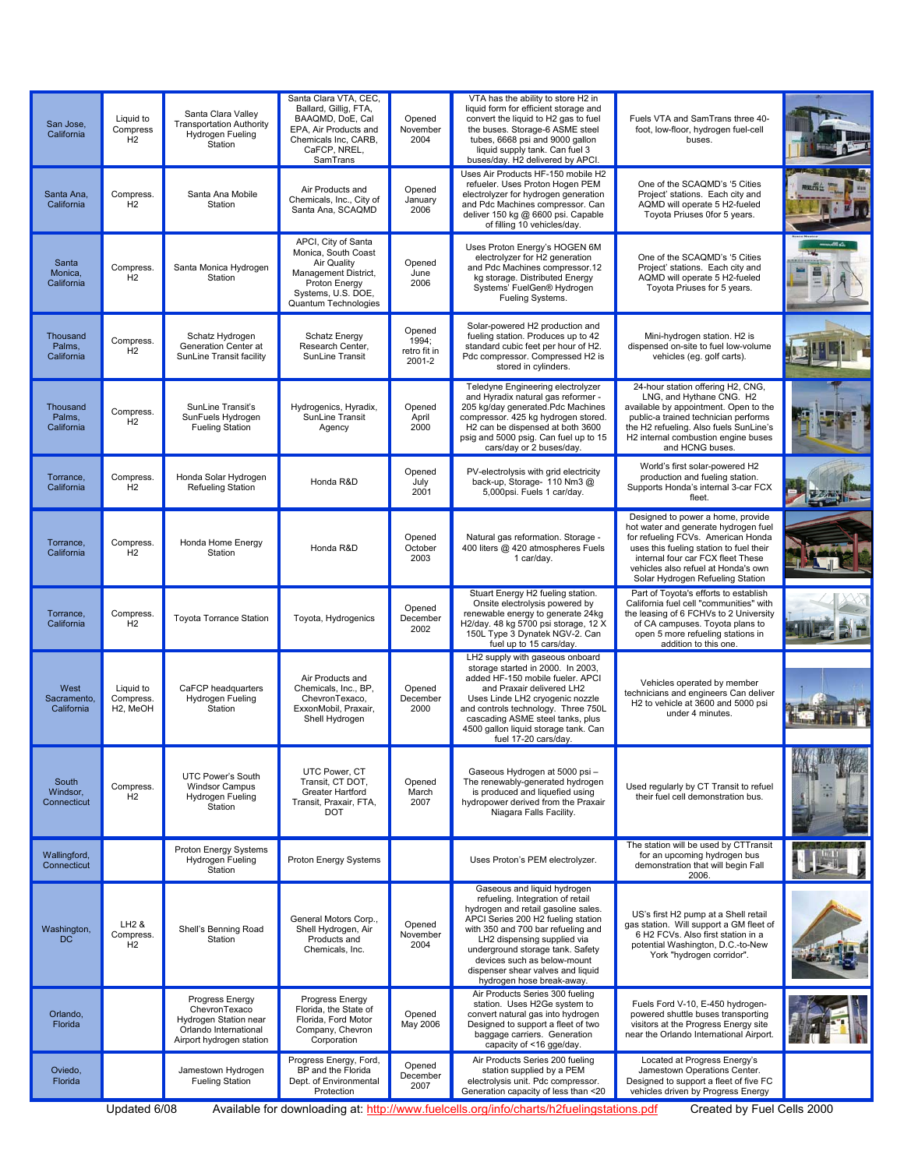| San Jose,<br>California           | Liquid to<br>Compress<br>H <sub>2</sub>         | Santa Clara Valley<br><b>Transportation Authority</b><br>Hydrogen Fueling<br>Station                           | Santa Clara VTA, CEC,<br>Ballard, Gillig, FTA,<br>BAAQMD, DoE, Cal<br>EPA, Air Products and<br>Chemicals Inc, CARB,<br>CaFCP, NREL,<br>SamTrans  | Opened<br>November<br>2004                | VTA has the ability to store H2 in<br>liquid form for efficient storage and<br>convert the liquid to H2 gas to fuel<br>the buses. Storage-6 ASME steel<br>tubes, 6668 psi and 9000 gallon<br>liquid supply tank. Can fuel 3<br>buses/day. H2 delivered by APCI.                                                                                        | Fuels VTA and SamTrans three 40-<br>foot, low-floor, hydrogen fuel-cell<br>buses.                                                                                                                                                                                          |  |
|-----------------------------------|-------------------------------------------------|----------------------------------------------------------------------------------------------------------------|--------------------------------------------------------------------------------------------------------------------------------------------------|-------------------------------------------|--------------------------------------------------------------------------------------------------------------------------------------------------------------------------------------------------------------------------------------------------------------------------------------------------------------------------------------------------------|----------------------------------------------------------------------------------------------------------------------------------------------------------------------------------------------------------------------------------------------------------------------------|--|
| Santa Ana,<br>California          | Compress.<br>H <sub>2</sub>                     | Santa Ana Mobile<br>Station                                                                                    | Air Products and<br>Chemicals, Inc., City of<br>Santa Ana, SCAQMD                                                                                | Opened<br>January<br>2006                 | Uses Air Products HF-150 mobile H2<br>refueler. Uses Proton Hogen PEM<br>electrolyzer for hydrogen generation<br>and Pdc Machines compressor. Can<br>deliver 150 kg @ 6600 psi. Capable<br>of filling 10 vehicles/day.                                                                                                                                 | One of the SCAQMD's '5 Cities<br>Project' stations. Each city and<br>AQMD will operate 5 H2-fueled<br>Toyota Priuses 0for 5 years.                                                                                                                                         |  |
| Santa<br>Monica,<br>California    | Compress.<br>H <sub>2</sub>                     | Santa Monica Hydrogen<br>Station                                                                               | APCI, City of Santa<br>Monica, South Coast<br>Air Quality<br>Management District,<br>Proton Energy<br>Systems, U.S. DOE,<br>Quantum Technologies | Opened<br>June<br>2006                    | Uses Proton Energy's HOGEN 6M<br>electrolyzer for H2 generation<br>and Pdc Machines compressor.12<br>kg storage. Distributed Energy<br>Systems' FuelGen® Hydrogen<br>Fueling Systems.                                                                                                                                                                  | One of the SCAQMD's '5 Cities<br>Project' stations. Each city and<br>AQMD will operate 5 H2-fueled<br>Toyota Priuses for 5 years.                                                                                                                                          |  |
| Thousand<br>Palms,<br>California  | Compress.<br>H <sub>2</sub>                     | Schatz Hydrogen<br>Generation Center at<br>SunLine Transit facility                                            | <b>Schatz Energy</b><br>Research Center,<br>SunLine Transit                                                                                      | Opened<br>1994;<br>retro fit in<br>2001-2 | Solar-powered H2 production and<br>fueling station. Produces up to 42<br>standard cubic feet per hour of H2.<br>Pdc compressor. Compressed H2 is<br>stored in cylinders.                                                                                                                                                                               | Mini-hydrogen station. H2 is<br>dispensed on-site to fuel low-volume<br>vehicles (eg. golf carts).                                                                                                                                                                         |  |
| Thousand<br>Palms,<br>California  | Compress.<br>H <sub>2</sub>                     | SunLine Transit's<br>SunFuels Hydrogen<br><b>Fueling Station</b>                                               | Hydrogenics, Hyradix,<br>SunLine Transit<br>Agency                                                                                               | Opened<br>April<br>2000                   | Teledyne Engineering electrolyzer<br>and Hyradix natural gas reformer -<br>205 kg/day generated.Pdc Machines<br>compressor. 425 kg hydrogen stored.<br>H2 can be dispensed at both 3600<br>psig and 5000 psig. Can fuel up to 15<br>cars/day or 2 buses/day.                                                                                           | 24-hour station offering H2, CNG,<br>LNG, and Hythane CNG. H2<br>available by appointment. Open to the<br>public-a trained technician performs<br>the H2 refueling. Also fuels SunLine's<br>H <sub>2</sub> internal combustion engine buses<br>and HCNG buses.             |  |
| Torrance,<br>California           | Compress.<br>H2                                 | Honda Solar Hydrogen<br>Refueling Station                                                                      | Honda R&D                                                                                                                                        | Opened<br>July<br>2001                    | PV-electrolysis with grid electricity<br>back-up, Storage- 110 Nm3 @<br>5,000psi. Fuels 1 car/day.                                                                                                                                                                                                                                                     | World's first solar-powered H2<br>production and fueling station.<br>Supports Honda's internal 3-car FCX<br>fleet.                                                                                                                                                         |  |
| Torrance,<br>California           | Compress.<br>H2                                 | Honda Home Energy<br>Station                                                                                   | Honda R&D                                                                                                                                        | Opened<br>October<br>2003                 | Natural gas reformation. Storage -<br>400 liters @ 420 atmospheres Fuels<br>1 car/day.                                                                                                                                                                                                                                                                 | Designed to power a home, provide<br>hot water and generate hydrogen fuel<br>for refueling FCVs. American Honda<br>uses this fueling station to fuel their<br>internal four car FCX fleet These<br>vehicles also refuel at Honda's own<br>Solar Hydrogen Refueling Station |  |
| Torrance,<br>California           | Compress.<br>H2                                 | <b>Toyota Torrance Station</b>                                                                                 | Toyota, Hydrogenics                                                                                                                              | Opened<br>December<br>2002                | Stuart Energy H2 fueling station.<br>Onsite electrolysis powered by<br>renewable energy to generate 24kg<br>H2/day. 48 kg 5700 psi storage, 12 X<br>150L Type 3 Dynatek NGV-2. Can<br>fuel up to 15 cars/day.                                                                                                                                          | Part of Toyota's efforts to establish<br>California fuel cell "communities" with<br>the leasing of 6 FCHVs to 2 University<br>of CA campuses. Toyota plans to<br>open 5 more refueling stations in<br>addition to this one.                                                |  |
| West<br>Sacramento,<br>California | Liquid to<br>Compress.<br>H <sub>2</sub> , MeOH | CaFCP headquarters<br>Hydrogen Fueling<br>Station                                                              | Air Products and<br>Chemicals, Inc., BP,<br>ChevronTexaco.<br>ExxonMobil, Praxair,<br>Shell Hydrogen                                             | Opened<br>December<br>2000                | LH2 supply with gaseous onboard<br>storage started in 2000. In 2003,<br>added HF-150 mobile fueler. APCI<br>and Praxair delivered LH2<br>Uses Linde LH2 cryogenic nozzle<br>and controls technology. Three 750L<br>cascading ASME steel tanks, plus<br>4500 gallon liquid storage tank. Can<br>fuel 17-20 cars/day.                                    | Vehicles operated by member<br>technicians and engineers Can deliver<br>H2 to vehicle at 3600 and 5000 psi<br>under 4 minutes.                                                                                                                                             |  |
| South<br>Windsor,<br>Connecticut  | Compress.<br>H2                                 | UTC Power's South<br><b>Windsor Campus</b><br>Hydrogen Fueling<br>Station                                      | UTC Power, CT<br>Transit, CT DOT,<br>Greater Hartford<br>Transit, Praxair, FTA,<br><b>DOT</b>                                                    | Opened<br>March<br>2007                   | Gaseous Hydrogen at 5000 psi-<br>The renewably-generated hydrogen<br>is produced and liquefied using<br>hydropower derived from the Praxair<br>Niagara Falls Facility.                                                                                                                                                                                 | Used regularly by CT Transit to refuel<br>their fuel cell demonstration bus.                                                                                                                                                                                               |  |
| Wallingford,<br>Connecticut       |                                                 | Proton Energy Systems<br>Hydrogen Fueling<br>Station                                                           | Proton Energy Systems                                                                                                                            |                                           | Uses Proton's PEM electrolyzer.                                                                                                                                                                                                                                                                                                                        | The station will be used by CTTransit<br>for an upcoming hydrogen bus<br>demonstration that will begin Fall<br>2006.                                                                                                                                                       |  |
| Washington,<br>DC                 | LH <sub>2</sub> &<br>Compress.<br>H2            | Shell's Benning Road<br>Station                                                                                | General Motors Corp.,<br>Shell Hydrogen, Air<br>Products and<br>Chemicals, Inc.                                                                  | Opened<br>November<br>2004                | Gaseous and liquid hydrogen<br>refueling. Integration of retail<br>hydrogen and retail gasoline sales.<br>APCI Series 200 H2 fueling station<br>with 350 and 700 bar refueling and<br>LH2 dispensing supplied via<br>underground storage tank. Safety<br>devices such as below-mount<br>dispenser shear valves and liquid<br>hydrogen hose break-away. | US's first H2 pump at a Shell retail<br>gas station. Will support a GM fleet of<br>6 H2 FCVs. Also first station in a<br>potential Washington, D.C.-to-New<br>York "hydrogen corridor".                                                                                    |  |
| Orlando,<br>Florida               |                                                 | Progress Energy<br>ChevronTexaco<br>Hydrogen Station near<br>Orlando International<br>Airport hydrogen station | Progress Energy<br>Florida, the State of<br>Florida, Ford Motor<br>Company, Chevron<br>Corporation                                               | Opened<br>May 2006                        | Air Products Series 300 fueling<br>station. Uses H2Ge system to<br>convert natural gas into hydrogen<br>Designed to support a fleet of two<br>baggage carriers. Generation<br>capacity of <16 gge/day.                                                                                                                                                 | Fuels Ford V-10, E-450 hydrogen-<br>powered shuttle buses transporting<br>visitors at the Progress Energy site<br>near the Orlando International Airport.                                                                                                                  |  |
| Oviedo,<br>Florida                |                                                 | Jamestown Hydrogen<br><b>Fueling Station</b>                                                                   | Progress Energy, Ford,<br>BP and the Florida<br>Dept. of Environmental<br>Protection                                                             | Opened<br>December<br>2007                | Air Products Series 200 fueling<br>station supplied by a PEM<br>electrolysis unit. Pdc compressor.<br>Generation capacity of less than <20                                                                                                                                                                                                             | Located at Progress Energy's<br>Jamestown Operations Center.<br>Designed to support a fleet of five FC<br>vehicles driven by Progress Energy                                                                                                                               |  |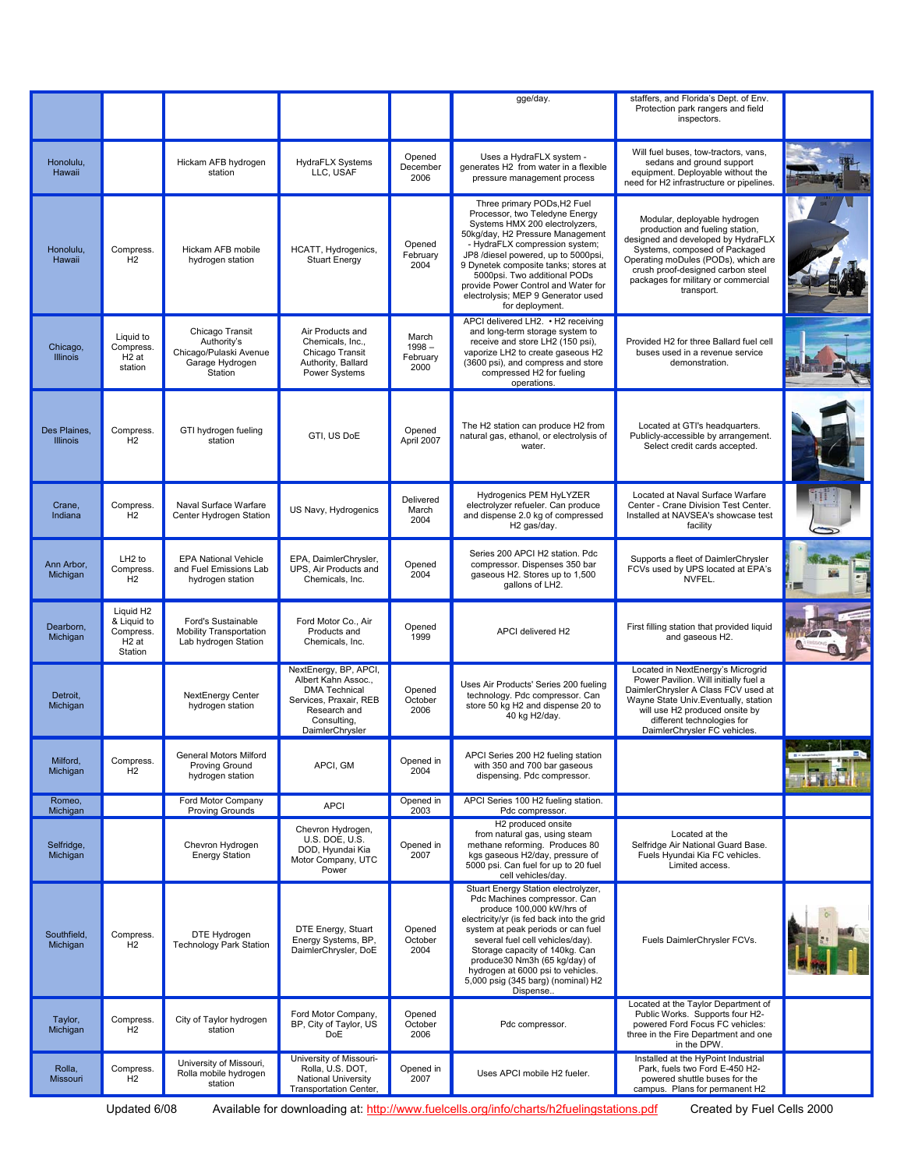|                                 |                                                                                   |                                                                                        |                                                                                                                                                  |                                       | gge/day.                                                                                                                                                                                                                                                                                                                                                                             | staffers, and Florida's Dept. of Env.<br>Protection park rangers and field<br>inspectors.                                                                                                                                                                               |                     |
|---------------------------------|-----------------------------------------------------------------------------------|----------------------------------------------------------------------------------------|--------------------------------------------------------------------------------------------------------------------------------------------------|---------------------------------------|--------------------------------------------------------------------------------------------------------------------------------------------------------------------------------------------------------------------------------------------------------------------------------------------------------------------------------------------------------------------------------------|-------------------------------------------------------------------------------------------------------------------------------------------------------------------------------------------------------------------------------------------------------------------------|---------------------|
| Honolulu,<br>Hawaii             |                                                                                   | Hickam AFB hydrogen<br>station                                                         | <b>HydraFLX Systems</b><br>LLC, USAF                                                                                                             | Opened<br>December<br>2006            | Uses a HydraFLX system -<br>generates H2 from water in a flexible<br>pressure management process                                                                                                                                                                                                                                                                                     | Will fuel buses, tow-tractors, vans,<br>sedans and ground support<br>equipment. Deployable without the<br>need for H2 infrastructure or pipelines.                                                                                                                      |                     |
| Honolulu,<br>Hawaii             | Compress.<br>H <sub>2</sub>                                                       | Hickam AFB mobile<br>hydrogen station                                                  | HCATT, Hydrogenics,<br><b>Stuart Energy</b>                                                                                                      | Opened<br>February<br>2004            | Three primary PODs, H2 Fuel<br>Processor, two Teledyne Energy<br>Systems HMX 200 electrolyzers,<br>50kg/day, H2 Pressure Management<br>- HydraFLX compression system;<br>JP8 /diesel powered, up to 5000psi,<br>9 Dynetek composite tanks; stores at<br>5000psi. Two additional PODs<br>provide Power Control and Water for<br>electrolysis; MEP 9 Generator used<br>for deployment. | Modular, deployable hydrogen<br>production and fueling station,<br>designed and developed by HydraFLX<br>Systems, composed of Packaged<br>Operating moDules (PODs), which are<br>crush proof-designed carbon steel<br>packages for military or commercial<br>transport. |                     |
| Chicago,<br><b>Illinois</b>     | Liquid to<br>Compress.<br>H <sub>2</sub> at<br>station                            | Chicago Transit<br>Authority's<br>Chicago/Pulaski Avenue<br>Garage Hydrogen<br>Station | Air Products and<br>Chemicals, Inc.,<br>Chicago Transit<br>Authority, Ballard<br>Power Systems                                                   | March<br>$1998 -$<br>February<br>2000 | APCI delivered LH2. • H2 receiving<br>and long-term storage system to<br>receive and store LH2 (150 psi),<br>vaporize LH2 to create gaseous H2<br>(3600 psi), and compress and store<br>compressed H2 for fueling<br>operations.                                                                                                                                                     | Provided H2 for three Ballard fuel cell<br>buses used in a revenue service<br>demonstration.                                                                                                                                                                            |                     |
| Des Plaines.<br><b>Illinois</b> | Compress.<br>H2                                                                   | GTI hydrogen fueling<br>station                                                        | GTI, US DoE                                                                                                                                      | Opened<br>April 2007                  | The H2 station can produce H2 from<br>natural gas, ethanol, or electrolysis of<br>water.                                                                                                                                                                                                                                                                                             | Located at GTI's headquarters.<br>Publicly-accessible by arrangement.<br>Select credit cards accepted.                                                                                                                                                                  |                     |
| Crane,<br>Indiana               | Compress.<br>H2                                                                   | Naval Surface Warfare<br>Center Hydrogen Station                                       | US Navy, Hydrogenics                                                                                                                             | Delivered<br>March<br>2004            | Hydrogenics PEM HyLYZER<br>electrolyzer refueler. Can produce<br>and dispense 2.0 kg of compressed<br>H2 gas/day.                                                                                                                                                                                                                                                                    | Located at Naval Surface Warfare<br>Center - Crane Division Test Center.<br>Installed at NAVSEA's showcase test<br>facility                                                                                                                                             |                     |
| Ann Arbor,<br>Michigan          | LH <sub>2</sub> to<br>Compress.<br>H2                                             | <b>EPA National Vehicle</b><br>and Fuel Emissions Lab<br>hydrogen station              | EPA, DaimlerChrysler,<br>UPS, Air Products and<br>Chemicals, Inc.                                                                                | Opened<br>2004                        | Series 200 APCI H2 station. Pdc<br>compressor. Dispenses 350 bar<br>gaseous H2. Stores up to 1,500<br>gallons of LH2.                                                                                                                                                                                                                                                                | Supports a fleet of DaimlerChrysler<br>FCVs used by UPS located at EPA's<br>NVFEL.                                                                                                                                                                                      |                     |
| Dearborn,<br>Michigan           | Liquid H <sub>2</sub><br>& Liquid to<br>Compress.<br>H <sub>2</sub> at<br>Station | Ford's Sustainable<br><b>Mobility Transportation</b><br>Lab hydrogen Station           | Ford Motor Co., Air<br>Products and<br>Chemicals, Inc.                                                                                           | Opened<br>1999                        | APCI delivered H2                                                                                                                                                                                                                                                                                                                                                                    | First filling station that provided liquid<br>and gaseous H2.                                                                                                                                                                                                           |                     |
| Detroit,<br>Michigan            |                                                                                   | NextEnergy Center<br>hydrogen station                                                  | NextEnergy, BP, APCI,<br>Albert Kahn Assoc.,<br><b>DMA Technical</b><br>Services, Praxair, REB<br>Research and<br>Consulting,<br>DaimlerChrysler | Opened<br>October<br>2006             | Uses Air Products' Series 200 fueling<br>technology. Pdc compressor. Can<br>store 50 kg H2 and dispense 20 to<br>40 kg H2/day.                                                                                                                                                                                                                                                       | Located in NextEnergy's Microgrid<br>Power Pavilion. Will initially fuel a<br>DaimlerChrysler A Class FCV used at<br>Wayne State Univ. Eventually, station<br>will use H2 produced onsite by<br>different technologies for<br>DaimlerChrysler FC vehicles.              |                     |
| Milford,<br>Michigan            | Compress.<br>H <sub>2</sub>                                                       | General Motors Milford<br>Proving Ground<br>hydrogen station                           | APCI, GM                                                                                                                                         | Opened in<br>2004                     | APCI Series 200 H2 fueling station<br>with 350 and 700 bar gaseous<br>dispensing. Pdc compressor.                                                                                                                                                                                                                                                                                    |                                                                                                                                                                                                                                                                         | $\cdots$ $\uparrow$ |
| Romeo,<br>Michigan              |                                                                                   | Ford Motor Company<br>Proving Grounds                                                  | <b>APCI</b>                                                                                                                                      | Opened in<br>2003                     | APCI Series 100 H2 fueling station.<br>Pdc compressor.                                                                                                                                                                                                                                                                                                                               |                                                                                                                                                                                                                                                                         |                     |
| Selfridge,<br>Michigan          |                                                                                   | Chevron Hydrogen<br><b>Energy Station</b>                                              | Chevron Hydrogen,<br><b>U.S. DOE, U.S.</b><br>DOD, Hyundai Kia<br>Motor Company, UTC<br>Power                                                    | Opened in<br>2007                     | H <sub>2</sub> produced onsite<br>from natural gas, using steam<br>methane reforming. Produces 80<br>kgs gaseous H2/day, pressure of<br>5000 psi. Can fuel for up to 20 fuel<br>cell vehicles/day.                                                                                                                                                                                   | Located at the<br>Selfridge Air National Guard Base.<br>Fuels Hyundai Kia FC vehicles.<br>Limited access.                                                                                                                                                               |                     |
| Southfield,<br>Michigan         | Compress.<br>H <sub>2</sub>                                                       | DTE Hydrogen<br><b>Technology Park Station</b>                                         | DTE Energy, Stuart<br>Energy Systems, BP,<br>DaimlerChrysler, DoE                                                                                | Opened<br>October<br>2004             | Stuart Energy Station electrolyzer,<br>Pdc Machines compressor. Can<br>produce 100,000 kW/hrs of<br>electricity/yr (is fed back into the grid<br>system at peak periods or can fuel<br>several fuel cell vehicles/day).<br>Storage capacity of 140kg. Can<br>produce30 Nm3h (65 kg/day) of<br>hydrogen at 6000 psi to vehicles.<br>5,000 psig (345 barg) (nominal) H2<br>Dispense    | Fuels DaimlerChrysler FCVs.                                                                                                                                                                                                                                             |                     |
| Taylor,<br>Michigan             | Compress.<br>H2                                                                   | City of Taylor hydrogen<br>station                                                     | Ford Motor Company,<br>BP, City of Taylor, US<br>DoE                                                                                             | Opened<br>October<br>2006             | Pdc compressor.                                                                                                                                                                                                                                                                                                                                                                      | Located at the Taylor Department of<br>Public Works. Supports four H2-<br>powered Ford Focus FC vehicles:<br>three in the Fire Department and one<br>in the DPW.                                                                                                        |                     |
| Rolla,<br><b>Missouri</b>       | Compress.<br>H2                                                                   | University of Missouri,<br>Rolla mobile hydrogen<br>station                            | University of Missouri-<br>Rolla, U.S. DOT,<br><b>National University</b><br>Transportation Center,                                              | Opened in<br>2007                     | Uses APCI mobile H2 fueler.                                                                                                                                                                                                                                                                                                                                                          | Installed at the HyPoint Industrial<br>Park, fuels two Ford E-450 H2-<br>powered shuttle buses for the<br>campus. Plans for permanent H2                                                                                                                                |                     |
|                                 |                                                                                   |                                                                                        |                                                                                                                                                  |                                       |                                                                                                                                                                                                                                                                                                                                                                                      |                                                                                                                                                                                                                                                                         |                     |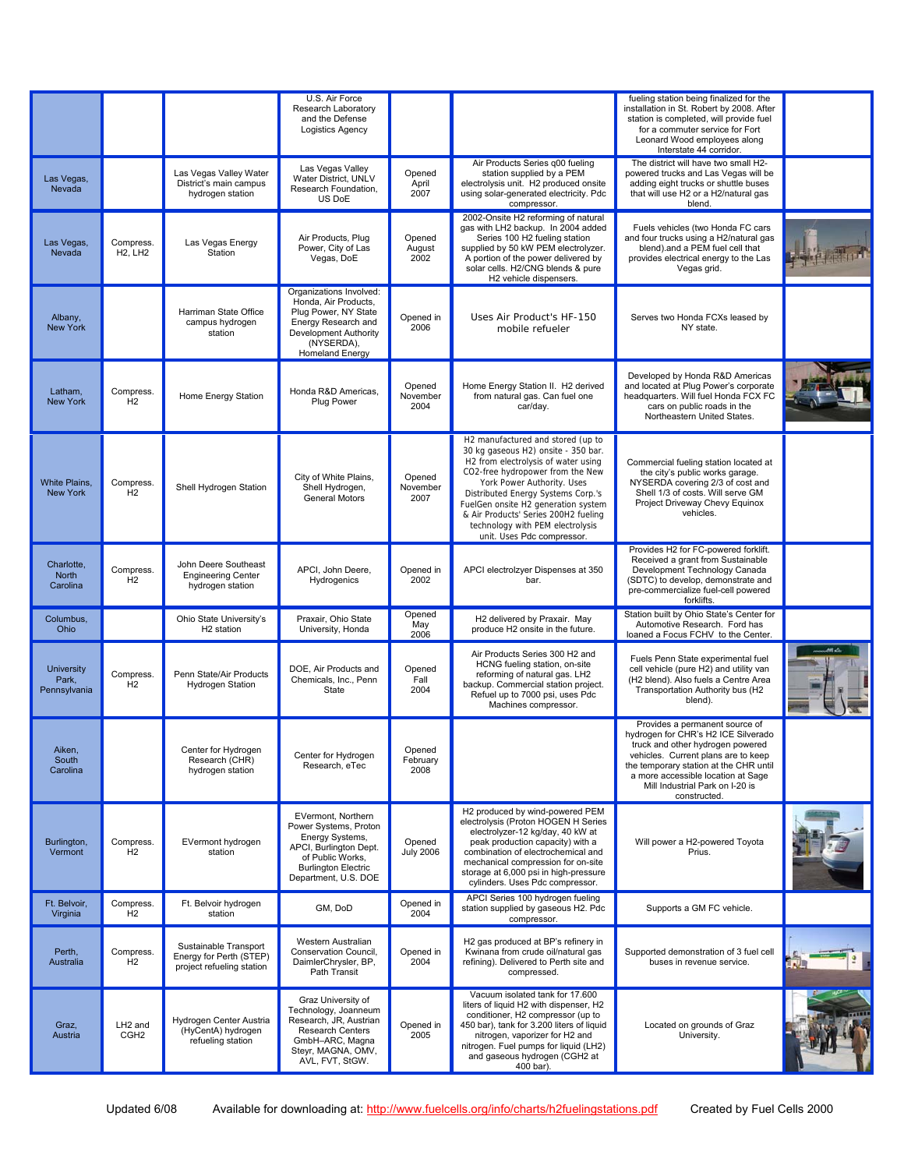|                                            |                                         |                                                                               | U.S. Air Force<br>Research Laboratory<br>and the Defense<br>Logistics Agency                                                                                       |                            |                                                                                                                                                                                                                                                                                                                                                                          | fueling station being finalized for the<br>installation in St. Robert by 2008. After<br>station is completed, will provide fuel<br>for a commuter service for Fort<br>Leonard Wood employees along<br>Interstate 44 corridor.                                                       |  |
|--------------------------------------------|-----------------------------------------|-------------------------------------------------------------------------------|--------------------------------------------------------------------------------------------------------------------------------------------------------------------|----------------------------|--------------------------------------------------------------------------------------------------------------------------------------------------------------------------------------------------------------------------------------------------------------------------------------------------------------------------------------------------------------------------|-------------------------------------------------------------------------------------------------------------------------------------------------------------------------------------------------------------------------------------------------------------------------------------|--|
| Las Vegas,<br>Nevada                       |                                         | Las Vegas Valley Water<br>District's main campus<br>hydrogen station          | Las Vegas Valley<br>Water District, UNLV<br>Research Foundation.<br>US DoE                                                                                         | Opened<br>April<br>2007    | Air Products Series q00 fueling<br>station supplied by a PEM<br>electrolysis unit. H2 produced onsite<br>using solar-generated electricity. Pdc<br>compressor.                                                                                                                                                                                                           | The district will have two small H2-<br>powered trucks and Las Vegas will be<br>adding eight trucks or shuttle buses<br>that will use H2 or a H2/natural gas<br>blend.                                                                                                              |  |
| Las Vegas,<br>Nevada                       | Compress.<br><b>H2, LH2</b>             | Las Vegas Energy<br>Station                                                   | Air Products, Plug<br>Power. City of Las<br>Vegas, DoE                                                                                                             | Opened<br>August<br>2002   | 2002-Onsite H2 reforming of natural<br>gas with LH2 backup. In 2004 added<br>Series 100 H2 fueling station<br>supplied by 50 kW PEM electrolyzer.<br>A portion of the power delivered by<br>solar cells. H2/CNG blends & pure<br>H2 vehicle dispensers.                                                                                                                  | Fuels vehicles (two Honda FC cars<br>and four trucks using a H2/natural gas<br>blend).and a PEM fuel cell that<br>provides electrical energy to the Las<br>Vegas grid.                                                                                                              |  |
| Albany,<br><b>New York</b>                 |                                         | Harriman State Office<br>campus hydrogen<br>station                           | Organizations Involved:<br>Honda, Air Products,<br>Plug Power, NY State<br>Energy Research and<br>Development Authority<br>(NYSERDA),<br><b>Homeland Energy</b>    | Opened in<br>2006          | Uses Air Product's HF-150<br>mobile refueler                                                                                                                                                                                                                                                                                                                             | Serves two Honda FCXs leased by<br>NY state.                                                                                                                                                                                                                                        |  |
| Latham.<br><b>New York</b>                 | Compress.<br>H <sub>2</sub>             | Home Energy Station                                                           | Honda R&D Americas.<br>Plug Power                                                                                                                                  | Opened<br>November<br>2004 | Home Energy Station II. H2 derived<br>from natural gas. Can fuel one<br>car/day.                                                                                                                                                                                                                                                                                         | Developed by Honda R&D Americas<br>and located at Plug Power's corporate<br>headquarters. Will fuel Honda FCX FC<br>cars on public roads in the<br>Northeastern United States.                                                                                                      |  |
| <b>White Plains,</b><br><b>New York</b>    | Compress.<br>H2                         | Shell Hydrogen Station                                                        | City of White Plains,<br>Shell Hydrogen,<br>General Motors                                                                                                         | Opened<br>November<br>2007 | H2 manufactured and stored (up to<br>30 kg gaseous H2) onsite - 350 bar.<br>H2 from electrolysis of water using<br>CO2-free hydropower from the New<br>York Power Authority. Uses<br>Distributed Energy Systems Corp.'s<br>FuelGen onsite H2 generation system<br>& Air Products' Series 200H2 fueling<br>technology with PEM electrolysis<br>unit. Uses Pdc compressor. | Commercial fueling station located at<br>the city's public works garage.<br>NYSERDA covering 2/3 of cost and<br>Shell 1/3 of costs. Will serve GM<br>Project Driveway Chevy Equinox<br>vehicles.                                                                                    |  |
| Charlotte,<br>North<br>Carolina            | Compress.<br>H <sub>2</sub>             | John Deere Southeast<br><b>Engineering Center</b><br>hydrogen station         | APCI, John Deere,<br>Hydrogenics                                                                                                                                   | Opened in<br>2002          | APCI electrolzyer Dispenses at 350<br>bar.                                                                                                                                                                                                                                                                                                                               | Provides H2 for FC-powered forklift.<br>Received a grant from Sustainable<br>Development Technology Canada<br>(SDTC) to develop, demonstrate and<br>pre-commercialize fuel-cell powered<br>forklifts.                                                                               |  |
| Columbus,<br>Ohio                          |                                         | Ohio State University's<br>H <sub>2</sub> station                             | Praxair, Ohio State<br>University, Honda                                                                                                                           | Opened<br>May<br>2006      | H2 delivered by Praxair. May<br>produce H2 onsite in the future.                                                                                                                                                                                                                                                                                                         | Station built by Ohio State's Center for<br>Automotive Research. Ford has<br>loaned a Focus FCHV to the Center.                                                                                                                                                                     |  |
| <b>University</b><br>Park,<br>Pennsylvania | Compress.<br>H <sub>2</sub>             | Penn State/Air Products<br><b>Hydrogen Station</b>                            | DOE, Air Products and<br>Chemicals, Inc., Penn<br>State                                                                                                            | Opened<br>Fall<br>2004     | Air Products Series 300 H2 and<br>HCNG fueling station, on-site<br>reforming of natural gas. LH2<br>backup. Commercial station project.<br>Refuel up to 7000 psi, uses Pdc<br>Machines compressor.                                                                                                                                                                       | Fuels Penn State experimental fuel<br>cell vehicle (pure H2) and utility van<br>(H2 blend). Also fuels a Centre Area<br>Transportation Authority bus (H2<br>blend).                                                                                                                 |  |
| Aiken,<br>South<br>Carolina                |                                         | Center for Hydrogen<br>Research (CHR)<br>hydrogen station                     | Center for Hydrogen<br>Research, eTec                                                                                                                              | Opened<br>February<br>2008 |                                                                                                                                                                                                                                                                                                                                                                          | Provides a permanent source of<br>hydrogen for CHR's H2 ICE Silverado<br>truck and other hydrogen powered<br>vehicles. Current plans are to keep<br>the temporary station at the CHR until<br>a more accessible location at Sage<br>Mill Industrial Park on I-20 is<br>constructed. |  |
| Burlington,<br>Vermont                     | Compress.<br>H <sub>2</sub>             | EVermont hydrogen<br>station                                                  | EVermont, Northern<br>Power Systems, Proton<br>Energy Systems,<br>APCI, Burlington Dept.<br>of Public Works.<br><b>Burlington Electric</b><br>Department, U.S. DOE | Opened<br><b>July 2006</b> | H2 produced by wind-powered PEM<br>electrolysis (Proton HOGEN H Series<br>electrolyzer-12 kg/day, 40 kW at<br>peak production capacity) with a<br>combination of electrochemical and<br>mechanical compression for on-site<br>storage at 6,000 psi in high-pressure<br>cylinders. Uses Pdc compressor.                                                                   | Will power a H2-powered Toyota<br>Prius.                                                                                                                                                                                                                                            |  |
| Ft. Belvoir,<br>Virginia                   | Compress.<br>H <sub>2</sub>             | Ft. Belvoir hydrogen<br>station                                               | GM, DoD                                                                                                                                                            | Opened in<br>2004          | APCI Series 100 hydrogen fueling<br>station supplied by gaseous H2. Pdc<br>compressor.                                                                                                                                                                                                                                                                                   | Supports a GM FC vehicle.                                                                                                                                                                                                                                                           |  |
| Perth,<br>Australia                        | Compress.<br>H <sub>2</sub>             | Sustainable Transport<br>Energy for Perth (STEP)<br>project refueling station | Western Australian<br>Conservation Council,<br>DaimlerChrysler, BP,<br>Path Transit                                                                                | Opened in<br>2004          | H2 gas produced at BP's refinery in<br>Kwinana from crude oil/natural gas<br>refining). Delivered to Perth site and<br>compressed.                                                                                                                                                                                                                                       | Supported demonstration of 3 fuel cell<br>buses in revenue service.                                                                                                                                                                                                                 |  |
| Graz,<br>Austria                           | LH <sub>2</sub> and<br>CGH <sub>2</sub> | Hydrogen Center Austria<br>(HyCentA) hydrogen<br>refueling station            | Graz University of<br>Technology, Joanneum<br>Research, JR, Austrian<br>Research Centers<br>GmbH-ARC, Magna<br>Steyr, MAGNA, OMV,<br>AVL, FVT, StGW.               | Opened in<br>2005          | Vacuum isolated tank for 17.600<br>liters of liquid H2 with dispenser, H2<br>conditioner, H2 compressor (up to<br>450 bar), tank for 3.200 liters of liquid<br>nitrogen, vaporizer for H2 and<br>nitrogen. Fuel pumps for liquid (LH2)<br>and gaseous hydrogen (CGH2 at<br>400 bar).                                                                                     | Located on grounds of Graz<br>University.                                                                                                                                                                                                                                           |  |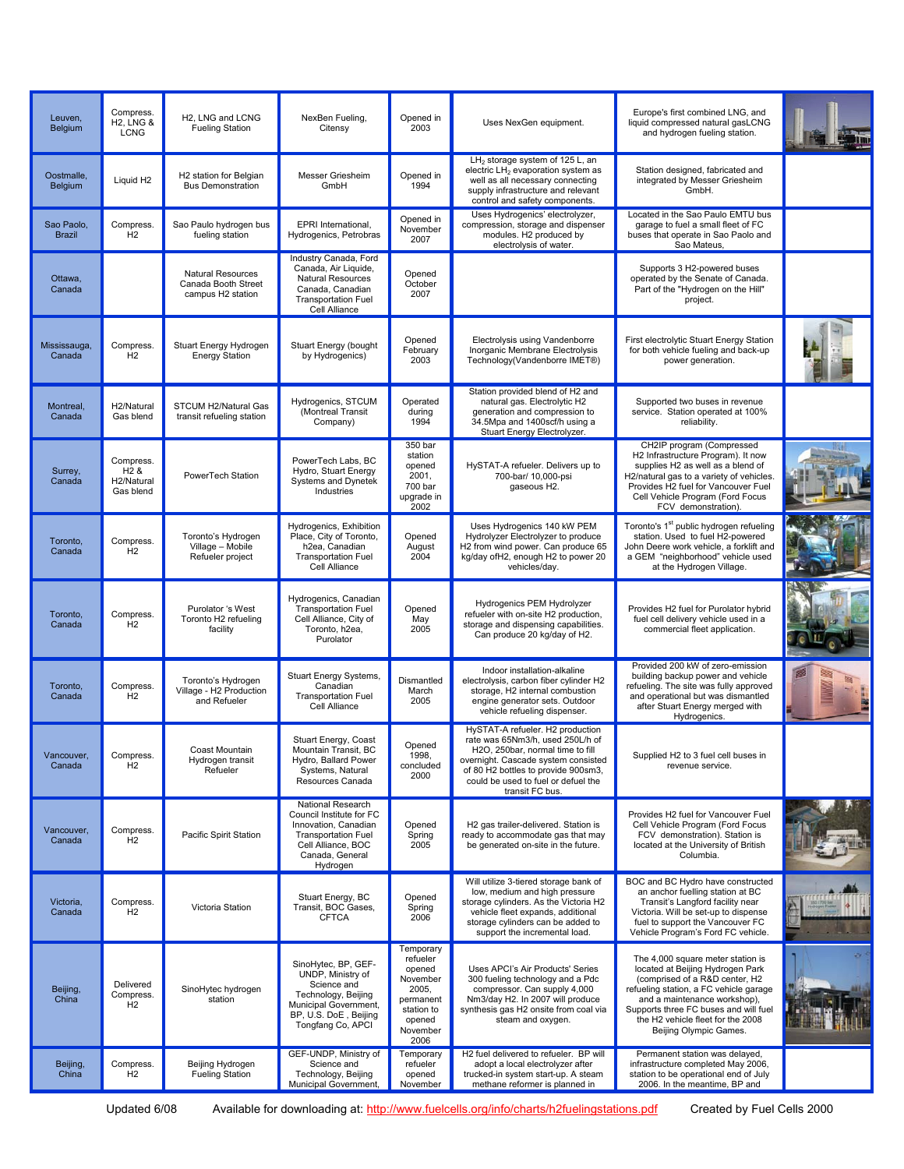| Leuven,<br>Belgium          | Compress.<br><b>H2. LNG &amp;</b><br><b>LCNG</b>         | H2, LNG and LCNG<br><b>Fueling Station</b>                           | NexBen Fueling,<br>Citensy                                                                                                                               | Opened in<br>2003                                                                                             | Uses NexGen equipment.                                                                                                                                                                                                                           | Europe's first combined LNG, and<br>liquid compressed natural gasLCNG<br>and hydrogen fueling station.                                                                                                                                                                                    |  |
|-----------------------------|----------------------------------------------------------|----------------------------------------------------------------------|----------------------------------------------------------------------------------------------------------------------------------------------------------|---------------------------------------------------------------------------------------------------------------|--------------------------------------------------------------------------------------------------------------------------------------------------------------------------------------------------------------------------------------------------|-------------------------------------------------------------------------------------------------------------------------------------------------------------------------------------------------------------------------------------------------------------------------------------------|--|
| Oostmalle,<br>Belgium       | Liquid H <sub>2</sub>                                    | H2 station for Belgian<br><b>Bus Demonstration</b>                   | Messer Griesheim<br>GmbH                                                                                                                                 | Opened in<br>1994                                                                                             | LH <sub>2</sub> storage system of 125 L, an<br>electric LH <sub>2</sub> evaporation system as<br>well as all necessary connecting<br>supply infrastructure and relevant<br>control and safety components.                                        | Station designed, fabricated and<br>integrated by Messer Griesheim<br>GmbH.                                                                                                                                                                                                               |  |
| Sao Paolo,<br><b>Brazil</b> | Compress.<br>H <sub>2</sub>                              | Sao Paulo hydrogen bus<br>fueling station                            | EPRI International,<br>Hydrogenics, Petrobras                                                                                                            | Opened in<br>November<br>2007                                                                                 | Uses Hydrogenics' electrolyzer,<br>compression, storage and dispenser<br>modules. H2 produced by<br>electrolysis of water.                                                                                                                       | Located in the Sao Paulo EMTU bus<br>garage to fuel a small fleet of FC<br>buses that operate in Sao Paolo and<br>Sao Mateus,                                                                                                                                                             |  |
| Ottawa,<br>Canada           |                                                          | <b>Natural Resources</b><br>Canada Booth Street<br>campus H2 station | Industry Canada, Ford<br>Canada, Air Liquide,<br><b>Natural Resources</b><br>Canada, Canadian<br><b>Transportation Fuel</b><br>Cell Alliance             | Opened<br>October<br>2007                                                                                     |                                                                                                                                                                                                                                                  | Supports 3 H2-powered buses<br>operated by the Senate of Canada.<br>Part of the "Hydrogen on the Hill"<br>project.                                                                                                                                                                        |  |
| Mississauga,<br>Canada      | Compress.<br>H <sub>2</sub>                              | Stuart Energy Hydrogen<br><b>Energy Station</b>                      | Stuart Energy (bought<br>by Hydrogenics)                                                                                                                 | Opened<br>February<br>2003                                                                                    | Electrolysis using Vandenborre<br>Inorganic Membrane Electrolysis<br>Technology(Vandenborre IMET®)                                                                                                                                               | First electrolytic Stuart Energy Station<br>for both vehicle fueling and back-up<br>power generation.                                                                                                                                                                                     |  |
| Montreal,<br>Canada         | H <sub>2</sub> /Natural<br>Gas blend                     | STCUM H2/Natural Gas<br>transit refueling station                    | Hydrogenics, STCUM<br>(Montreal Transit<br>Company)                                                                                                      | Operated<br>during<br>1994                                                                                    | Station provided blend of H2 and<br>natural gas. Electrolytic H2<br>generation and compression to<br>34.5Mpa and 1400scf/h using a<br>Stuart Energy Electrolyzer.                                                                                | Supported two buses in revenue<br>service. Station operated at 100%<br>reliability.                                                                                                                                                                                                       |  |
| Surrey,<br>Canada           | Compress.<br>H <sub>2</sub> &<br>H2/Natural<br>Gas blend | PowerTech Station                                                    | PowerTech Labs, BC<br>Hydro, Stuart Energy<br><b>Systems and Dynetek</b><br>Industries                                                                   | 350 bar<br>station<br>opened<br>2001,<br>700 bar<br>upgrade in<br>2002                                        | HySTAT-A refueler. Delivers up to<br>700-bar/ 10,000-psi<br>gaseous H2.                                                                                                                                                                          | CH2IP program (Compressed<br>H2 Infrastructure Program). It now<br>supplies H2 as well as a blend of<br>H2/natural gas to a variety of vehicles.<br>Provides H2 fuel for Vancouver Fuel<br>Cell Vehicle Program (Ford Focus<br>FCV demonstration).                                        |  |
| Toronto,<br>Canada          | Compress.<br>H <sub>2</sub>                              | Toronto's Hydrogen<br>Village - Mobile<br>Refueler project           | Hydrogenics, Exhibition<br>Place, City of Toronto,<br>h <sub>2ea</sub> , Canadian<br><b>Transportation Fuel</b><br>Cell Alliance                         | Opened<br>August<br>2004                                                                                      | Uses Hydrogenics 140 kW PEM<br>Hydrolyzer Electrolyzer to produce<br>H2 from wind power. Can produce 65<br>kg/day ofH2, enough H2 to power 20<br>vehicles/day.                                                                                   | Toronto's 1 <sup>st</sup> public hydrogen refueling<br>station. Used to fuel H2-powered<br>John Deere work vehicle, a forklift and<br>a GEM "neighborhood" vehicle used<br>at the Hydrogen Village.                                                                                       |  |
| Toronto,<br>Canada          | Compress.<br>H <sub>2</sub>                              | Purolator 's West<br>Toronto H2 refueling<br>facility                | Hydrogenics, Canadian<br><b>Transportation Fuel</b><br>Cell Alliance, City of<br>Toronto, h2ea,<br>Purolator                                             | Opened<br>May<br>2005                                                                                         | Hydrogenics PEM Hydrolyzer<br>refueler with on-site H2 production,<br>storage and dispensing capabilities.<br>Can produce 20 kg/day of H2.                                                                                                       | Provides H2 fuel for Purolator hybrid<br>fuel cell delivery vehicle used in a<br>commercial fleet application.                                                                                                                                                                            |  |
| Toronto,<br>Canada          | Compress.<br>H2                                          | Toronto's Hydrogen<br>Village - H2 Production<br>and Refueler        | Stuart Energy Systems,<br>Canadian<br><b>Transportation Fuel</b><br>Cell Alliance                                                                        | Dismantled<br>March<br>2005                                                                                   | Indoor installation-alkaline<br>electrolysis, carbon fiber cylinder H2<br>storage, H2 internal combustion<br>engine generator sets. Outdoor<br>vehicle refueling dispenser.                                                                      | Provided 200 kW of zero-emission<br>building backup power and vehicle<br>refueling. The site was fully approved<br>and operational but was dismantled<br>after Stuart Energy merged with<br>Hydrogenics.                                                                                  |  |
| Vancouver,<br>Canada        | Compress.<br>H <sub>2</sub>                              | Coast Mountain<br>Hydrogen transit<br>Refueler                       | Stuart Energy, Coast<br>Mountain Transit, BC<br>Hydro, Ballard Power<br>Systems, Natural<br>Resources Canada                                             | Opened<br>1998,<br>concluded<br>2000                                                                          | HySTAT-A refueler. H2 production<br>rate was 65Nm3/h, used 250L/h of<br>H2O, 250bar, normal time to till<br>overnight. Cascade system consisted<br>of 80 H2 bottles to provide 900sm3,<br>could be used to fuel or defuel the<br>transit FC bus. | Supplied H2 to 3 fuel cell buses in<br>revenue service.                                                                                                                                                                                                                                   |  |
| Vancouver,<br>Canada        | Compress.<br>H <sub>2</sub>                              | Pacific Spirit Station                                               | National Research<br>Council Institute for FC<br>Innovation, Canadian<br><b>Transportation Fuel</b><br>Cell Alliance, BOC<br>Canada, General<br>Hydrogen | Opened<br>Spring<br>2005                                                                                      | H2 gas trailer-delivered. Station is<br>ready to accommodate gas that may<br>be generated on-site in the future.                                                                                                                                 | Provides H2 fuel for Vancouver Fuel<br>Cell Vehicle Program (Ford Focus<br>FCV demonstration). Station is<br>located at the University of British<br>Columbia.                                                                                                                            |  |
| Victoria,<br>Canada         | Compress.<br>H <sub>2</sub>                              | Victoria Station                                                     | Stuart Energy, BC<br>Transit, BOC Gases,<br><b>CFTCA</b>                                                                                                 | Opened<br>Spring<br>2006                                                                                      | Will utilize 3-tiered storage bank of<br>low, medium and high pressure<br>storage cylinders. As the Victoria H2<br>vehicle fleet expands, additional<br>storage cylinders can be added to<br>support the incremental load.                       | BOC and BC Hydro have constructed<br>an anchor fuelling station at BC<br>Transit's Langford facility near<br>Victoria. Will be set-up to dispense<br>fuel to support the Vancouver FC<br>Vehicle Program's Ford FC vehicle.                                                               |  |
| Beijing,<br>China           | Delivered<br>Compress.<br>H <sub>2</sub>                 | SinoHytec hydrogen<br>station                                        | SinoHytec, BP, GEF-<br>UNDP, Ministry of<br>Science and<br>Technology, Beijing<br>Municipal Government,<br>BP, U.S. DoE, Beijing<br>Tongfang Co, APCI    | Temporary<br>refueler<br>opened<br>November<br>2005,<br>permanent<br>station to<br>opened<br>November<br>2006 | Uses APCI's Air Products' Series<br>300 fueling technology and a Pdc<br>compressor. Can supply 4,000<br>Nm3/day H2. In 2007 will produce<br>synthesis gas H2 onsite from coal via<br>steam and oxygen.                                           | The 4,000 square meter station is<br>located at Beijing Hydrogen Park<br>(comprised of a R&D center, H2<br>refueling station, a FC vehicle garage<br>and a maintenance workshop),<br>Supports three FC buses and will fuel<br>the H2 vehicle fleet for the 2008<br>Beijing Olympic Games. |  |
| Beijing,<br>China           | Compress.<br>H2                                          | Beijing Hydrogen<br><b>Fueling Station</b>                           | GEF-UNDP, Ministry of<br>Science and<br>Technology, Beijing<br>Municipal Government,                                                                     | Temporary<br>refueler<br>opened<br>November                                                                   | H2 fuel delivered to refueler. BP will<br>adopt a local electrolyzer after<br>trucked-in system start-up. A steam<br>methane reformer is planned in                                                                                              | Permanent station was delayed,<br>infrastructure completed May 2006,<br>station to be operational end of July<br>2006. In the meantime, BP and                                                                                                                                            |  |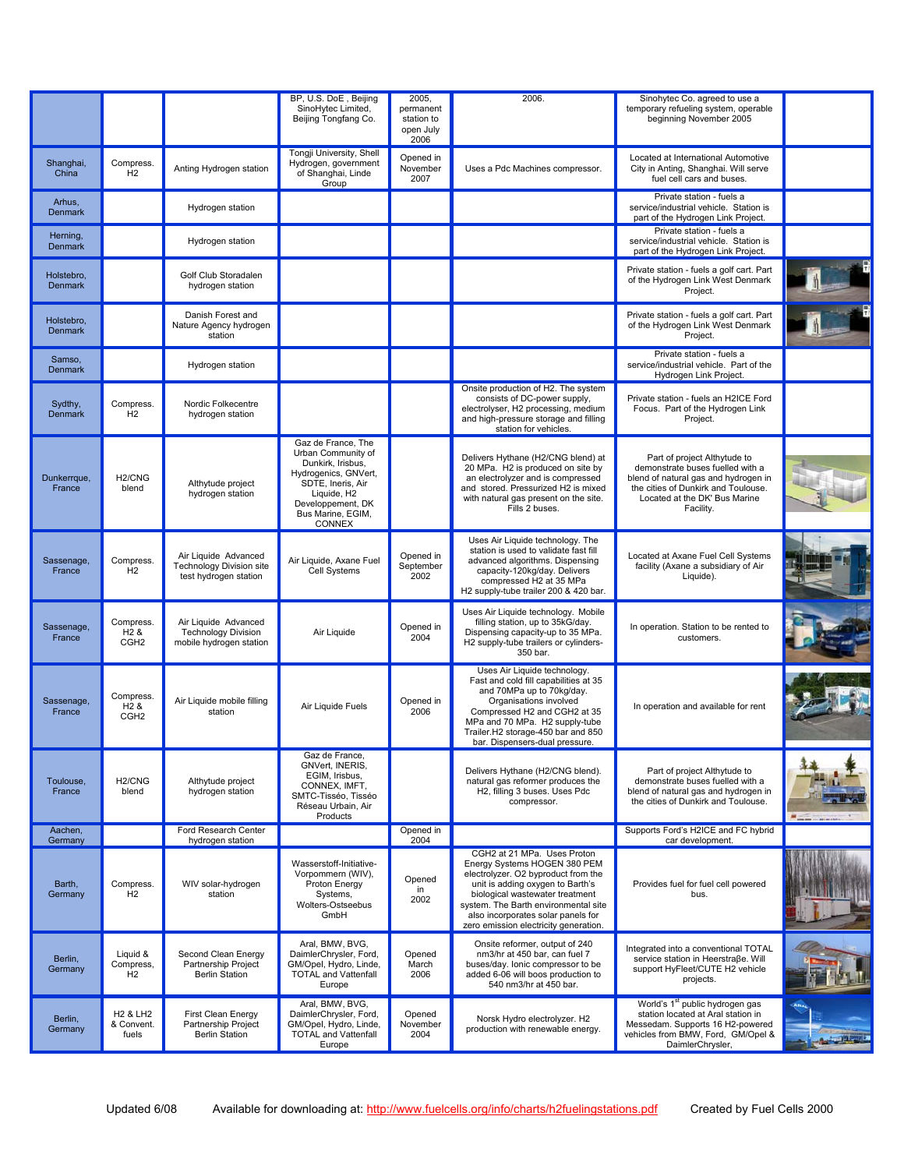|                              |                                                   |                                                                                  | BP, U.S. DoE, Beijing<br>SinoHytec Limited,<br>Beijing Tongfang Co.                                                                                                           | 2005.<br>permanent<br>station to<br>open July<br>2006 | 2006.                                                                                                                                                                                                                                                                                            | Sinohytec Co. agreed to use a<br>temporary refueling system, operable<br>beginning November 2005                                                                                              |  |
|------------------------------|---------------------------------------------------|----------------------------------------------------------------------------------|-------------------------------------------------------------------------------------------------------------------------------------------------------------------------------|-------------------------------------------------------|--------------------------------------------------------------------------------------------------------------------------------------------------------------------------------------------------------------------------------------------------------------------------------------------------|-----------------------------------------------------------------------------------------------------------------------------------------------------------------------------------------------|--|
| Shanghai,<br>China           | Compress.<br>H2                                   | Anting Hydrogen station                                                          | Tongji University, Shell<br>Hydrogen, government<br>of Shanghai, Linde<br>Group                                                                                               | Opened in<br>November<br>2007                         | Uses a Pdc Machines compressor.                                                                                                                                                                                                                                                                  | Located at International Automotive<br>City in Anting, Shanghai. Will serve<br>fuel cell cars and buses.                                                                                      |  |
| Arhus,<br><b>Denmark</b>     |                                                   | Hydrogen station                                                                 |                                                                                                                                                                               |                                                       |                                                                                                                                                                                                                                                                                                  | Private station - fuels a<br>service/industrial vehicle. Station is<br>part of the Hydrogen Link Project.                                                                                     |  |
| Herning,<br><b>Denmark</b>   |                                                   | Hydrogen station                                                                 |                                                                                                                                                                               |                                                       |                                                                                                                                                                                                                                                                                                  | Private station - fuels a<br>service/industrial vehicle. Station is<br>part of the Hydrogen Link Project.                                                                                     |  |
| Holstebro,<br><b>Denmark</b> |                                                   | Golf Club Storadalen<br>hydrogen station                                         |                                                                                                                                                                               |                                                       |                                                                                                                                                                                                                                                                                                  | Private station - fuels a golf cart. Part<br>of the Hydrogen Link West Denmark<br>Project.                                                                                                    |  |
| Holstebro,<br><b>Denmark</b> |                                                   | Danish Forest and<br>Nature Agency hydrogen<br>station                           |                                                                                                                                                                               |                                                       |                                                                                                                                                                                                                                                                                                  | Private station - fuels a golf cart. Part<br>of the Hydrogen Link West Denmark<br>Project.                                                                                                    |  |
| Samso,<br><b>Denmark</b>     |                                                   | Hydrogen station                                                                 |                                                                                                                                                                               |                                                       |                                                                                                                                                                                                                                                                                                  | Private station - fuels a<br>service/industrial vehicle. Part of the<br>Hydrogen Link Project.                                                                                                |  |
| Sydthy,<br><b>Denmark</b>    | Compress.<br>H2                                   | Nordic Folkecentre<br>hydrogen station                                           |                                                                                                                                                                               |                                                       | Onsite production of H2. The system<br>consists of DC-power supply,<br>electrolyser, H2 processing, medium<br>and high-pressure storage and filling<br>station for vehicles.                                                                                                                     | Private station - fuels an H2ICE Ford<br>Focus. Part of the Hydrogen Link<br>Project.                                                                                                         |  |
| Dunkerrque,<br>France        | H <sub>2</sub> /CNG<br>blend                      | Althytude project<br>hydrogen station                                            | Gaz de France. The<br>Urban Community of<br>Dunkirk, Irisbus,<br>Hydrogenics, GNVert,<br>SDTE, Ineris, Air<br>Liquide, H2<br>Developpement, DK<br>Bus Marine, EGIM,<br>CONNEX |                                                       | Delivers Hythane (H2/CNG blend) at<br>20 MPa. H2 is produced on site by<br>an electrolyzer and is compressed<br>and stored. Pressurized H2 is mixed<br>with natural gas present on the site.<br>Fills 2 buses.                                                                                   | Part of project Althytude to<br>demonstrate buses fuelled with a<br>blend of natural gas and hydrogen in<br>the cities of Dunkirk and Toulouse.<br>Located at the DK' Bus Marine<br>Facility. |  |
| Sassenage,<br>France         | Compress.<br>H2                                   | Air Liquide Advanced<br><b>Technology Division site</b><br>test hydrogen station | Air Liquide, Axane Fuel<br>Cell Systems                                                                                                                                       | Opened in<br>September<br>2002                        | Uses Air Liquide technology. The<br>station is used to validate fast fill<br>advanced algorithms. Dispensing<br>capacity-120kg/day. Delivers<br>compressed H2 at 35 MPa<br>H2 supply-tube trailer 200 & 420 bar.                                                                                 | Located at Axane Fuel Cell Systems<br>facility (Axane a subsidiary of Air<br>Liquide).                                                                                                        |  |
| Sassenage,<br>France         | Compress.<br>H <sub>2</sub> &<br>CGH <sub>2</sub> | Air Liquide Advanced<br><b>Technology Division</b><br>mobile hydrogen station    | Air Liquide                                                                                                                                                                   | Opened in<br>2004                                     | Uses Air Liquide technology. Mobile<br>filling station, up to 35kG/day.<br>Dispensing capacity-up to 35 MPa.<br>H2 supply-tube trailers or cylinders-<br>350 bar.                                                                                                                                | In operation. Station to be rented to<br>customers.                                                                                                                                           |  |
| Sassenage.<br>France         | Compress.<br>H <sub>2</sub> &<br>CGH <sub>2</sub> | Air Liquide mobile filling<br>station                                            | Air Liquide Fuels                                                                                                                                                             | Opened in<br>2006                                     | Uses Air Liquide technology.<br>Fast and cold fill capabilities at 35<br>and 70MPa up to 70kg/day.<br>Organisations involved<br>Compressed H2 and CGH2 at 35<br>MPa and 70 MPa. H2 supply-tube<br>Trailer.H2 storage-450 bar and 850<br>bar. Dispensers-dual pressure.                           | In operation and available for rent                                                                                                                                                           |  |
| Toulouse,<br>France          | H <sub>2</sub> /CNG<br>blend                      | Althytude project<br>hydrogen station                                            | Gaz de France,<br>GNVert, INERIS,<br>EGIM, Irisbus,<br>CONNEX, IMFT,<br>SMTC-Tisséo, Tisséo<br>Réseau Urbain, Air<br>Products                                                 |                                                       | Delivers Hythane (H2/CNG blend).<br>natural gas reformer produces the<br>H2, filling 3 buses. Uses Pdc<br>compressor.                                                                                                                                                                            | Part of project Althytude to<br>demonstrate buses fuelled with a<br>blend of natural gas and hydrogen in<br>the cities of Dunkirk and Toulouse.                                               |  |
| Aachen,<br>Germany           |                                                   | Ford Research Center<br>hydrogen station                                         |                                                                                                                                                                               | Opened in<br>2004                                     |                                                                                                                                                                                                                                                                                                  | Supports Ford's H2ICE and FC hybrid<br>car development.                                                                                                                                       |  |
| Barth,<br>Germany            | Compress.<br>H <sub>2</sub>                       | WIV solar-hydrogen<br>station                                                    | Wasserstoff-Initiative-<br>Vorpommern (WIV),<br>Proton Energy<br>Systems,<br>Wolters-Ostseebus<br>GmbH                                                                        | Opened<br>in<br>2002                                  | CGH2 at 21 MPa. Uses Proton<br>Energy Systems HOGEN 380 PEM<br>electrolyzer. O2 byproduct from the<br>unit is adding oxygen to Barth's<br>biological wastewater treatment<br>system. The Barth environmental site<br>also incorporates solar panels for<br>zero emission electricity generation. | Provides fuel for fuel cell powered<br>bus.                                                                                                                                                   |  |
| Berlin,<br>Germany           | Liquid &<br>Compress,<br>H <sub>2</sub>           | Second Clean Energy<br>Partnership Project<br><b>Berlin Station</b>              | Aral, BMW, BVG,<br>DaimlerChrysler, Ford,<br>GM/Opel, Hydro, Linde,<br><b>TOTAL and Vattenfall</b><br>Europe                                                                  | Opened<br>March<br>2006                               | Onsite reformer, output of 240<br>nm3/hr at 450 bar, can fuel 7<br>buses/day. Ionic compressor to be<br>added 6-06 will boos production to<br>540 nm3/hr at 450 bar.                                                                                                                             | Integrated into a conventional TOTAL<br>service station in Heerstraße. Will<br>support HyFleet/CUTE H2 vehicle<br>projects.                                                                   |  |
| Berlin,<br>Germany           | <b>H2 &amp; LH2</b><br>& Convent.<br>fuels        | First Clean Energy<br>Partnership Project<br><b>Berlin Station</b>               | Aral, BMW, BVG,<br>DaimlerChrysler, Ford,<br>GM/Opel, Hydro, Linde,<br><b>TOTAL and Vattenfall</b><br>Europe                                                                  | Opened<br>November<br>2004                            | Norsk Hydro electrolyzer. H2<br>production with renewable energy.                                                                                                                                                                                                                                | World's 1 <sup>st</sup> public hydrogen gas<br>station located at Aral station in<br>Messedam. Supports 16 H2-powered<br>vehicles from BMW, Ford, GM/Opel &<br>DaimlerChrysler,               |  |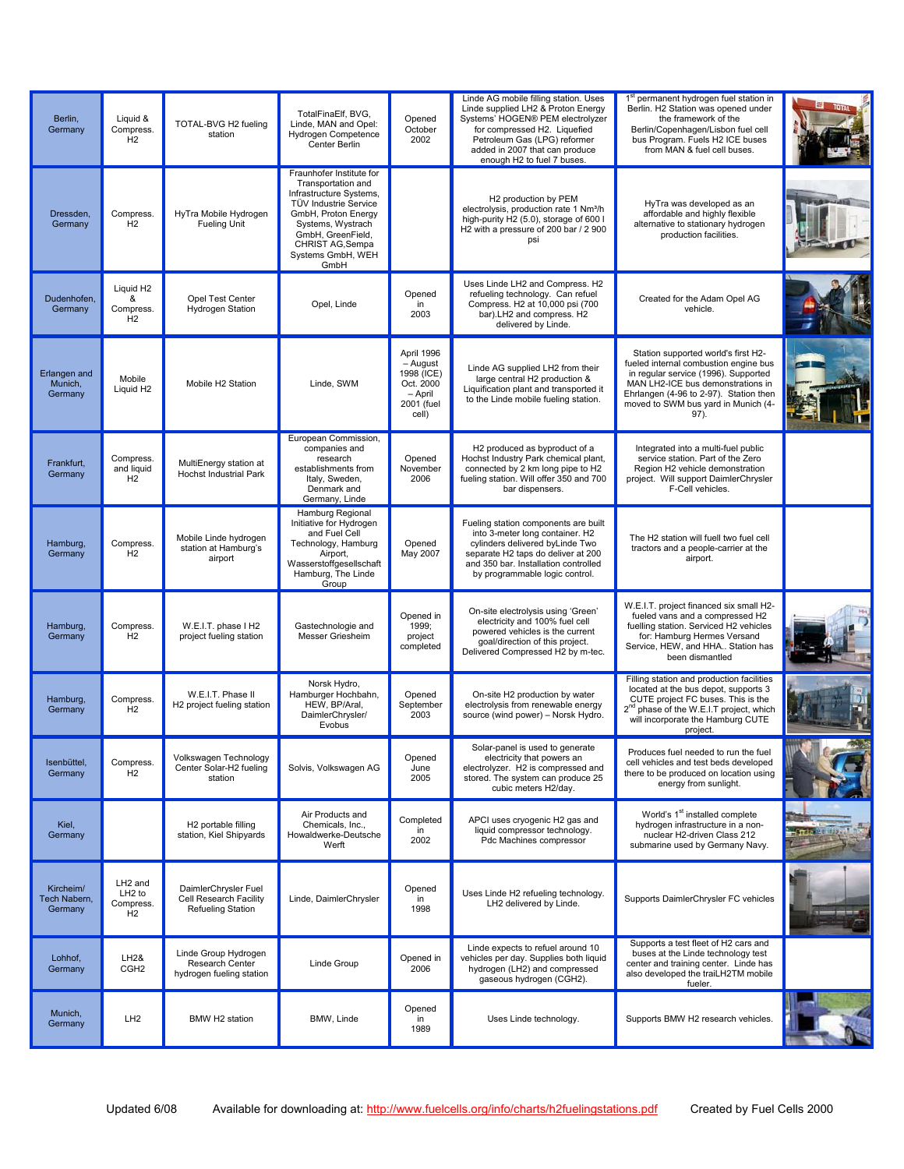| Berlin,<br>Germany                   | Liquid &<br>Compress.<br>H2                                              | TOTAL-BVG H2 fueling<br>station                                            | TotalFinaElf, BVG,<br>Linde, MAN and Opel:<br><b>Hydrogen Competence</b><br>Center Berlin                                                                                                                            | Opened<br>October<br>2002                                                             | Linde AG mobile filling station. Uses<br>Linde supplied LH2 & Proton Energy<br>Systems' HOGEN® PEM electrolyzer<br>for compressed H2. Liquefied<br>Petroleum Gas (LPG) reformer<br>added in 2007 that can produce<br>enough H2 to fuel 7 buses. | 1 <sup>st</sup> permanent hydrogen fuel station in<br>Berlin. H2 Station was opened under<br>the framework of the<br>Berlin/Copenhagen/Lisbon fuel cell<br>bus Program. Fuels H2 ICE buses<br>from MAN & fuel cell buses.                          |                                     |
|--------------------------------------|--------------------------------------------------------------------------|----------------------------------------------------------------------------|----------------------------------------------------------------------------------------------------------------------------------------------------------------------------------------------------------------------|---------------------------------------------------------------------------------------|-------------------------------------------------------------------------------------------------------------------------------------------------------------------------------------------------------------------------------------------------|----------------------------------------------------------------------------------------------------------------------------------------------------------------------------------------------------------------------------------------------------|-------------------------------------|
| Dressden,<br>Germany                 | Compress.<br>H <sub>2</sub>                                              | HyTra Mobile Hydrogen<br><b>Fueling Unit</b>                               | Fraunhofer Institute for<br>Transportation and<br>Infrastructure Systems,<br>TÜV Industrie Service<br>GmbH, Proton Energy<br>Systems, Wystrach<br>GmbH, GreenField,<br>CHRIST AG, Sempa<br>Systems GmbH, WEH<br>GmbH |                                                                                       | H2 production by PEM<br>electrolysis, production rate 1 Nm <sup>3</sup> /h<br>high-purity H2 (5.0), storage of 600 l<br>H2 with a pressure of 200 bar / 2 900<br>psi                                                                            | HyTra was developed as an<br>affordable and highly flexible<br>alternative to stationary hydrogen<br>production facilities.                                                                                                                        |                                     |
| Dudenhofen.<br>Germany               | Liquid H <sub>2</sub><br>&<br>Compress.<br>H <sub>2</sub>                | Opel Test Center<br><b>Hydrogen Station</b>                                | Opel, Linde                                                                                                                                                                                                          | Opened<br>in<br>2003                                                                  | Uses Linde LH2 and Compress. H2<br>refueling technology. Can refuel<br>Compress. H2 at 10,000 psi (700<br>bar).LH2 and compress. H2<br>delivered by Linde.                                                                                      | Created for the Adam Opel AG<br>vehicle.                                                                                                                                                                                                           |                                     |
| Erlangen and<br>Munich,<br>Germany   | Mobile<br>Liquid H <sub>2</sub>                                          | Mobile H2 Station                                                          | Linde, SWM                                                                                                                                                                                                           | April 1996<br>$-$ August<br>1998 (ICE)<br>Oct. 2000<br>- April<br>2001 (fuel<br>cell) | Linde AG supplied LH2 from their<br>large central H2 production &<br>Liquification plant and transported it<br>to the Linde mobile fueling station.                                                                                             | Station supported world's first H2-<br>fueled internal combustion engine bus<br>in regular service (1996). Supported<br>MAN LH2-ICE bus demonstrations in<br>Ehrlangen (4-96 to 2-97). Station then<br>moved to SWM bus yard in Munich (4-<br>97). |                                     |
| Frankfurt,<br>Germany                | Compress.<br>and liquid<br>H2                                            | MultiEnergy station at<br><b>Hochst Industrial Park</b>                    | European Commission,<br>companies and<br>research<br>establishments from<br>Italy, Sweden,<br>Denmark and<br>Germany, Linde                                                                                          | Opened<br>November<br>2006                                                            | H2 produced as byproduct of a<br>Hochst Industry Park chemical plant,<br>connected by 2 km long pipe to H2<br>fueling station. Will offer 350 and 700<br>bar dispensers.                                                                        | Integrated into a multi-fuel public<br>service station. Part of the Zero<br>Region H2 vehicle demonstration<br>project. Will support DaimlerChrysler<br>F-Cell vehicles.                                                                           |                                     |
| Hamburg,<br>Germany                  | Compress.<br>H2                                                          | Mobile Linde hydrogen<br>station at Hamburg's<br>airport                   | Hamburg Regional<br>Initiative for Hydrogen<br>and Fuel Cell<br>Technology, Hamburg<br>Airport,<br>Wasserstoffgesellschaft<br>Hamburg, The Linde<br>Group                                                            | Opened<br>May 2007                                                                    | Fueling station components are built<br>into 3-meter long container. H2<br>cylinders delivered byLinde Two<br>separate H2 taps do deliver at 200<br>and 350 bar. Installation controlled<br>by programmable logic control.                      | The H2 station will fuell two fuel cell<br>tractors and a people-carrier at the<br>airport.                                                                                                                                                        |                                     |
| Hamburg,<br>Germany                  | Compress.<br>H2                                                          | W.E.I.T. phase I H2<br>project fueling station                             | Gastechnologie and<br>Messer Griesheim                                                                                                                                                                               | Opened in<br>1999;<br>project<br>completed                                            | On-site electrolysis using 'Green'<br>electricity and 100% fuel cell<br>powered vehicles is the current<br>goal/direction of this project.<br>Delivered Compressed H2 by m-tec.                                                                 | W.E.I.T. project financed six small H2-<br>fueled vans and a compressed H2<br>fuelling station. Serviced H2 vehicles<br>for: Hamburg Hermes Versand<br>Service, HEW, and HHA Station has<br>been dismantled                                        |                                     |
| Hamburg,<br>Germany                  | Compress.<br>H <sub>2</sub>                                              | W.E.I.T. Phase II<br>H2 project fueling station                            | Norsk Hydro.<br>Hamburger Hochbahn,<br>HEW, BP/Aral,<br>DaimlerChrysler/<br>Evobus                                                                                                                                   | Opened<br>September<br>2003                                                           | On-site H2 production by water<br>electrolysis from renewable energy<br>source (wind power) - Norsk Hydro.                                                                                                                                      | Filling station and production facilities<br>located at the bus depot, supports 3<br>CUTE project FC buses. This is the<br>2 <sup>nd</sup> phase of the W.E.I.T project, which<br>will incorporate the Hamburg CUTE<br>project.                    |                                     |
| Isenbüttel,<br>Germany               | Compress.<br>H <sub>2</sub>                                              | Volkswagen Technology<br>Center Solar-H2 fueling<br>station                | Solvis, Volkswagen AG                                                                                                                                                                                                | Opened<br>June<br>2005                                                                | Solar-panel is used to generate<br>electricity that powers an<br>electrolyzer. H2 is compressed and<br>stored. The system can produce 25<br>cubic meters H2/dav.                                                                                | Produces fuel needed to run the fuel<br>cell vehicles and test beds developed<br>there to be produced on location using<br>energy from sunlight.                                                                                                   |                                     |
| Kiel,<br>Germany                     |                                                                          | H2 portable filling<br>station, Kiel Shipyards                             | Air Products and<br>Chemicals, Inc.,<br>Howaldwerke-Deutsche<br>Werft                                                                                                                                                | Completed<br>in<br>2002                                                               | APCI uses cryogenic H2 gas and<br>liquid compressor technology.<br>Pdc Machines compressor                                                                                                                                                      | World's 1 <sup>st</sup> installed complete<br>hydrogen infrastructure in a non-<br>nuclear H2-driven Class 212<br>submarine used by Germany Navy.                                                                                                  | <b>Surface of the Second Street</b> |
| Kircheim/<br>Tech Nabern,<br>Germany | LH <sub>2</sub> and<br>LH <sub>2</sub> to<br>Compress.<br>H <sub>2</sub> | DaimlerChrysler Fuel<br>Cell Research Facility<br><b>Refueling Station</b> | Linde, DaimlerChrysler                                                                                                                                                                                               | Opened<br>in<br>1998                                                                  | Uses Linde H2 refueling technology.<br>LH2 delivered by Linde.                                                                                                                                                                                  | Supports DaimlerChrysler FC vehicles                                                                                                                                                                                                               |                                     |
| Lohhof,<br>Germany                   | LH2&<br>CGH <sub>2</sub>                                                 | Linde Group Hydrogen<br>Research Center<br>hydrogen fueling station        | Linde Group                                                                                                                                                                                                          | Opened in<br>2006                                                                     | Linde expects to refuel around 10<br>vehicles per day. Supplies both liquid<br>hydrogen (LH2) and compressed<br>gaseous hydrogen (CGH2).                                                                                                        | Supports a test fleet of H2 cars and<br>buses at the Linde technology test<br>center and training center. Linde has<br>also developed the traiLH2TM mobile<br>fueler.                                                                              |                                     |
| Munich,<br>Germany                   | LH <sub>2</sub>                                                          | BMW H2 station                                                             | BMW, Linde                                                                                                                                                                                                           | Opened<br>in<br>1989                                                                  | Uses Linde technology.                                                                                                                                                                                                                          | Supports BMW H2 research vehicles.                                                                                                                                                                                                                 |                                     |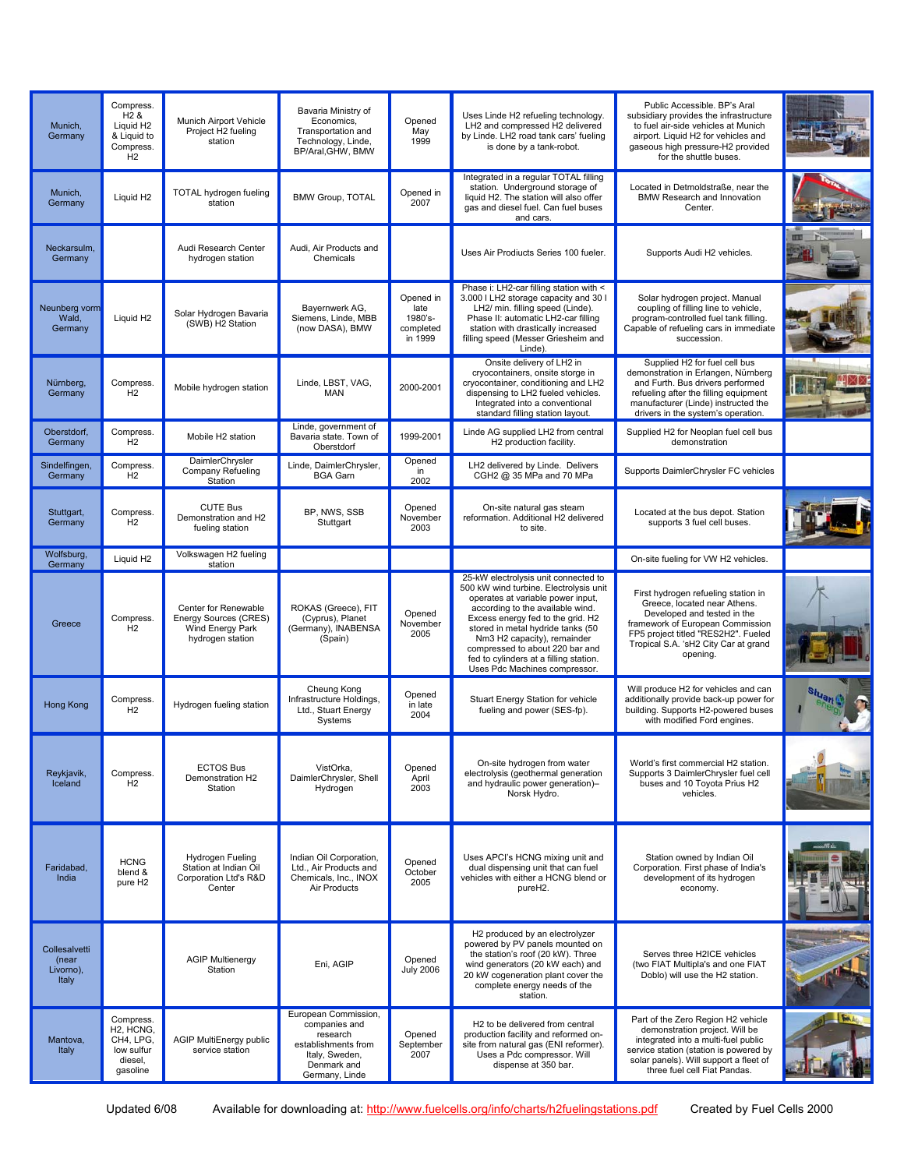| Munich,<br>Germany                           | Compress.<br>$H2$ &<br>Liquid H <sub>2</sub><br>& Liquid to<br>Compress.<br>H2                     | Munich Airport Vehicle<br>Project H2 fueling<br>station                               | Bavaria Ministry of<br>Economics,<br>Transportation and<br>Technology, Linde,<br>BP/Aral, GHW, BMW                          | Opened<br>May<br>1999                                | Uses Linde H2 refueling technology.<br>LH2 and compressed H2 delivered<br>by Linde. LH2 road tank cars' fueling<br>is done by a tank-robot.                                                                                                                                                                                                                                    | Public Accessible. BP's Aral<br>subsidiary provides the infrastructure<br>to fuel air-side vehicles at Munich<br>airport. Liquid H2 for vehicles and<br>gaseous high pressure-H2 provided<br>for the shuttle buses.               |           |
|----------------------------------------------|----------------------------------------------------------------------------------------------------|---------------------------------------------------------------------------------------|-----------------------------------------------------------------------------------------------------------------------------|------------------------------------------------------|--------------------------------------------------------------------------------------------------------------------------------------------------------------------------------------------------------------------------------------------------------------------------------------------------------------------------------------------------------------------------------|-----------------------------------------------------------------------------------------------------------------------------------------------------------------------------------------------------------------------------------|-----------|
| Munich.<br>Germany                           | Liquid H <sub>2</sub>                                                                              | TOTAL hydrogen fueling<br>station                                                     | <b>BMW Group, TOTAL</b>                                                                                                     | Opened in<br>2007                                    | Integrated in a regular TOTAL filling<br>station. Underground storage of<br>liquid H2. The station will also offer<br>gas and diesel fuel. Can fuel buses<br>and cars.                                                                                                                                                                                                         | Located in Detmoldstraße, near the<br>BMW Research and Innovation<br>Center.                                                                                                                                                      |           |
| Neckarsulm,<br>Germany                       |                                                                                                    | Audi Research Center<br>hydrogen station                                              | Audi. Air Products and<br>Chemicals                                                                                         |                                                      | Uses Air Prodiucts Series 100 fueler.                                                                                                                                                                                                                                                                                                                                          | Supports Audi H2 vehicles.                                                                                                                                                                                                        |           |
| Neunberg vorm<br>Wald,<br>Germany            | Liquid H <sub>2</sub>                                                                              | Solar Hydrogen Bavaria<br>(SWB) H2 Station                                            | Bayernwerk AG,<br>Siemens, Linde, MBB<br>(now DASA), BMW                                                                    | Opened in<br>late<br>1980's-<br>completed<br>in 1999 | Phase i: LH2-car filling station with <<br>3.000 I LH2 storage capacity and 30 I<br>LH2/ min. filling speed (Linde).<br>Phase II: automatic LH2-car filling<br>station with drastically increased<br>filling speed (Messer Griesheim and<br>Linde).                                                                                                                            | Solar hydrogen project. Manual<br>coupling of filling line to vehicle,<br>program-controlled fuel tank filling.<br>Capable of refueling cars in immediate<br>succession.                                                          |           |
| Nürnberg,<br>Germany                         | Compress.<br>H <sub>2</sub>                                                                        | Mobile hydrogen station                                                               | Linde, LBST, VAG,<br><b>MAN</b>                                                                                             | 2000-2001                                            | Onsite delivery of LH2 in<br>cryocontainers, onsite storge in<br>cryocontainer, conditioning and LH2<br>dispensing to LH2 fueled vehicles.<br>Integrated into a conventional<br>standard filling station layout.                                                                                                                                                               | Supplied H2 for fuel cell bus<br>demonstration in Erlangen, Nürnberg<br>and Furth. Bus drivers performed<br>refueling after the filling equipment<br>manufacturer (Linde) instructed the<br>drivers in the system's operation.    |           |
| Oberstdorf,<br>Germany                       | Compress.<br>H2                                                                                    | Mobile H2 station                                                                     | Linde, government of<br>Bavaria state. Town of<br>Oberstdorf                                                                | 1999-2001                                            | Linde AG supplied LH2 from central<br>H2 production facility.                                                                                                                                                                                                                                                                                                                  | Supplied H2 for Neoplan fuel cell bus<br>demonstration                                                                                                                                                                            |           |
| Sindelfingen,<br>Germany                     | Compress.<br>H2                                                                                    | DaimlerChrysler<br>Company Refueling<br>Station                                       | Linde, DaimlerChrysler,<br><b>BGA Garn</b>                                                                                  | Opened<br>in<br>2002                                 | LH2 delivered by Linde. Delivers<br>CGH2 @ 35 MPa and 70 MPa                                                                                                                                                                                                                                                                                                                   | Supports DaimlerChrysler FC vehicles                                                                                                                                                                                              |           |
| Stuttgart.<br>Germany                        | Compress.<br>H <sub>2</sub>                                                                        | <b>CUTE Bus</b><br>Demonstration and H2<br>fueling station                            | BP. NWS. SSB<br>Stuttgart                                                                                                   | Opened<br>November<br>2003                           | On-site natural gas steam<br>reformation. Additional H2 delivered<br>to site.                                                                                                                                                                                                                                                                                                  | Located at the bus depot. Station<br>supports 3 fuel cell buses.                                                                                                                                                                  |           |
| Wolfsburg,<br>Germany                        | Liquid H <sub>2</sub>                                                                              | Volkswagen H2 fueling<br>station                                                      |                                                                                                                             |                                                      |                                                                                                                                                                                                                                                                                                                                                                                | On-site fueling for VW H2 vehicles.                                                                                                                                                                                               |           |
| Greece                                       | Compress.<br>H2                                                                                    | Center for Renewable<br>Energy Sources (CRES)<br>Wind Energy Park<br>hydrogen station | ROKAS (Greece), FIT<br>(Cyprus), Planet<br>(Germany), INABENSA<br>(Spain)                                                   | Opened<br>November<br>2005                           | 25-kW electrolysis unit connected to<br>500 kW wind turbine. Electrolysis unit<br>operates at variable power input,<br>according to the available wind.<br>Excess energy fed to the grid. H2<br>stored in metal hydride tanks (50<br>Nm3 H2 capacity), remainder<br>compressed to about 220 bar and<br>fed to cylinders at a filling station.<br>Uses Pdc Machines compressor. | First hydrogen refueling station in<br>Greece, located near Athens.<br>Developed and tested in the<br>framework of European Commission<br>FP5 project titled "RES2H2". Fueled<br>Tropical S.A. 'sH2 City Car at grand<br>opening. |           |
| Hong Kong                                    | Compress.<br>H2                                                                                    | Hydrogen fueling station                                                              | Cheung Kong<br>Infrastructure Holdings,<br>Ltd., Stuart Energy<br>Systems                                                   | Opened<br>in late<br>2004                            | Stuart Energy Station for vehicle<br>fueling and power (SES-fp).                                                                                                                                                                                                                                                                                                               | Will produce H2 for vehicles and can<br>additionally provide back-up power for<br>building. Supports H2-powered buses<br>with modified Ford engines.                                                                              |           |
| Reykjavik,<br>Iceland                        | Compress.<br>H <sub>2</sub>                                                                        | <b>ECTOS Bus</b><br>Demonstration H2<br>Station                                       | VistOrka,<br>DaimlerChrysler, Shell<br>Hydrogen                                                                             | Opened<br>April<br>2003                              | On-site hydrogen from water<br>electrolysis (geothermal generation<br>and hydraulic power generation)-<br>Norsk Hydro.                                                                                                                                                                                                                                                         | World's first commercial H2 station.<br>Supports 3 DaimlerChrysler fuel cell<br>buses and 10 Toyota Prius H2<br>vehicles.                                                                                                         |           |
| Faridabad,<br>India                          | <b>HCNG</b><br>blend &<br>pure H <sub>2</sub>                                                      | Hydrogen Fueling<br>Station at Indian Oil<br>Corporation Ltd's R&D<br>Center          | Indian Oil Corporation,<br>Ltd., Air Products and<br>Chemicals, Inc., INOX<br>Air Products                                  | Opened<br>October<br>2005                            | Uses APCI's HCNG mixing unit and<br>dual dispensing unit that can fuel<br>vehicles with either a HCNG blend or<br>pureH2.                                                                                                                                                                                                                                                      | Station owned by Indian Oil<br>Corporation. First phase of India's<br>development of its hydrogen<br>economy.                                                                                                                     |           |
| Collesalvetti<br>(near<br>Livorno),<br>Italy |                                                                                                    | <b>AGIP Multienergy</b><br>Station                                                    | Eni, AGIP                                                                                                                   | Opened<br><b>July 2006</b>                           | H2 produced by an electrolyzer<br>powered by PV panels mounted on<br>the station's roof (20 kW). Three<br>wind generators (20 kW each) and<br>20 kW cogeneration plant cover the<br>complete energy needs of the<br>station.                                                                                                                                                   | Serves three H2ICE vehicles<br>(two FIAT Multipla's and one FIAT<br>Doblo) will use the H2 station.                                                                                                                               |           |
| Mantova,<br>Italy                            | Compress.<br>H <sub>2</sub> , HCN <sub>G</sub> ,<br>CH4, LPG,<br>low sulfur<br>diesel,<br>gasoline | AGIP MultiEnergy public<br>service station                                            | European Commission,<br>companies and<br>research<br>establishments from<br>Italy, Sweden,<br>Denmark and<br>Germany, Linde | Opened<br>September<br>2007                          | H <sub>2</sub> to be delivered from central<br>production facility and reformed on-<br>site from natural gas (ENI reformer).<br>Uses a Pdc compressor. Will<br>dispense at 350 bar.                                                                                                                                                                                            | Part of the Zero Region H2 vehicle<br>demonstration project. Will be<br>integrated into a multi-fuel public<br>service station (station is powered by<br>solar panels). Will support a fleet of<br>three fuel cell Fiat Pandas.   | $-$ 100 A |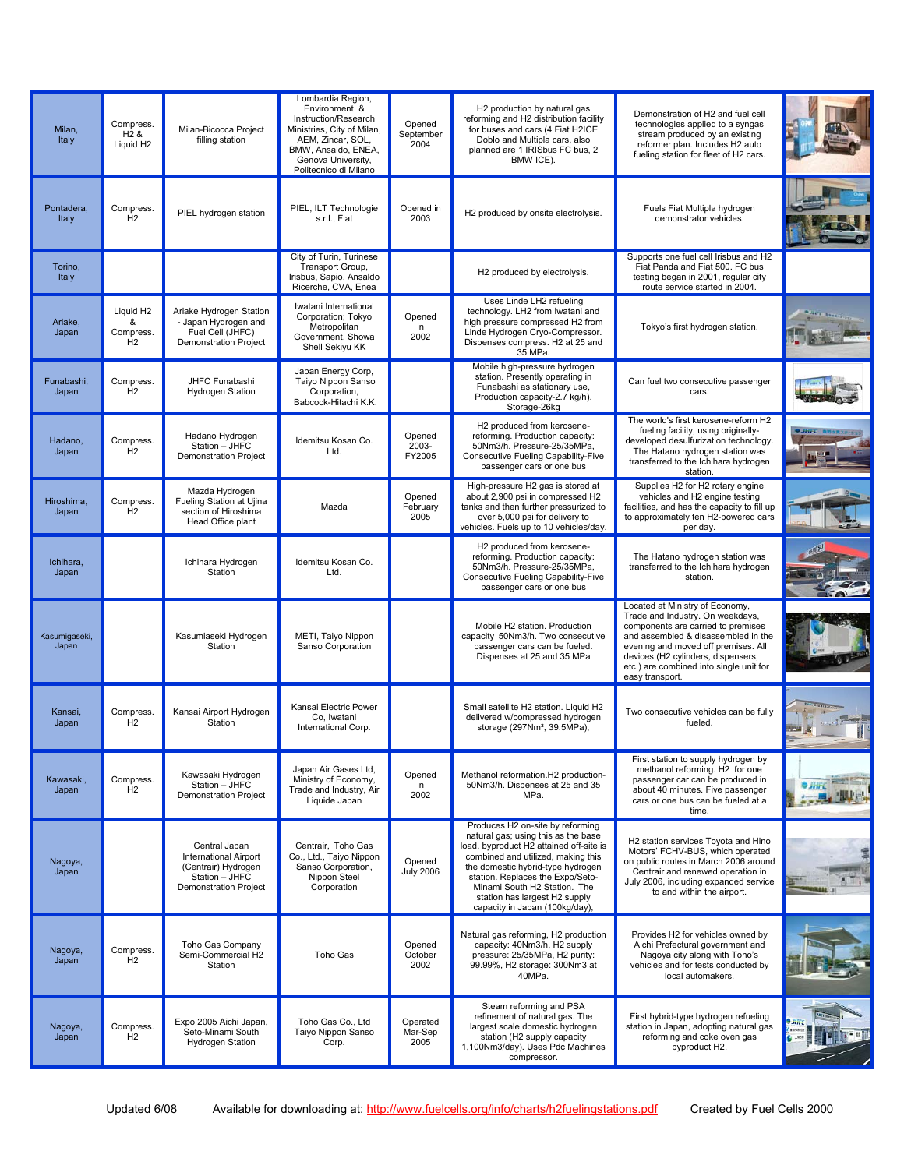| Milan,<br>Italy        | Compress.<br>H <sub>2</sub> &<br>Liquid H <sub>2</sub>    | Milan-Bicocca Project<br>filling station                                                                               | Lombardia Region,<br>Environment &<br>Instruction/Research<br>Ministries, City of Milan,<br>AEM, Zincar, SOL,<br>BMW, Ansaldo, ENEA,<br>Genova University,<br>Politecnico di Milano | Opened<br>September<br>2004 | H2 production by natural gas<br>reforming and H2 distribution facility<br>for buses and cars (4 Fiat H2ICE<br>Doblo and Multipla cars, also<br>planned are 1 IRISbus FC bus, 2<br>BMW ICE).                                                                                                                                          | Demonstration of H2 and fuel cell<br>technologies applied to a syngas<br>stream produced by an existing<br>reformer plan. Includes H2 auto<br>fueling station for fleet of H2 cars.                                                                                                         |  |
|------------------------|-----------------------------------------------------------|------------------------------------------------------------------------------------------------------------------------|-------------------------------------------------------------------------------------------------------------------------------------------------------------------------------------|-----------------------------|--------------------------------------------------------------------------------------------------------------------------------------------------------------------------------------------------------------------------------------------------------------------------------------------------------------------------------------|---------------------------------------------------------------------------------------------------------------------------------------------------------------------------------------------------------------------------------------------------------------------------------------------|--|
| Pontadera,<br>Italy    | Compress.<br>H2                                           | PIEL hydrogen station                                                                                                  | PIEL, ILT Technologie<br>s.r.l., Fiat                                                                                                                                               | Opened in<br>2003           | H2 produced by onsite electrolysis.                                                                                                                                                                                                                                                                                                  | Fuels Fiat Multipla hydrogen<br>demonstrator vehicles.                                                                                                                                                                                                                                      |  |
| Torino,<br>Italy       |                                                           |                                                                                                                        | City of Turin, Turinese<br>Transport Group,<br>Irisbus, Sapio, Ansaldo<br>Ricerche, CVA, Enea                                                                                       |                             | H2 produced by electrolysis.                                                                                                                                                                                                                                                                                                         | Supports one fuel cell Irisbus and H2<br>Fiat Panda and Fiat 500. FC bus<br>testing began in 2001, regular city<br>route service started in 2004.                                                                                                                                           |  |
| Ariake,<br>Japan       | Liquid H <sub>2</sub><br>&<br>Compress.<br>H <sub>2</sub> | Ariake Hydrogen Station<br>- Japan Hydrogen and<br>Fuel Cell (JHFC)<br><b>Demonstration Project</b>                    | Iwatani International<br>Corporation; Tokyo<br>Metropolitan<br>Government, Showa<br>Shell Sekiyu KK                                                                                 | Opened<br>in<br>2002        | Uses Linde LH2 refueling<br>technology. LH2 from Iwatani and<br>high pressure compressed H2 from<br>Linde Hydrogen Cryo-Compressor.<br>Dispenses compress. H2 at 25 and<br>35 MPa.                                                                                                                                                   | Tokyo's first hydrogen station.                                                                                                                                                                                                                                                             |  |
| Funabashi,<br>Japan    | Compress.<br>H <sub>2</sub>                               | JHFC Funabashi<br><b>Hydrogen Station</b>                                                                              | Japan Energy Corp,<br>Taiyo Nippon Sanso<br>Corporation,<br>Babcock-Hitachi K.K.                                                                                                    |                             | Mobile high-pressure hydrogen<br>station. Presently operating in<br>Funabashi as stationary use,<br>Production capacity-2.7 kg/h).<br>Storage-26kg                                                                                                                                                                                   | Can fuel two consecutive passenger<br>cars.                                                                                                                                                                                                                                                 |  |
| Hadano,<br>Japan       | Compress.<br>H2                                           | Hadano Hydrogen<br>Station - JHFC<br><b>Demonstration Project</b>                                                      | Idemitsu Kosan Co.<br>Ltd.                                                                                                                                                          | Opened<br>2003-<br>FY2005   | H2 produced from kerosene-<br>reforming. Production capacity:<br>50Nm3/h. Pressure-25/35MPa,<br>Consecutive Fueling Capability-Five<br>passenger cars or one bus                                                                                                                                                                     | The world's first kerosene-reform H2<br>fueling facility, using originally-<br>developed desulfurization technology.<br>The Hatano hydrogen station was<br>transferred to the Ichihara hydrogen<br>station.                                                                                 |  |
| Hiroshima,<br>Japan    | Compress.<br>H <sub>2</sub>                               | Mazda Hydrogen<br>Fueling Station at Ujina<br>section of Hiroshima<br>Head Office plant                                | Mazda                                                                                                                                                                               | Opened<br>February<br>2005  | High-pressure H2 gas is stored at<br>about 2,900 psi in compressed H2<br>tanks and then further pressurized to<br>over 5,000 psi for delivery to<br>vehicles. Fuels up to 10 vehicles/day.                                                                                                                                           | Supplies H2 for H2 rotary engine<br>vehicles and H2 engine testing<br>facilities, and has the capacity to fill up<br>to approximately ten H2-powered cars<br>per day.                                                                                                                       |  |
| Ichihara,<br>Japan     |                                                           | Ichihara Hydrogen<br>Station                                                                                           | Idemitsu Kosan Co.<br>Ltd.                                                                                                                                                          |                             | H2 produced from kerosene-<br>reforming. Production capacity:<br>50Nm3/h. Pressure-25/35MPa,<br>Consecutive Fueling Capability-Five<br>passenger cars or one bus                                                                                                                                                                     | The Hatano hydrogen station was<br>transferred to the Ichihara hydrogen<br>station.                                                                                                                                                                                                         |  |
| Kasumigaseki,<br>Japan |                                                           | Kasumiaseki Hydrogen<br>Station                                                                                        | METI, Taiyo Nippon<br>Sanso Corporation                                                                                                                                             |                             | Mobile H2 station. Production<br>capacity 50Nm3/h. Two consecutive<br>passenger cars can be fueled.<br>Dispenses at 25 and 35 MPa                                                                                                                                                                                                    | Located at Ministry of Economy,<br>Trade and Industry. On weekdays,<br>components are carried to premises<br>and assembled & disassembled in the<br>evening and moved off premises. All<br>devices (H2 cylinders, dispensers,<br>etc.) are combined into single unit for<br>easy transport. |  |
| Kansai,<br>Japan       | Compress.<br>H <sub>2</sub>                               | Kansai Airport Hydrogen<br>Station                                                                                     | Kansai Electric Power<br>Co, Iwatani<br>International Corp.                                                                                                                         |                             | Small satellite H2 station. Liquid H2<br>delivered w/compressed hydrogen<br>storage (297Nm <sup>3</sup> , 39.5MPa),                                                                                                                                                                                                                  | Two consecutive vehicles can be fully<br>fueled.                                                                                                                                                                                                                                            |  |
| Kawasaki,<br>Japan     | Compress.<br>H <sub>2</sub>                               | Kawasaki Hydrogen<br>Station - JHFC<br><b>Demonstration Project</b>                                                    | Japan Air Gases Ltd.<br>Ministry of Economy,<br>Trade and Industry, Air<br>Liquide Japan                                                                                            | Opened<br>in<br>2002        | Methanol reformation.H2 production-<br>50Nm3/h. Dispenses at 25 and 35<br>MPa.                                                                                                                                                                                                                                                       | First station to supply hydrogen by<br>methanol reforming. H2 for one<br>passenger car can be produced in<br>about 40 minutes. Five passenger<br>cars or one bus can be fueled at a<br>time.                                                                                                |  |
| Nagoya,<br>Japan       |                                                           | Central Japan<br><b>International Airport</b><br>(Centrair) Hydrogen<br>Station - JHFC<br><b>Demonstration Project</b> | Centrair, Toho Gas<br>Co., Ltd., Taiyo Nippon<br>Sanso Corporation,<br>Nippon Steel<br>Corporation                                                                                  | Opened<br><b>July 2006</b>  | Produces H2 on-site by reforming<br>natural gas; using this as the base<br>load, byproduct H2 attained off-site is<br>combined and utilized, making this<br>the domestic hybrid-type hydrogen<br>station. Replaces the Expo/Seto-<br>Minami South H2 Station. The<br>station has largest H2 supply<br>capacity in Japan (100kg/day), | H2 station services Toyota and Hino<br>Motors' FCHV-BUS, which operated<br>on public routes in March 2006 around<br>Centrair and renewed operation in<br>July 2006, including expanded service<br>to and within the airport.                                                                |  |
| Nagoya,<br>Japan       | Compress.<br>H2                                           | Toho Gas Company<br>Semi-Commercial H2<br>Station                                                                      | Toho Gas                                                                                                                                                                            | Opened<br>October<br>2002   | Natural gas reforming, H2 production<br>capacity: 40Nm3/h, H2 supply<br>pressure: 25/35MPa, H2 purity:<br>99.99%, H2 storage: 300Nm3 at<br>40MPa.                                                                                                                                                                                    | Provides H2 for vehicles owned by<br>Aichi Prefectural government and<br>Nagoya city along with Toho's<br>vehicles and for tests conducted by<br>local automakers.                                                                                                                          |  |
| Nagoya,<br>Japan       | Compress.<br>H <sub>2</sub>                               | Expo 2005 Aichi Japan,<br>Seto-Minami South<br><b>Hydrogen Station</b>                                                 | Toho Gas Co., Ltd<br>Taiyo Nippon Sanso<br>Corp.                                                                                                                                    | Operated<br>Mar-Sep<br>2005 | Steam reforming and PSA<br>refinement of natural gas. The<br>largest scale domestic hydrogen<br>station (H2 supply capacity<br>1,100Nm3/day). Uses Pdc Machines<br>compressor.                                                                                                                                                       | First hybrid-type hydrogen refueling<br>station in Japan, adopting natural gas<br>reforming and coke oven gas<br>byproduct H2.                                                                                                                                                              |  |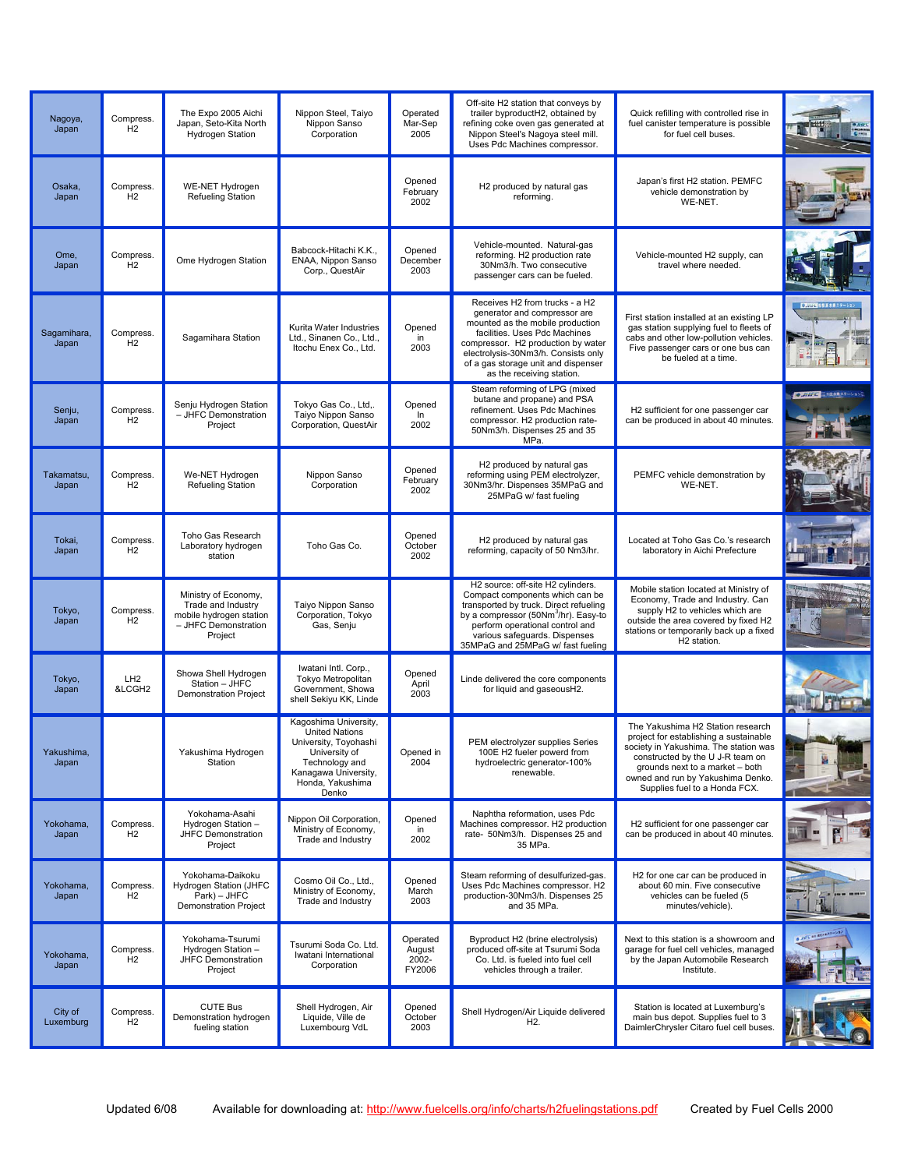| Nagoya,<br>Japan     | Compress.<br>H2           | The Expo 2005 Aichi<br>Japan, Seto-Kita North<br><b>Hydrogen Station</b>                                 | Nippon Steel, Taiyo<br>Nippon Sanso<br>Corporation                                                                                                              | Operated<br>Mar-Sep<br>2005           | Off-site H2 station that conveys by<br>trailer byproductH2, obtained by<br>refining coke oven gas generated at<br>Nippon Steel's Nagoya steel mill.<br>Uses Pdc Machines compressor.                                                                                                 | Quick refilling with controlled rise in<br>fuel canister temperature is possible<br>for fuel cell buses.                                                                                                                                                          |                           |
|----------------------|---------------------------|----------------------------------------------------------------------------------------------------------|-----------------------------------------------------------------------------------------------------------------------------------------------------------------|---------------------------------------|--------------------------------------------------------------------------------------------------------------------------------------------------------------------------------------------------------------------------------------------------------------------------------------|-------------------------------------------------------------------------------------------------------------------------------------------------------------------------------------------------------------------------------------------------------------------|---------------------------|
| Osaka,<br>Japan      | Compress.<br>H2           | <b>WE-NET Hydrogen</b><br>Refueling Station                                                              |                                                                                                                                                                 | Opened<br>February<br>2002            | H2 produced by natural gas<br>reforming.                                                                                                                                                                                                                                             | Japan's first H2 station. PEMFC<br>vehicle demonstration by<br>WE-NET.                                                                                                                                                                                            |                           |
| Ome,<br>Japan        | Compress.<br>H2           | Ome Hydrogen Station                                                                                     | Babcock-Hitachi K.K.,<br>ENAA, Nippon Sanso<br>Corp., QuestAir                                                                                                  | Opened<br>December<br>2003            | Vehicle-mounted. Natural-gas<br>reforming. H2 production rate<br>30Nm3/h. Two consecutive<br>passenger cars can be fueled.                                                                                                                                                           | Vehicle-mounted H2 supply, can<br>travel where needed.                                                                                                                                                                                                            |                           |
| Sagamihara,<br>Japan | Compress.<br>H2           | Sagamihara Station                                                                                       | Kurita Water Industries<br>Ltd., Sinanen Co., Ltd.,<br>Itochu Enex Co., Ltd.                                                                                    | Opened<br>in<br>2003                  | Receives H2 from trucks - a H2<br>generator and compressor are<br>mounted as the mobile production<br>facilities. Uses Pdc Machines<br>compressor. H2 production by water<br>electrolysis-30Nm3/h. Consists only<br>of a gas storage unit and dispenser<br>as the receiving station. | First station installed at an existing LP<br>gas station supplying fuel to fleets of<br>cabs and other low-pollution vehicles.<br>Five passenger cars or one bus can<br>be fueled at a time.                                                                      | ■■のコンスのコンステーション           |
| Senju,<br>Japan      | Compress.<br>H2           | Senju Hydrogen Station<br>- JHFC Demonstration<br>Project                                                | Tokyo Gas Co., Ltd,.<br>Taiyo Nippon Sanso<br>Corporation, QuestAir                                                                                             | Opened<br>In<br>2002                  | Steam reforming of LPG (mixed<br>butane and propane) and PSA<br>refinement. Uses Pdc Machines<br>compressor. H2 production rate-<br>50Nm3/h. Dispenses 25 and 35<br>MPa.                                                                                                             | H2 sufficient for one passenger car<br>can be produced in about 40 minutes.                                                                                                                                                                                       | <b>OUNTS ETGARAT-VANS</b> |
| Takamatsu,<br>Japan  | Compress.<br>H2           | We-NET Hydrogen<br><b>Refueling Station</b>                                                              | Nippon Sanso<br>Corporation                                                                                                                                     | Opened<br>February<br>2002            | H2 produced by natural gas<br>reforming using PEM electrolyzer,<br>30Nm3/hr. Dispenses 35MPaG and<br>25MPaG w/ fast fueling                                                                                                                                                          | PEMFC vehicle demonstration by<br>WE-NET.                                                                                                                                                                                                                         |                           |
| Tokai,<br>Japan      | Compress.<br>H2           | Toho Gas Research<br>Laboratory hydrogen<br>station                                                      | Toho Gas Co.                                                                                                                                                    | Opened<br>October<br>2002             | H2 produced by natural gas<br>reforming, capacity of 50 Nm3/hr.                                                                                                                                                                                                                      | Located at Toho Gas Co.'s research<br>laboratory in Aichi Prefecture                                                                                                                                                                                              |                           |
| Tokyo,<br>Japan      | Compress.<br>H2           | Ministry of Economy,<br>Trade and Industry<br>mobile hydrogen station<br>- JHFC Demonstration<br>Project | Taiyo Nippon Sanso<br>Corporation, Tokyo<br>Gas, Senju                                                                                                          |                                       | H2 source: off-site H2 cylinders.<br>Compact components which can be<br>transported by truck. Direct refueling<br>by a compressor (50Nm <sup>3</sup> /hr). Easy-to<br>perform operational control and<br>various safeguards. Dispenses<br>35MPaG and 25MPaG w/ fast fueling          | Mobile station located at Ministry of<br>Economy, Trade and Industry. Can<br>supply H2 to vehicles which are<br>outside the area covered by fixed H2<br>stations or temporarily back up a fixed<br>H <sub>2</sub> station.                                        |                           |
| Tokyo,<br>Japan      | LH <sub>2</sub><br>&LCGH2 | Showa Shell Hydrogen<br>Station - JHFC<br><b>Demonstration Project</b>                                   | Iwatani Intl. Corp.,<br><b>Tokvo Metropolitan</b><br>Government, Showa<br>shell Sekiyu KK, Linde                                                                | Opened<br>April<br>2003               | Linde delivered the core components<br>for liquid and gaseousH2.                                                                                                                                                                                                                     |                                                                                                                                                                                                                                                                   |                           |
| rakusnima,<br>Japan  |                           | Yakushima Hydrogen<br>Station                                                                            | Kagoshima University,<br><b>United Nations</b><br>University, Toyohashi<br>University of<br>Technology and<br>Kanagawa University,<br>Honda, Yakushima<br>Denko | Opened in<br>2004                     | PEM electrolyzer supplies Series<br>100E H2 fueler powerd from<br>hydroelectric generator-100%<br>renewable.                                                                                                                                                                         | The Yakushima H2 Station research<br>project for establishing a sustainable<br>society in Yakushima. The station was<br>constructed by the U J-R team on<br>grounds next to a market - both<br>owned and run by Yakushima Denko.<br>Supplies fuel to a Honda FCX. |                           |
| Yokohama.<br>Japan   | Compress.<br>H2           | Yokohama-Asahi<br>Hydrogen Station -<br>JHFC Demonstration<br>Project                                    | Nippon Oil Corporation,<br>Ministry of Economy,<br>Trade and Industry                                                                                           | Opened<br>in<br>2002                  | Naphtha reformation, uses Pdc<br>Machines compressor. H2 production<br>rate- 50Nm3/h. Dispenses 25 and<br>35 MPa.                                                                                                                                                                    | H2 sufficient for one passenger car<br>can be produced in about 40 minutes.                                                                                                                                                                                       |                           |
| Yokohama,<br>Japan   | Compress.<br>H2           | Yokohama-Daikoku<br>Hydrogen Station (JHFC<br>Park) - JHFC<br><b>Demonstration Project</b>               | Cosmo Oil Co., Ltd.,<br>Ministry of Economy,<br>Trade and Industry                                                                                              | Opened<br>March<br>2003               | Steam reforming of desulfurized-gas.<br>Uses Pdc Machines compressor. H2<br>production-30Nm3/h. Dispenses 25<br>and 35 MPa.                                                                                                                                                          | H2 for one car can be produced in<br>about 60 min. Five consecutive<br>vehicles can be fueled (5<br>minutes/vehicle).                                                                                                                                             |                           |
| Yokohama,<br>Japan   | Compress.<br>H2           | Yokohama-Tsurumi<br>Hydrogen Station -<br>JHFC Demonstration<br>Project                                  | Tsurumi Soda Co. Ltd.<br>Iwatani International<br>Corporation                                                                                                   | Operated<br>August<br>2002-<br>FY2006 | Byproduct H2 (brine electrolysis)<br>produced off-site at Tsurumi Soda<br>Co. Ltd. is fueled into fuel cell<br>vehicles through a trailer.                                                                                                                                           | Next to this station is a showroom and<br>garage for fuel cell vehicles, managed<br>by the Japan Automobile Research<br>Institute.                                                                                                                                | <b>CENSIVES</b>           |
| City of<br>Luxemburg | Compress.<br>H2           | <b>CUTE Bus</b><br>Demonstration hydrogen<br>fueling station                                             | Shell Hydrogen, Air<br>Liquide, Ville de<br>Luxembourg VdL                                                                                                      | Opened<br>October<br>2003             | Shell Hydrogen/Air Liquide delivered<br>H <sub>2</sub> .                                                                                                                                                                                                                             | Station is located at Luxemburg's<br>main bus depot. Supplies fuel to 3<br>DaimlerChrysler Citaro fuel cell buses.                                                                                                                                                |                           |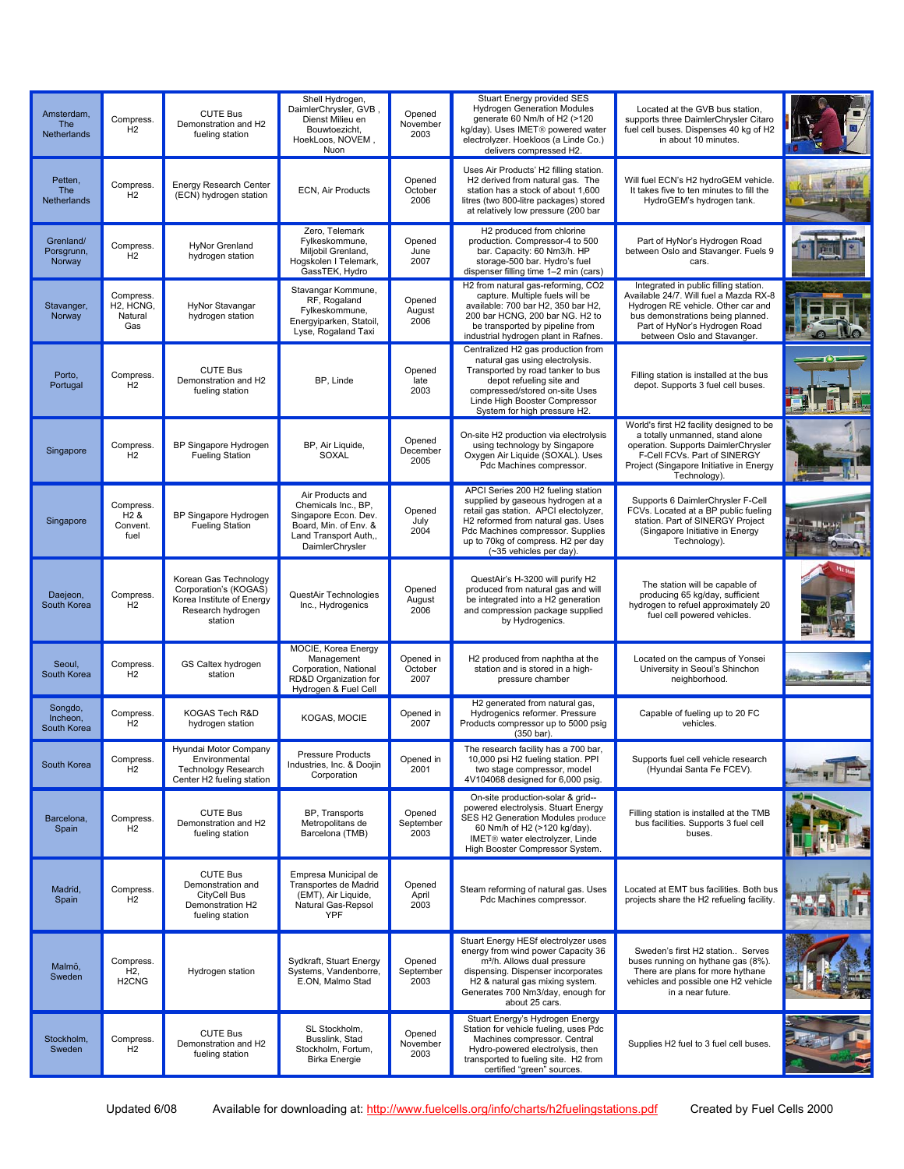| Amsterdam,<br><b>The</b><br><b>Netherlands</b> | Compress.<br>H <sub>2</sub>                                      | <b>CUTE Bus</b><br>Demonstration and H2<br>fueling station                                                  | Shell Hydrogen,<br>DaimlerChrysler, GVB,<br>Dienst Milieu en<br>Bouwtoezicht,<br>HoekLoos, NOVEM.<br>Nuon                            | Opened<br>November<br>2003   | Stuart Energy provided SES<br><b>Hydrogen Generation Modules</b><br>generate 60 Nm/h of H2 (>120<br>kg/dav). Uses IMET <sup>®</sup> powered water<br>electrolyzer. Hoekloos (a Linde Co.)<br>delivers compressed H2.                                         | Located at the GVB bus station.<br>supports three DaimlerChrysler Citaro<br>fuel cell buses. Dispenses 40 kg of H2<br>in about 10 minutes.                                                                                 |  |
|------------------------------------------------|------------------------------------------------------------------|-------------------------------------------------------------------------------------------------------------|--------------------------------------------------------------------------------------------------------------------------------------|------------------------------|--------------------------------------------------------------------------------------------------------------------------------------------------------------------------------------------------------------------------------------------------------------|----------------------------------------------------------------------------------------------------------------------------------------------------------------------------------------------------------------------------|--|
| Petten,<br>The<br>Netherlands                  | Compress.<br>H <sub>2</sub>                                      | Energy Research Center<br>(ECN) hydrogen station                                                            | ECN, Air Products                                                                                                                    | Opened<br>October<br>2006    | Uses Air Products' H2 filling station.<br>H2 derived from natural gas. The<br>station has a stock of about 1,600<br>litres (two 800-litre packages) stored<br>at relatively low pressure (200 bar                                                            | Will fuel ECN's H2 hydroGEM vehicle.<br>It takes five to ten minutes to fill the<br>HydroGEM's hydrogen tank.                                                                                                              |  |
| Grenland/<br>Porsgrunn,<br>Norway              | Compress.<br>H <sub>2</sub>                                      | <b>HvNor Grenland</b><br>hydrogen station                                                                   | Zero, Telemark<br>Fylkeskommune,<br>Miljobil Grenland,<br>Hogskolen I Telemark,<br>GassTEK, Hydro                                    | Opened<br>June<br>2007       | H2 produced from chlorine<br>production. Compressor-4 to 500<br>bar. Capacity: 60 Nm3/h. HP<br>storage-500 bar. Hydro's fuel<br>dispenser filling time 1-2 min (cars)                                                                                        | Part of HyNor's Hydrogen Road<br>between Oslo and Stavanger. Fuels 9<br>cars.                                                                                                                                              |  |
| Stavanger,<br>Norway                           | Compress.<br>H <sub>2</sub> , HCN <sub>G</sub><br>Natural<br>Gas | HyNor Stavangar<br>hydrogen station                                                                         | Stavangar Kommune,<br>RF, Rogaland<br>Fylkeskommune,<br>Energyiparken, Statoil,<br>Lyse, Rogaland Taxi                               | Opened<br>August<br>2006     | H2 from natural gas-reforming, CO2<br>capture. Multiple fuels will be<br>available: 700 bar H2, 350 bar H2,<br>200 bar HCNG, 200 bar NG. H2 to<br>be transported by pipeline from<br>industrial hydrogen plant in Rafnes.                                    | Integrated in public filling station.<br>Available 24/7. Will fuel a Mazda RX-8<br>Hydrogen RE vehicle. Other car and<br>bus demonstrations being planned.<br>Part of HyNor's Hydrogen Road<br>between Oslo and Stavanger. |  |
| Porto,<br>Portugal                             | Compress.<br>H <sub>2</sub>                                      | <b>CUTE Bus</b><br>Demonstration and H2<br>fueling station                                                  | BP, Linde                                                                                                                            | Opened<br>late<br>2003       | Centralized H2 gas production from<br>natural gas using electrolysis.<br>Transported by road tanker to bus<br>depot refueling site and<br>compressed/stored on-site Uses<br>Linde High Booster Compressor<br>System for high pressure H2.                    | Filling station is installed at the bus<br>depot. Supports 3 fuel cell buses.                                                                                                                                              |  |
| Singapore                                      | Compress.<br>H <sub>2</sub>                                      | BP Singapore Hydrogen<br><b>Fueling Station</b>                                                             | BP, Air Liquide,<br>SOXAL                                                                                                            | Opened<br>December<br>2005   | On-site H2 production via electrolysis<br>using technology by Singapore<br>Oxygen Air Liquide (SOXAL). Uses<br>Pdc Machines compressor.                                                                                                                      | World's first H2 facility designed to be<br>a totally unmanned, stand alone<br>operation. Supports DaimlerChrysler<br>F-Cell FCVs. Part of SINERGY<br>Project (Singapore Initiative in Energy<br>Technology).              |  |
| Singapore                                      | Compress.<br>$H2$ &<br>Convent.<br>fuel                          | BP Singapore Hydrogen<br><b>Fueling Station</b>                                                             | Air Products and<br>Chemicals Inc., BP,<br>Singapore Econ. Dev.<br>Board, Min. of Env. &<br>Land Transport Auth,,<br>DaimlerChrysler | Opened<br>July<br>2004       | APCI Series 200 H2 fueling station<br>supplied by gaseous hydrogen at a<br>retail gas station. APCI electolyzer,<br>H2 reformed from natural gas. Uses<br>Pdc Machines compressor. Supplies<br>up to 70kg of compress. H2 per day<br>(~35 vehicles per day). | Supports 6 DaimlerChrysler F-Cell<br>FCVs. Located at a BP public fueling<br>station. Part of SINERGY Project<br>(Singapore Initiative in Energy<br>Technology).                                                           |  |
| Daejeon,<br>South Korea                        | Compress.<br>H <sub>2</sub>                                      | Korean Gas Technology<br>Corporation's (KOGAS)<br>Korea Institute of Energy<br>Research hydrogen<br>station | QuestAir Technologies<br>Inc., Hydrogenics                                                                                           | Opened<br>August<br>2006     | QuestAir's H-3200 will purify H2<br>produced from natural gas and will<br>be integrated into a H2 generation<br>and compression package supplied<br>by Hydrogenics.                                                                                          | The station will be capable of<br>producing 65 kg/day, sufficient<br>hydrogen to refuel approximately 20<br>fuel cell powered vehicles.                                                                                    |  |
| Seoul,<br>South Korea                          | Compress.<br>H <sub>2</sub>                                      | GS Caltex hydrogen<br>station                                                                               | MOCIE, Korea Energy<br>Management<br>Corporation, National<br>RD&D Organization for<br>Hydrogen & Fuel Cell                          | Opened in<br>October<br>2007 | H2 produced from naphtha at the<br>station and is stored in a high-<br>pressure chamber                                                                                                                                                                      | Located on the campus of Yonsei<br>University in Seoul's Shinchon<br>neighborhood.                                                                                                                                         |  |
| Songdo,<br>Incheon,<br>South Korea             | Compress.<br>H2                                                  | KOGAS Tech R&D<br>hydrogen station                                                                          | KOGAS, MOCIE                                                                                                                         | Opened in<br>2007            | H2 generated from natural gas,<br>Hydrogenics reformer. Pressure<br>Products compressor up to 5000 psig<br>(350 bar).                                                                                                                                        | Capable of fueling up to 20 FC<br>vehicles.                                                                                                                                                                                |  |
| South Korea                                    | Compress.<br>H <sub>2</sub>                                      | Hyundai Motor Company<br>Environmental<br><b>Technology Research</b><br>Center H2 fueling station           | <b>Pressure Products</b><br>Industries, Inc. & Doojin<br>Corporation                                                                 | Opened in<br>2001            | The research facility has a 700 bar,<br>10,000 psi H2 fueling station. PPI<br>two stage compressor, model<br>4V104068 designed for 6,000 psig.                                                                                                               | Supports fuel cell vehicle research<br>(Hyundai Santa Fe FCEV).                                                                                                                                                            |  |
| Barcelona,<br>Spain                            | Compress.<br>H <sub>2</sub>                                      | <b>CUTE Bus</b><br>Demonstration and H2<br>fueling station                                                  | BP, Transports<br>Metropolitans de<br>Barcelona (TMB)                                                                                | Opened<br>September<br>2003  | On-site production-solar & grid--<br>powered electrolysis. Stuart Energy<br>SES H2 Generation Modules produce<br>60 Nm/h of H2 (>120 kg/day).<br>IMET® water electrolyzer, Linde<br>High Booster Compressor System.                                          | Filling station is installed at the TMB<br>bus facilities. Supports 3 fuel cell<br>buses.                                                                                                                                  |  |
| Madrid,<br>Spain                               | Compress.<br>H <sub>2</sub>                                      | <b>CUTE Bus</b><br>Demonstration and<br>CityCell Bus<br>Demonstration H2<br>fueling station                 | Empresa Municipal de<br>Transportes de Madrid<br>(EMT), Air Liquide,<br>Natural Gas-Repsol<br>YPF                                    | Opened<br>April<br>2003      | Steam reforming of natural gas. Uses<br>Pdc Machines compressor.                                                                                                                                                                                             | Located at EMT bus facilities. Both bus<br>projects share the H2 refueling facility.                                                                                                                                       |  |
| Malmö,<br>Sweden                               | Compress.<br>H <sub>2</sub> ,<br>H <sub>2</sub> CN <sub>G</sub>  | Hydrogen station                                                                                            | Sydkraft, Stuart Energy<br>Systems, Vandenborre,<br>E.ON, Malmo Stad                                                                 | Opened<br>September<br>2003  | Stuart Energy HESf electrolyzer uses<br>energy from wind power Capacity 36<br>m <sup>3</sup> /h. Allows dual pressure<br>dispensing. Dispenser incorporates<br>H2 & natural gas mixing system.<br>Generates 700 Nm3/day, enough for<br>about 25 cars.        | Sweden's first H2 station Serves<br>buses running on hythane gas (8%).<br>There are plans for more hythane<br>vehicles and possible one H2 vehicle<br>in a near future.                                                    |  |
| Stockholm,<br>Sweden                           | Compress.<br>H2                                                  | <b>CUTE Bus</b><br>Demonstration and H2<br>fueling station                                                  | SL Stockholm,<br>Busslink, Stad<br>Stockholm, Fortum,<br><b>Birka Energie</b>                                                        | Opened<br>November<br>2003   | Stuart Energy's Hydrogen Energy<br>Station for vehicle fueling, uses Pdc<br>Machines compressor. Central<br>Hydro-powered electrolysis, then<br>transported to fueling site. H2 from<br>certified "green" sources.                                           | Supplies H2 fuel to 3 fuel cell buses.                                                                                                                                                                                     |  |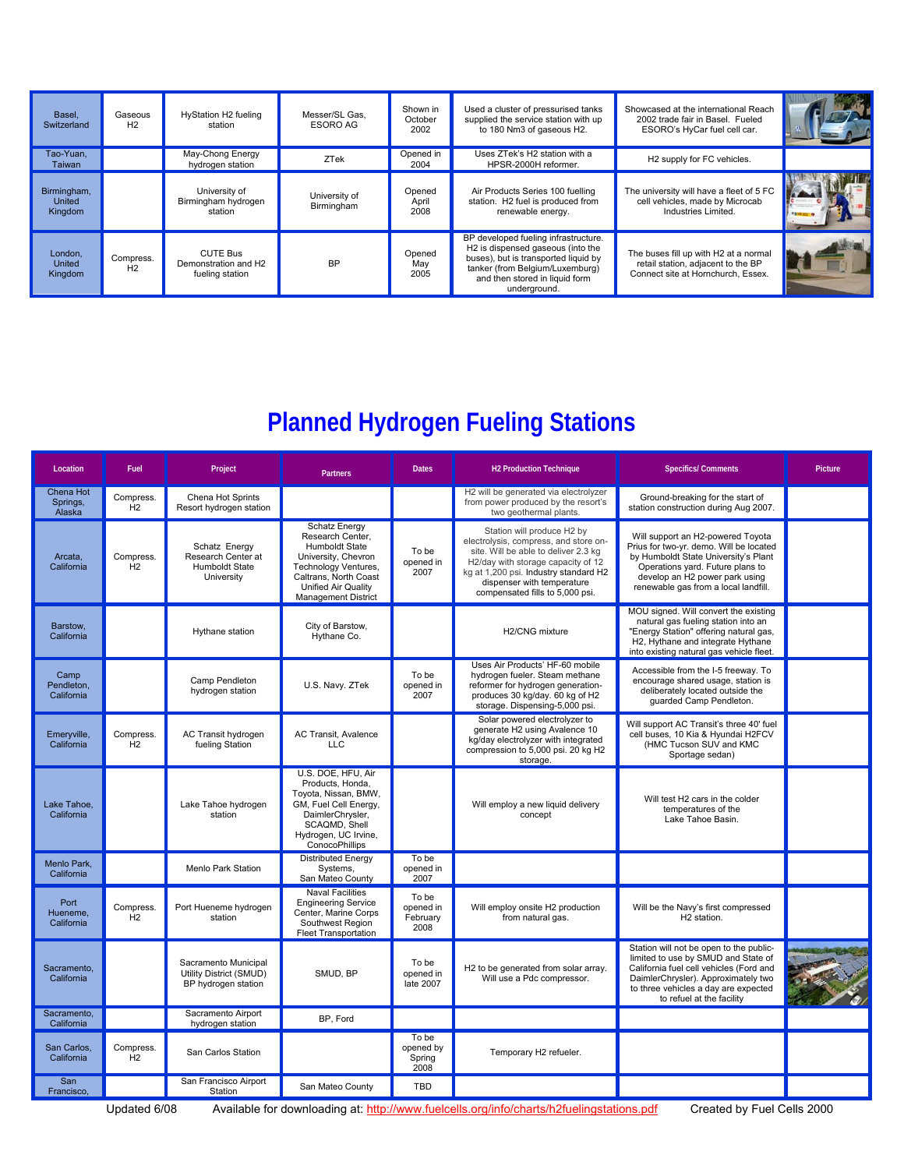| Basel,<br>Switzerland            | Gaseous<br>H <sub>2</sub>   | HyStation H2 fueling<br>station                            | Messer/SL Gas,<br>ESORO AG  | Shown in<br>October<br>2002 | Used a cluster of pressurised tanks<br>supplied the service station with up<br>to 180 Nm3 of gaseous H2.                                                                                                           | Showcased at the international Reach<br>2002 trade fair in Basel. Fueled<br>ESORO's HyCar fuel cell car.          |  |
|----------------------------------|-----------------------------|------------------------------------------------------------|-----------------------------|-----------------------------|--------------------------------------------------------------------------------------------------------------------------------------------------------------------------------------------------------------------|-------------------------------------------------------------------------------------------------------------------|--|
| Tao-Yuan.<br>Taiwan              |                             | May-Chong Energy<br>hydrogen station                       | ZTek                        | Opened in<br>2004           | Uses ZTek's H2 station with a<br>HPSR-2000H reformer.                                                                                                                                                              | H2 supply for FC vehicles.                                                                                        |  |
| Birmingham,<br>United<br>Kingdom |                             | University of<br>Birmingham hydrogen<br>station            | University of<br>Birmingham | Opened<br>April<br>2008     | Air Products Series 100 fuelling<br>station. H2 fuel is produced from<br>renewable energy.                                                                                                                         | The university will have a fleet of 5 FC<br>cell vehicles, made by Microcab<br>Industries Limited.                |  |
| London,<br>United<br>Kingdom     | Compress.<br>H <sub>2</sub> | <b>CUTE Bus</b><br>Demonstration and H2<br>fueling station | <b>BP</b>                   | Opened<br>May<br>2005       | BP developed fueling infrastructure.<br>H <sub>2</sub> is dispensed gaseous (into the<br>buses), but is transported liquid by<br>tanker (from Belgium/Luxemburg)<br>and then stored in liquid form<br>underground. | The buses fill up with H2 at a normal<br>retail station, adjacent to the BP<br>Connect site at Hornchurch. Essex. |  |

## **Planned Hydrogen Fueling Stations**

| Location                         | Fuel            | Project                                                                | <b>Partners</b>                                                                                                                                                                                       | <b>Dates</b>                           | <b>H2 Production Technique</b>                                                                                                                                                                                                                              | <b>Specifics/Comments</b>                                                                                                                                                                                                             | Picture |
|----------------------------------|-----------------|------------------------------------------------------------------------|-------------------------------------------------------------------------------------------------------------------------------------------------------------------------------------------------------|----------------------------------------|-------------------------------------------------------------------------------------------------------------------------------------------------------------------------------------------------------------------------------------------------------------|---------------------------------------------------------------------------------------------------------------------------------------------------------------------------------------------------------------------------------------|---------|
| Chena Hot<br>Springs,<br>Alaska  | Compress.<br>H2 | Chena Hot Sprints<br>Resort hydrogen station                           |                                                                                                                                                                                                       |                                        | H2 will be generated via electrolyzer<br>from power produced by the resort's<br>two geothermal plants.                                                                                                                                                      | Ground-breaking for the start of<br>station construction during Aug 2007.                                                                                                                                                             |         |
| Arcata,<br>California            | Compress.<br>H2 | Schatz Energy<br>Research Center at<br>Humboldt State<br>University    | <b>Schatz Energy</b><br>Research Center,<br>Humboldt State<br>University, Chevron<br><b>Technology Ventures,</b><br>Caltrans, North Coast<br><b>Unified Air Quality</b><br><b>Management District</b> | To be<br>opened in<br>2007             | Station will produce H2 by<br>electrolysis, compress, and store on-<br>site. Will be able to deliver 2.3 kg<br>H2/day with storage capacity of 12<br>kg at 1,200 psi. Industry standard H2<br>dispenser with temperature<br>compensated fills to 5,000 psi. | Will support an H2-powered Toyota<br>Prius for two-yr. demo. Will be located<br>by Humboldt State University's Plant<br>Operations yard. Future plans to<br>develop an H2 power park using<br>renewable gas from a local landfill.    |         |
| Barstow.<br>California           |                 | Hythane station                                                        | City of Barstow,<br>Hythane Co.                                                                                                                                                                       |                                        | H2/CNG mixture                                                                                                                                                                                                                                              | MOU signed. Will convert the existing<br>natural gas fueling station into an<br>"Energy Station" offering natural gas,<br>H2, Hythane and integrate Hythane<br>into existing natural gas vehicle fleet.                               |         |
| Camp<br>Pendleton.<br>California |                 | Camp Pendleton<br>hydrogen station                                     | U.S. Navy. ZTek                                                                                                                                                                                       | To be<br>opened in<br>2007             | Uses Air Products' HF-60 mobile<br>hydrogen fueler. Steam methane<br>reformer for hydrogen generation-<br>produces 30 kg/day. 60 kg of H2<br>storage. Dispensing-5,000 psi.                                                                                 | Accessible from the I-5 freeway. To<br>encourage shared usage, station is<br>deliberately located outside the<br>quarded Camp Pendleton.                                                                                              |         |
| Emeryville,<br>California        | Compress.<br>H2 | AC Transit hydrogen<br>fueling Station                                 | AC Transit, Avalence<br>LLC.                                                                                                                                                                          |                                        | Solar powered electrolyzer to<br>generate H2 using Avalence 10<br>kg/day electrolyzer with integrated<br>compression to 5,000 psi. 20 kg H2<br>storage.                                                                                                     | Will support AC Transit's three 40' fuel<br>cell buses, 10 Kia & Hyundai H2FCV<br>(HMC Tucson SUV and KMC<br>Sportage sedan)                                                                                                          |         |
| Lake Tahoe.<br>California        |                 | Lake Tahoe hydrogen<br>station                                         | U.S. DOE, HFU, Air<br>Products, Honda,<br>Toyota, Nissan, BMW,<br>GM, Fuel Cell Energy,<br>DaimlerChrysler,<br>SCAQMD, Shell<br>Hydrogen, UC Irvine,<br>ConocoPhillips                                |                                        | Will employ a new liquid delivery<br>concept                                                                                                                                                                                                                | Will test H2 cars in the colder<br>temperatures of the<br>Lake Tahoe Basin.                                                                                                                                                           |         |
| Menlo Park.<br>California        |                 | <b>Menlo Park Station</b>                                              | <b>Distributed Energy</b><br>Systems.<br>San Mateo County                                                                                                                                             | To be<br>opened in<br>2007             |                                                                                                                                                                                                                                                             |                                                                                                                                                                                                                                       |         |
| Port<br>Hueneme.<br>California   | Compress.<br>H2 | Port Hueneme hydrogen<br>station                                       | <b>Naval Facilities</b><br><b>Engineering Service</b><br>Center, Marine Corps<br>Southwest Region<br><b>Fleet Transportation</b>                                                                      | To be<br>opened in<br>February<br>2008 | Will employ onsite H2 production<br>from natural gas.                                                                                                                                                                                                       | Will be the Navy's first compressed<br>H <sub>2</sub> station.                                                                                                                                                                        |         |
| Sacramento.<br>California        |                 | Sacramento Municipal<br>Utility District (SMUD)<br>BP hydrogen station | SMUD, BP                                                                                                                                                                                              | To be<br>opened in<br>late 2007        | H2 to be generated from solar array.<br>Will use a Pdc compressor.                                                                                                                                                                                          | Station will not be open to the public-<br>limited to use by SMUD and State of<br>California fuel cell vehicles (Ford and<br>DaimlerChrysler). Approximately two<br>to three vehicles a day are expected<br>to refuel at the facility |         |
| Sacramento.<br>California        |                 | Sacramento Airport<br>hydrogen station                                 | BP. Ford                                                                                                                                                                                              |                                        |                                                                                                                                                                                                                                                             |                                                                                                                                                                                                                                       |         |
| San Carlos.<br>California        | Compress.<br>H2 | San Carlos Station                                                     |                                                                                                                                                                                                       | To be<br>opened by<br>Spring<br>2008   | Temporary H2 refueler.                                                                                                                                                                                                                                      |                                                                                                                                                                                                                                       |         |
| San<br>Francisco,                |                 | San Francisco Airport<br>Station                                       | San Mateo County                                                                                                                                                                                      | <b>TBD</b>                             |                                                                                                                                                                                                                                                             |                                                                                                                                                                                                                                       |         |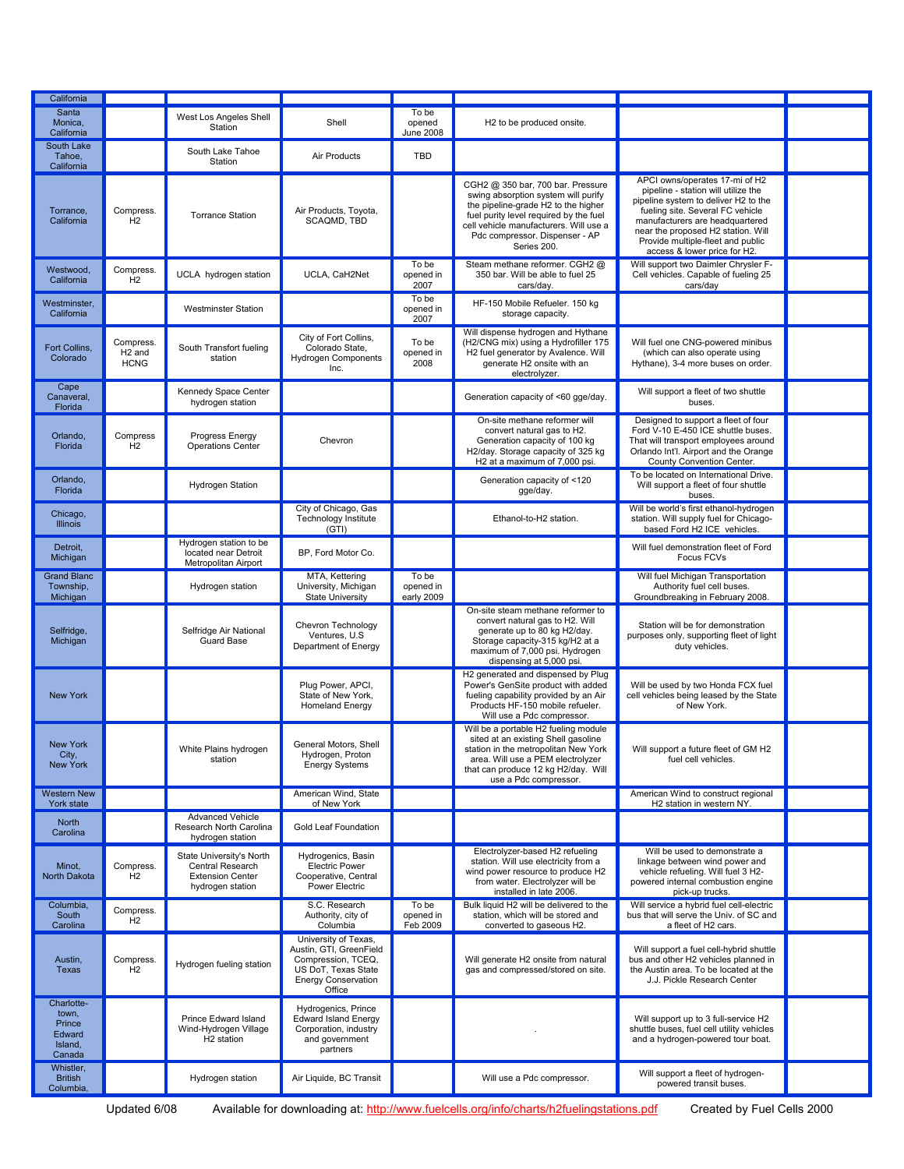| California                                                   |                                                |                                                                                             |                                                                                                                               |                                  |                                                                                                                                                                                                                                                      |                                                                                                                                                                                                                                                                                                 |  |
|--------------------------------------------------------------|------------------------------------------------|---------------------------------------------------------------------------------------------|-------------------------------------------------------------------------------------------------------------------------------|----------------------------------|------------------------------------------------------------------------------------------------------------------------------------------------------------------------------------------------------------------------------------------------------|-------------------------------------------------------------------------------------------------------------------------------------------------------------------------------------------------------------------------------------------------------------------------------------------------|--|
| Santa<br>Monica,<br>California                               |                                                | West Los Angeles Shell<br>Station                                                           | Shell                                                                                                                         | To be<br>opened<br>June 2008     | H2 to be produced onsite.                                                                                                                                                                                                                            |                                                                                                                                                                                                                                                                                                 |  |
| South Lake<br>Tahoe,<br>California                           |                                                | South Lake Tahoe<br>Station                                                                 | Air Products                                                                                                                  | <b>TBD</b>                       |                                                                                                                                                                                                                                                      |                                                                                                                                                                                                                                                                                                 |  |
| Torrance,<br>California                                      | Compress.<br>H2                                | <b>Torrance Station</b>                                                                     | Air Products, Toyota,<br>SCAQMD, TBD                                                                                          |                                  | CGH2 @ 350 bar, 700 bar. Pressure<br>swing absorption system will purify<br>the pipeline-grade H2 to the higher<br>fuel purity level required by the fuel<br>cell vehicle manufacturers. Will use a<br>Pdc compressor. Dispenser - AP<br>Series 200. | APCI owns/operates 17-mi of H2<br>pipeline - station will utilize the<br>pipeline system to deliver H2 to the<br>fueling site. Several FC vehicle<br>manufacturers are headquartered<br>near the proposed H2 station. Will<br>Provide multiple-fleet and public<br>access & lower price for H2. |  |
| Westwood,<br>California                                      | Compress.<br>H2                                | UCLA hydrogen station                                                                       | UCLA, CaH2Net                                                                                                                 | To be<br>opened in<br>2007       | Steam methane reformer. CGH2 @<br>350 bar. Will be able to fuel 25<br>cars/day.                                                                                                                                                                      | Will support two Daimler Chrysler F-<br>Cell vehicles. Capable of fueling 25<br>cars/day                                                                                                                                                                                                        |  |
| Westminster,<br>California                                   |                                                | <b>Westminster Station</b>                                                                  |                                                                                                                               | To be<br>opened in<br>2007       | HF-150 Mobile Refueler, 150 kg<br>storage capacity.                                                                                                                                                                                                  |                                                                                                                                                                                                                                                                                                 |  |
| Fort Collins,<br>Colorado                                    | Compress.<br>H <sub>2</sub> and<br><b>HCNG</b> | South Transfort fueling<br>station                                                          | City of Fort Collins,<br>Colorado State,<br>Hydrogen Components<br>Inc.                                                       | To be<br>opened in<br>2008       | Will dispense hydrogen and Hythane<br>(H2/CNG mix) using a Hydrofiller 175<br>H2 fuel generator by Avalence. Will<br>generate H2 onsite with an<br>electrolyzer.                                                                                     | Will fuel one CNG-powered minibus<br>(which can also operate using<br>Hythane), 3-4 more buses on order.                                                                                                                                                                                        |  |
| Cape<br>Canaveral,<br>Florida                                |                                                | Kennedy Space Center<br>hydrogen station                                                    |                                                                                                                               |                                  | Generation capacity of <60 gge/day.                                                                                                                                                                                                                  | Will support a fleet of two shuttle<br>buses.                                                                                                                                                                                                                                                   |  |
| Orlando.<br>Florida                                          | Compress<br>H2                                 | Progress Energy<br>Operations Center                                                        | Chevron                                                                                                                       |                                  | On-site methane reformer will<br>convert natural gas to H2.<br>Generation capacity of 100 kg<br>H2/day. Storage capacity of 325 kg<br>H2 at a maximum of 7,000 psi.                                                                                  | Designed to support a fleet of four<br>Ford V-10 E-450 ICE shuttle buses.<br>That will transport employees around<br>Orlando Int'l. Airport and the Orange<br>County Convention Center.                                                                                                         |  |
| Orlando,<br>Florida                                          |                                                | <b>Hydrogen Station</b>                                                                     |                                                                                                                               |                                  | Generation capacity of <120<br>gge/day.                                                                                                                                                                                                              | To be located on International Drive.<br>Will support a fleet of four shuttle<br>buses.                                                                                                                                                                                                         |  |
| Chicago,<br><b>Illinois</b>                                  |                                                |                                                                                             | City of Chicago, Gas<br><b>Technology Institute</b><br>(GTI)                                                                  |                                  | Ethanol-to-H2 station.                                                                                                                                                                                                                               | Will be world's first ethanol-hydrogen<br>station. Will supply fuel for Chicago-<br>based Ford H2 ICE vehicles.                                                                                                                                                                                 |  |
| Detroit,<br>Michigan                                         |                                                | Hydrogen station to be<br>located near Detroit<br>Metropolitan Airport                      | BP, Ford Motor Co.                                                                                                            |                                  |                                                                                                                                                                                                                                                      | Will fuel demonstration fleet of Ford<br>Focus FCVs                                                                                                                                                                                                                                             |  |
| <b>Grand Blanc</b><br>Township,<br>Michigan                  |                                                | Hydrogen station                                                                            | MTA, Kettering<br>University, Michigan<br><b>State University</b>                                                             | To be<br>opened in<br>early 2009 |                                                                                                                                                                                                                                                      | Will fuel Michigan Transportation<br>Authority fuel cell buses.<br>Groundbreaking in February 2008.                                                                                                                                                                                             |  |
| Selfridge,<br>Michigan                                       |                                                | Selfridge Air National<br>Guard Base                                                        | Chevron Technology<br>Ventures, U.S.<br>Department of Energy                                                                  |                                  | On-site steam methane reformer to<br>convert natural gas to H2. Will<br>generate up to 80 kg H2/day.<br>Storage capacity-315 kg/H2 at a<br>maximum of 7,000 psi. Hydrogen<br>dispensing at 5,000 psi.                                                | Station will be for demonstration<br>purposes only, supporting fleet of light<br>duty vehicles.                                                                                                                                                                                                 |  |
| <b>New York</b>                                              |                                                |                                                                                             | Plua Power, APCI.<br>State of New York,<br><b>Homeland Energy</b>                                                             |                                  | H2 generated and dispensed by Plug<br>Power's GenSite product with added<br>fueling capability provided by an Air<br>Products HF-150 mobile refueler.<br>Will use a Pdc compressor.                                                                  | Will be used by two Honda FCX fuel<br>cell vehicles being leased by the State<br>of New York.                                                                                                                                                                                                   |  |
| <b>New York</b><br>City,<br><b>New York</b>                  |                                                | White Plains hydrogen<br>station                                                            | General Motors, Shell<br>Hydrogen, Proton<br><b>Energy Systems</b>                                                            |                                  | Will be a portable H2 fueling module<br>sited at an existing Shell gasoline<br>station in the metropolitan New York<br>area. Will use a PEM electrolyzer<br>that can produce 12 kg H2/day. Will<br>use a Pdc compressor.                             | Will support a future fleet of GM H2<br>fuel cell vehicles.                                                                                                                                                                                                                                     |  |
| <b>Western New</b><br>York state                             |                                                |                                                                                             | American Wind, State<br>of New York                                                                                           |                                  |                                                                                                                                                                                                                                                      | American Wind to construct regional<br>H2 station in western NY.                                                                                                                                                                                                                                |  |
| North<br>Carolina                                            |                                                | <b>Advanced Vehicle</b><br>Research North Carolina<br>hydrogen station                      | <b>Gold Leaf Foundation</b>                                                                                                   |                                  |                                                                                                                                                                                                                                                      |                                                                                                                                                                                                                                                                                                 |  |
| Minot,<br>North Dakota                                       | Compress.<br>H2                                | State University's North<br>Central Research<br><b>Extension Center</b><br>hydrogen station | Hydrogenics, Basin<br><b>Electric Power</b><br>Cooperative, Central<br>Power Electric                                         |                                  | Electrolyzer-based H2 refueling<br>station. Will use electricity from a<br>wind power resource to produce H2<br>from water. Electrolyzer will be<br>installed in late 2006.                                                                          | Will be used to demonstrate a<br>linkage between wind power and<br>vehicle refueling. Will fuel 3 H2-<br>powered internal combustion engine<br>pick-up trucks.                                                                                                                                  |  |
| Columbia,<br>South<br>Carolina                               | Compress.<br>H <sub>2</sub>                    |                                                                                             | S.C. Research<br>Authority, city of<br>Columbia                                                                               | To be<br>opened in<br>Feb 2009   | Bulk liquid H2 will be delivered to the<br>station, which will be stored and<br>converted to gaseous H2.                                                                                                                                             | Will service a hybrid fuel cell-electric<br>bus that will serve the Univ. of SC and<br>a fleet of H2 cars.                                                                                                                                                                                      |  |
| Austin,<br>Texas                                             | Compress.<br>H2                                | Hydrogen fueling station                                                                    | University of Texas,<br>Austin, GTI, GreenField<br>Compression, TCEQ,<br>US DoT, Texas State<br>Energy Conservation<br>Office |                                  | Will generate H2 onsite from natural<br>gas and compressed/stored on site.                                                                                                                                                                           | Will support a fuel cell-hybrid shuttle<br>bus and other H2 vehicles planned in<br>the Austin area. To be located at the<br>J.J. Pickle Research Center                                                                                                                                         |  |
| Charlotte-<br>town,<br>Prince<br>Edward<br>Island,<br>Canada |                                                | Prince Edward Island<br>Wind-Hydrogen Village<br>H <sub>2</sub> station                     | Hydrogenics, Prince<br><b>Edward Island Energy</b><br>Corporation, industry<br>and government<br>partners                     |                                  |                                                                                                                                                                                                                                                      | Will support up to 3 full-service H2<br>shuttle buses, fuel cell utility vehicles<br>and a hydrogen-powered tour boat.                                                                                                                                                                          |  |
| Whistler,<br><b>British</b><br>Columbia,                     |                                                | Hydrogen station                                                                            | Air Liquide, BC Transit                                                                                                       |                                  | Will use a Pdc compressor.                                                                                                                                                                                                                           | Will support a fleet of hydrogen-<br>powered transit buses.                                                                                                                                                                                                                                     |  |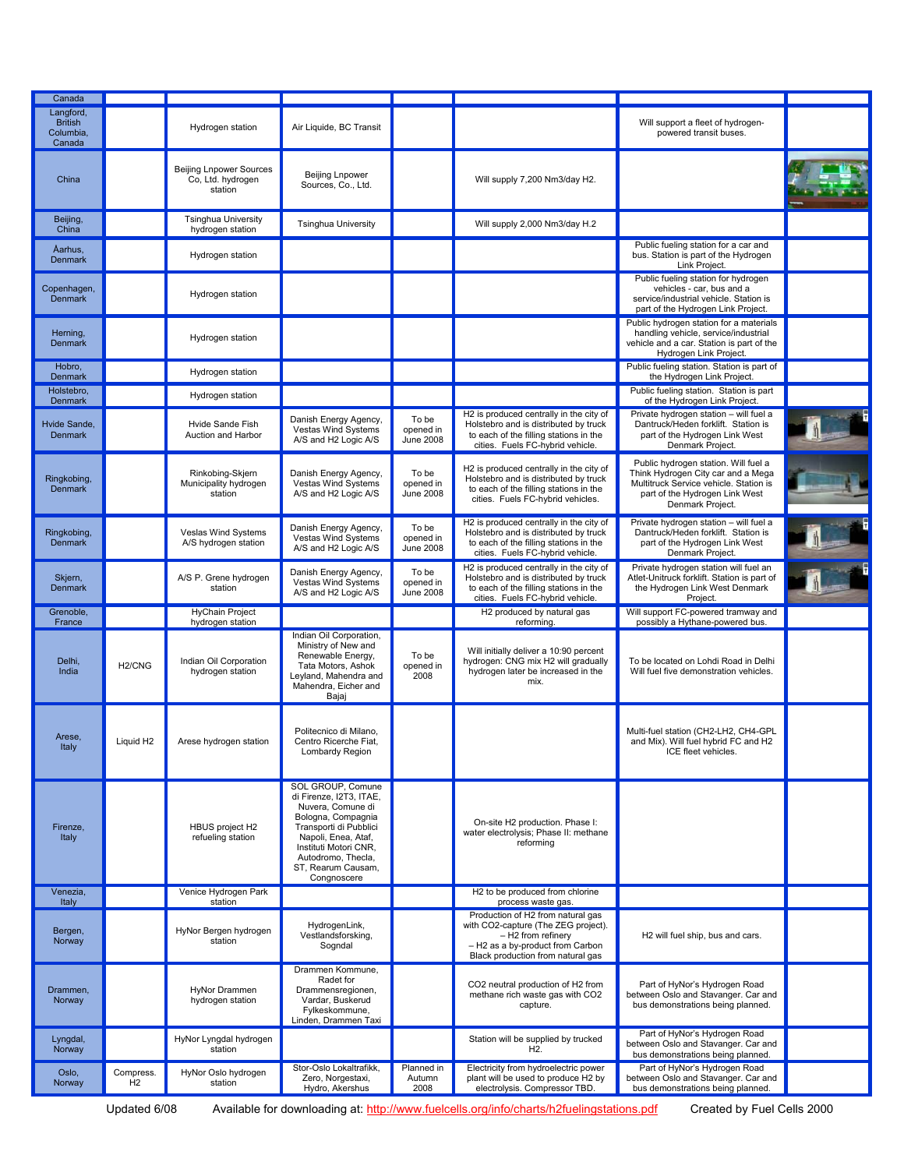| Langford,<br><b>British</b><br>Will support a fleet of hydrogen-<br>Air Liquide, BC Transit<br>Hydrogen station<br>Columbia,<br>powered transit buses.<br>Canada<br><b>Beijing Lnpower Sources</b><br>Beijing Lnpower<br>Co, Ltd. hydrogen<br>China<br>Will supply 7,200 Nm3/day H2.<br>Sources, Co., Ltd.<br>station<br><b>Tsinghua University</b><br>Beijing,<br><b>Tsinghua University</b><br>Will supply 2,000 Nm3/day H.2<br>China<br>hydrogen station<br>Public fueling station for a car and<br>Aarhus,<br>bus. Station is part of the Hydrogen<br>Hydrogen station<br><b>Denmark</b><br>Link Project.<br>Public fueling station for hydrogen<br>vehicles - car, bus and a<br>Copenhagen,<br>Hydrogen station<br>service/industrial vehicle. Station is<br><b>Denmark</b><br>part of the Hydrogen Link Project.<br>Public hydrogen station for a materials<br>handling vehicle, service/industrial<br>Herning,<br>Hydrogen station<br>vehicle and a car. Station is part of the<br><b>Denmark</b><br>Hydrogen Link Project.<br>Public fueling station. Station is part of<br>Hobro,<br>Hydrogen station<br>the Hydrogen Link Project.<br>Denmark<br>Public fueling station. Station is part<br>Holstebro,<br>Hydrogen station<br>of the Hydrogen Link Project.<br>Denmark<br>Private hydrogen station - will fuel a<br>H2 is produced centrally in the city of<br>Danish Energy Agency,<br>To be<br>Dantruck/Heden forklift. Station is<br>Hvide Sande,<br>Hvide Sande Fish<br>Holstebro and is distributed by truck<br>Vestas Wind Systems<br>opened in<br>to each of the filling stations in the<br>part of the Hydrogen Link West<br><b>Denmark</b><br>Auction and Harbor<br>June 2008<br>A/S and H2 Logic A/S<br>cities. Fuels FC-hybrid vehicle.<br>Denmark Project.<br>Public hydrogen station. Will fuel a<br>H2 is produced centrally in the city of<br>Think Hydrogen City car and a Mega<br>Rinkobing-Skjern<br>Danish Energy Agency,<br>To be<br>Holstebro and is distributed by truck<br>Ringkobing,<br>Vestas Wind Systems<br>Municipality hydrogen<br>opened in<br>Multitruck Service vehicle. Station is<br><b>Denmark</b><br>to each of the filling stations in the<br>A/S and H2 Logic A/S<br>June 2008<br>station<br>part of the Hydrogen Link West<br>cities. Fuels FC-hybrid vehicles.<br>Denmark Project.<br>Private hydrogen station - will fuel a<br>H2 is produced centrally in the city of<br>To be<br>Danish Energy Agency,<br>Veslas Wind Systems<br>Holstebro and is distributed by truck<br>Dantruck/Heden forklift. Station is<br>Ringkobing,<br>Vestas Wind Systems<br>opened in<br>A/S hydrogen station<br>to each of the filling stations in the<br>part of the Hydrogen Link West<br><b>Denmark</b><br>A/S and H2 Logic A/S<br>June 2008<br>cities. Fuels FC-hybrid vehicle.<br>Denmark Project.<br>H2 is produced centrally in the city of<br>Private hydrogen station will fuel an<br>Danish Energy Agency,<br>To be<br>Atlet-Unitruck forklift. Station is part of<br>Skjern,<br>A/S P. Grene hydrogen<br>Holstebro and is distributed by truck<br>Vestas Wind Systems<br>opened in<br><b>Denmark</b><br>station<br>to each of the filling stations in the<br>the Hydrogen Link West Denmark<br>A/S and H2 Logic A/S<br><b>June 2008</b><br>cities. Fuels FC-hybrid vehicle.<br>Project.<br><b>HyChain Project</b><br>Will support FC-powered tramway and<br>Grenoble,<br>H2 produced by natural gas<br>hydrogen station<br>possibly a Hythane-powered bus.<br>reforming.<br>France<br>Indian Oil Corporation,<br>Ministry of New and<br>Will initially deliver a 10:90 percent<br>Renewable Energy,<br>To be<br>Delhi,<br>Indian Oil Corporation<br>hydrogen: CNG mix H2 will gradually<br>To be located on Lohdi Road in Delhi<br>H <sub>2</sub> /CNG<br>Tata Motors, Ashok<br>opened in<br>hydrogen later be increased in the<br>India<br>hydrogen station<br>Will fuel five demonstration vehicles.<br>Leyland, Mahendra and<br>2008<br>mix.<br>Mahendra, Eicher and<br>Bajaj<br>Multi-fuel station (CH2-LH2, CH4-GPL<br>Politecnico di Milano,<br>Arese,<br>Liquid H <sub>2</sub><br>Arese hydrogen station<br>Centro Ricerche Fiat,<br>and Mix). Will fuel hybrid FC and H2<br>Italy<br>ICE fleet vehicles.<br>Lombardy Region<br>SOL GROUP, Comune<br>di Firenze, I2T3, ITAE,<br>Nuvera, Comune di<br>Bologna, Compagnia<br>On-site H2 production. Phase I:<br>Transporti di Pubblici<br>Firenze,<br>HBUS project H2<br>water electrolysis; Phase II: methane<br>Italy<br>refueling station<br>Napoli, Enea, Ataf,<br>reforming<br>Instituti Motori CNR,<br>Autodromo, Thecla,<br>ST, Rearum Causam,<br>Congnoscere<br>Venezia,<br>Venice Hydrogen Park<br>H2 to be produced from chlorine<br>station<br>Italy<br>process waste gas.<br>Production of H2 from natural gas<br>with CO2-capture (The ZEG project).<br>HydrogenLink,<br>HyNor Bergen hydrogen<br>Bergen,<br>Vestlandsforsking,<br>- H2 from refinery<br>H2 will fuel ship, bus and cars.<br>station<br>Norway<br>- H2 as a by-product from Carbon<br>Sogndal<br>Black production from natural gas<br>Drammen Kommune,<br>Radet for<br>CO2 neutral production of H2 from<br>Part of HyNor's Hydrogen Road<br>HyNor Drammen<br>Drammensregionen,<br>Drammen,<br>between Oslo and Stavanger. Car and<br>methane rich waste gas with CO2<br>Vardar, Buskerud<br>hydrogen station<br>Norway<br>bus demonstrations being planned.<br>capture.<br>Fylkeskommune,<br>Linden, Drammen Taxi<br>Part of HyNor's Hydrogen Road<br>Lyngdal,<br>HyNor Lyngdal hydrogen<br>Station will be supplied by trucked<br>between Oslo and Stavanger. Car and<br>H <sub>2</sub> .<br>Norway<br>station<br>bus demonstrations being planned.<br>Electricity from hydroelectric power<br>Part of HyNor's Hydrogen Road<br>Stor-Oslo Lokaltrafikk,<br>Planned in<br>Oslo,<br>Compress.<br>HyNor Oslo hydrogen<br>plant will be used to produce H2 by<br>between Oslo and Stavanger. Car and<br>Zero, Norgestaxi,<br>Autumn<br>H2<br>Norway<br>station<br>2008<br>Hydro, Akershus<br>electrolysis. Compressor TBD.<br>bus demonstrations being planned. |        |  |  |  |  |
|----------------------------------------------------------------------------------------------------------------------------------------------------------------------------------------------------------------------------------------------------------------------------------------------------------------------------------------------------------------------------------------------------------------------------------------------------------------------------------------------------------------------------------------------------------------------------------------------------------------------------------------------------------------------------------------------------------------------------------------------------------------------------------------------------------------------------------------------------------------------------------------------------------------------------------------------------------------------------------------------------------------------------------------------------------------------------------------------------------------------------------------------------------------------------------------------------------------------------------------------------------------------------------------------------------------------------------------------------------------------------------------------------------------------------------------------------------------------------------------------------------------------------------------------------------------------------------------------------------------------------------------------------------------------------------------------------------------------------------------------------------------------------------------------------------------------------------------------------------------------------------------------------------------------------------------------------------------------------------------------------------------------------------------------------------------------------------------------------------------------------------------------------------------------------------------------------------------------------------------------------------------------------------------------------------------------------------------------------------------------------------------------------------------------------------------------------------------------------------------------------------------------------------------------------------------------------------------------------------------------------------------------------------------------------------------------------------------------------------------------------------------------------------------------------------------------------------------------------------------------------------------------------------------------------------------------------------------------------------------------------------------------------------------------------------------------------------------------------------------------------------------------------------------------------------------------------------------------------------------------------------------------------------------------------------------------------------------------------------------------------------------------------------------------------------------------------------------------------------------------------------------------------------------------------------------------------------------------------------------------------------------------------------------------------------------------------------------------------------------------------------------------------------------------------------------------------------------------------------------------------------------------------------------------------------------------------------------------------------------------------------------------------------------------------------------------------------------------------------------------------------------------------------------------------------------------------------------------------------------------------------------------------------------------------------------------------------------------------------------------------------------------------------------------------------------------------------------------------------------------------------------------------------------------------------------------------------------------------------------------------------------------------------------------------------------------------------------------------------------------------------------------------------------------------------------------------------------------------------------------------------------------------------------------------------------------------------------------------------------------------------------------------------------------------------------------------------------------------------------------------------------------------------------------------------------------------------------------------------------------------------------------------------------------------------------------------------------------------------------------------------------------------------------------------------------------------------------------------------------------------------------------------------------------------------------------------------------------------------------------------------------------------------------------------------------------------------------------------------------------------------------------------------------------------------------------------------------------------------------------------------------------------------------------------------------------------------------------------------------------------------------------------------------------------------------------------------------------------------------------------------------------|--------|--|--|--|--|
|                                                                                                                                                                                                                                                                                                                                                                                                                                                                                                                                                                                                                                                                                                                                                                                                                                                                                                                                                                                                                                                                                                                                                                                                                                                                                                                                                                                                                                                                                                                                                                                                                                                                                                                                                                                                                                                                                                                                                                                                                                                                                                                                                                                                                                                                                                                                                                                                                                                                                                                                                                                                                                                                                                                                                                                                                                                                                                                                                                                                                                                                                                                                                                                                                                                                                                                                                                                                                                                                                                                                                                                                                                                                                                                                                                                                                                                                                                                                                                                                                                                                                                                                                                                                                                                                                                                                                                                                                                                                                                                                                                                                                                                                                                                                                                                                                                                                                                                                                                                                                                                                                                                                                                                                                                                                                                                                                                                                                                                                                                                                                                                                                                                                                                                                                                                                                                                                                                                                                                                                                                                                                                                                              | Canada |  |  |  |  |
|                                                                                                                                                                                                                                                                                                                                                                                                                                                                                                                                                                                                                                                                                                                                                                                                                                                                                                                                                                                                                                                                                                                                                                                                                                                                                                                                                                                                                                                                                                                                                                                                                                                                                                                                                                                                                                                                                                                                                                                                                                                                                                                                                                                                                                                                                                                                                                                                                                                                                                                                                                                                                                                                                                                                                                                                                                                                                                                                                                                                                                                                                                                                                                                                                                                                                                                                                                                                                                                                                                                                                                                                                                                                                                                                                                                                                                                                                                                                                                                                                                                                                                                                                                                                                                                                                                                                                                                                                                                                                                                                                                                                                                                                                                                                                                                                                                                                                                                                                                                                                                                                                                                                                                                                                                                                                                                                                                                                                                                                                                                                                                                                                                                                                                                                                                                                                                                                                                                                                                                                                                                                                                                                              |        |  |  |  |  |
|                                                                                                                                                                                                                                                                                                                                                                                                                                                                                                                                                                                                                                                                                                                                                                                                                                                                                                                                                                                                                                                                                                                                                                                                                                                                                                                                                                                                                                                                                                                                                                                                                                                                                                                                                                                                                                                                                                                                                                                                                                                                                                                                                                                                                                                                                                                                                                                                                                                                                                                                                                                                                                                                                                                                                                                                                                                                                                                                                                                                                                                                                                                                                                                                                                                                                                                                                                                                                                                                                                                                                                                                                                                                                                                                                                                                                                                                                                                                                                                                                                                                                                                                                                                                                                                                                                                                                                                                                                                                                                                                                                                                                                                                                                                                                                                                                                                                                                                                                                                                                                                                                                                                                                                                                                                                                                                                                                                                                                                                                                                                                                                                                                                                                                                                                                                                                                                                                                                                                                                                                                                                                                                                              |        |  |  |  |  |
|                                                                                                                                                                                                                                                                                                                                                                                                                                                                                                                                                                                                                                                                                                                                                                                                                                                                                                                                                                                                                                                                                                                                                                                                                                                                                                                                                                                                                                                                                                                                                                                                                                                                                                                                                                                                                                                                                                                                                                                                                                                                                                                                                                                                                                                                                                                                                                                                                                                                                                                                                                                                                                                                                                                                                                                                                                                                                                                                                                                                                                                                                                                                                                                                                                                                                                                                                                                                                                                                                                                                                                                                                                                                                                                                                                                                                                                                                                                                                                                                                                                                                                                                                                                                                                                                                                                                                                                                                                                                                                                                                                                                                                                                                                                                                                                                                                                                                                                                                                                                                                                                                                                                                                                                                                                                                                                                                                                                                                                                                                                                                                                                                                                                                                                                                                                                                                                                                                                                                                                                                                                                                                                                              |        |  |  |  |  |
|                                                                                                                                                                                                                                                                                                                                                                                                                                                                                                                                                                                                                                                                                                                                                                                                                                                                                                                                                                                                                                                                                                                                                                                                                                                                                                                                                                                                                                                                                                                                                                                                                                                                                                                                                                                                                                                                                                                                                                                                                                                                                                                                                                                                                                                                                                                                                                                                                                                                                                                                                                                                                                                                                                                                                                                                                                                                                                                                                                                                                                                                                                                                                                                                                                                                                                                                                                                                                                                                                                                                                                                                                                                                                                                                                                                                                                                                                                                                                                                                                                                                                                                                                                                                                                                                                                                                                                                                                                                                                                                                                                                                                                                                                                                                                                                                                                                                                                                                                                                                                                                                                                                                                                                                                                                                                                                                                                                                                                                                                                                                                                                                                                                                                                                                                                                                                                                                                                                                                                                                                                                                                                                                              |        |  |  |  |  |
|                                                                                                                                                                                                                                                                                                                                                                                                                                                                                                                                                                                                                                                                                                                                                                                                                                                                                                                                                                                                                                                                                                                                                                                                                                                                                                                                                                                                                                                                                                                                                                                                                                                                                                                                                                                                                                                                                                                                                                                                                                                                                                                                                                                                                                                                                                                                                                                                                                                                                                                                                                                                                                                                                                                                                                                                                                                                                                                                                                                                                                                                                                                                                                                                                                                                                                                                                                                                                                                                                                                                                                                                                                                                                                                                                                                                                                                                                                                                                                                                                                                                                                                                                                                                                                                                                                                                                                                                                                                                                                                                                                                                                                                                                                                                                                                                                                                                                                                                                                                                                                                                                                                                                                                                                                                                                                                                                                                                                                                                                                                                                                                                                                                                                                                                                                                                                                                                                                                                                                                                                                                                                                                                              |        |  |  |  |  |
|                                                                                                                                                                                                                                                                                                                                                                                                                                                                                                                                                                                                                                                                                                                                                                                                                                                                                                                                                                                                                                                                                                                                                                                                                                                                                                                                                                                                                                                                                                                                                                                                                                                                                                                                                                                                                                                                                                                                                                                                                                                                                                                                                                                                                                                                                                                                                                                                                                                                                                                                                                                                                                                                                                                                                                                                                                                                                                                                                                                                                                                                                                                                                                                                                                                                                                                                                                                                                                                                                                                                                                                                                                                                                                                                                                                                                                                                                                                                                                                                                                                                                                                                                                                                                                                                                                                                                                                                                                                                                                                                                                                                                                                                                                                                                                                                                                                                                                                                                                                                                                                                                                                                                                                                                                                                                                                                                                                                                                                                                                                                                                                                                                                                                                                                                                                                                                                                                                                                                                                                                                                                                                                                              |        |  |  |  |  |
|                                                                                                                                                                                                                                                                                                                                                                                                                                                                                                                                                                                                                                                                                                                                                                                                                                                                                                                                                                                                                                                                                                                                                                                                                                                                                                                                                                                                                                                                                                                                                                                                                                                                                                                                                                                                                                                                                                                                                                                                                                                                                                                                                                                                                                                                                                                                                                                                                                                                                                                                                                                                                                                                                                                                                                                                                                                                                                                                                                                                                                                                                                                                                                                                                                                                                                                                                                                                                                                                                                                                                                                                                                                                                                                                                                                                                                                                                                                                                                                                                                                                                                                                                                                                                                                                                                                                                                                                                                                                                                                                                                                                                                                                                                                                                                                                                                                                                                                                                                                                                                                                                                                                                                                                                                                                                                                                                                                                                                                                                                                                                                                                                                                                                                                                                                                                                                                                                                                                                                                                                                                                                                                                              |        |  |  |  |  |
|                                                                                                                                                                                                                                                                                                                                                                                                                                                                                                                                                                                                                                                                                                                                                                                                                                                                                                                                                                                                                                                                                                                                                                                                                                                                                                                                                                                                                                                                                                                                                                                                                                                                                                                                                                                                                                                                                                                                                                                                                                                                                                                                                                                                                                                                                                                                                                                                                                                                                                                                                                                                                                                                                                                                                                                                                                                                                                                                                                                                                                                                                                                                                                                                                                                                                                                                                                                                                                                                                                                                                                                                                                                                                                                                                                                                                                                                                                                                                                                                                                                                                                                                                                                                                                                                                                                                                                                                                                                                                                                                                                                                                                                                                                                                                                                                                                                                                                                                                                                                                                                                                                                                                                                                                                                                                                                                                                                                                                                                                                                                                                                                                                                                                                                                                                                                                                                                                                                                                                                                                                                                                                                                              |        |  |  |  |  |
|                                                                                                                                                                                                                                                                                                                                                                                                                                                                                                                                                                                                                                                                                                                                                                                                                                                                                                                                                                                                                                                                                                                                                                                                                                                                                                                                                                                                                                                                                                                                                                                                                                                                                                                                                                                                                                                                                                                                                                                                                                                                                                                                                                                                                                                                                                                                                                                                                                                                                                                                                                                                                                                                                                                                                                                                                                                                                                                                                                                                                                                                                                                                                                                                                                                                                                                                                                                                                                                                                                                                                                                                                                                                                                                                                                                                                                                                                                                                                                                                                                                                                                                                                                                                                                                                                                                                                                                                                                                                                                                                                                                                                                                                                                                                                                                                                                                                                                                                                                                                                                                                                                                                                                                                                                                                                                                                                                                                                                                                                                                                                                                                                                                                                                                                                                                                                                                                                                                                                                                                                                                                                                                                              |        |  |  |  |  |
|                                                                                                                                                                                                                                                                                                                                                                                                                                                                                                                                                                                                                                                                                                                                                                                                                                                                                                                                                                                                                                                                                                                                                                                                                                                                                                                                                                                                                                                                                                                                                                                                                                                                                                                                                                                                                                                                                                                                                                                                                                                                                                                                                                                                                                                                                                                                                                                                                                                                                                                                                                                                                                                                                                                                                                                                                                                                                                                                                                                                                                                                                                                                                                                                                                                                                                                                                                                                                                                                                                                                                                                                                                                                                                                                                                                                                                                                                                                                                                                                                                                                                                                                                                                                                                                                                                                                                                                                                                                                                                                                                                                                                                                                                                                                                                                                                                                                                                                                                                                                                                                                                                                                                                                                                                                                                                                                                                                                                                                                                                                                                                                                                                                                                                                                                                                                                                                                                                                                                                                                                                                                                                                                              |        |  |  |  |  |
|                                                                                                                                                                                                                                                                                                                                                                                                                                                                                                                                                                                                                                                                                                                                                                                                                                                                                                                                                                                                                                                                                                                                                                                                                                                                                                                                                                                                                                                                                                                                                                                                                                                                                                                                                                                                                                                                                                                                                                                                                                                                                                                                                                                                                                                                                                                                                                                                                                                                                                                                                                                                                                                                                                                                                                                                                                                                                                                                                                                                                                                                                                                                                                                                                                                                                                                                                                                                                                                                                                                                                                                                                                                                                                                                                                                                                                                                                                                                                                                                                                                                                                                                                                                                                                                                                                                                                                                                                                                                                                                                                                                                                                                                                                                                                                                                                                                                                                                                                                                                                                                                                                                                                                                                                                                                                                                                                                                                                                                                                                                                                                                                                                                                                                                                                                                                                                                                                                                                                                                                                                                                                                                                              |        |  |  |  |  |
|                                                                                                                                                                                                                                                                                                                                                                                                                                                                                                                                                                                                                                                                                                                                                                                                                                                                                                                                                                                                                                                                                                                                                                                                                                                                                                                                                                                                                                                                                                                                                                                                                                                                                                                                                                                                                                                                                                                                                                                                                                                                                                                                                                                                                                                                                                                                                                                                                                                                                                                                                                                                                                                                                                                                                                                                                                                                                                                                                                                                                                                                                                                                                                                                                                                                                                                                                                                                                                                                                                                                                                                                                                                                                                                                                                                                                                                                                                                                                                                                                                                                                                                                                                                                                                                                                                                                                                                                                                                                                                                                                                                                                                                                                                                                                                                                                                                                                                                                                                                                                                                                                                                                                                                                                                                                                                                                                                                                                                                                                                                                                                                                                                                                                                                                                                                                                                                                                                                                                                                                                                                                                                                                              |        |  |  |  |  |
|                                                                                                                                                                                                                                                                                                                                                                                                                                                                                                                                                                                                                                                                                                                                                                                                                                                                                                                                                                                                                                                                                                                                                                                                                                                                                                                                                                                                                                                                                                                                                                                                                                                                                                                                                                                                                                                                                                                                                                                                                                                                                                                                                                                                                                                                                                                                                                                                                                                                                                                                                                                                                                                                                                                                                                                                                                                                                                                                                                                                                                                                                                                                                                                                                                                                                                                                                                                                                                                                                                                                                                                                                                                                                                                                                                                                                                                                                                                                                                                                                                                                                                                                                                                                                                                                                                                                                                                                                                                                                                                                                                                                                                                                                                                                                                                                                                                                                                                                                                                                                                                                                                                                                                                                                                                                                                                                                                                                                                                                                                                                                                                                                                                                                                                                                                                                                                                                                                                                                                                                                                                                                                                                              |        |  |  |  |  |
|                                                                                                                                                                                                                                                                                                                                                                                                                                                                                                                                                                                                                                                                                                                                                                                                                                                                                                                                                                                                                                                                                                                                                                                                                                                                                                                                                                                                                                                                                                                                                                                                                                                                                                                                                                                                                                                                                                                                                                                                                                                                                                                                                                                                                                                                                                                                                                                                                                                                                                                                                                                                                                                                                                                                                                                                                                                                                                                                                                                                                                                                                                                                                                                                                                                                                                                                                                                                                                                                                                                                                                                                                                                                                                                                                                                                                                                                                                                                                                                                                                                                                                                                                                                                                                                                                                                                                                                                                                                                                                                                                                                                                                                                                                                                                                                                                                                                                                                                                                                                                                                                                                                                                                                                                                                                                                                                                                                                                                                                                                                                                                                                                                                                                                                                                                                                                                                                                                                                                                                                                                                                                                                                              |        |  |  |  |  |
|                                                                                                                                                                                                                                                                                                                                                                                                                                                                                                                                                                                                                                                                                                                                                                                                                                                                                                                                                                                                                                                                                                                                                                                                                                                                                                                                                                                                                                                                                                                                                                                                                                                                                                                                                                                                                                                                                                                                                                                                                                                                                                                                                                                                                                                                                                                                                                                                                                                                                                                                                                                                                                                                                                                                                                                                                                                                                                                                                                                                                                                                                                                                                                                                                                                                                                                                                                                                                                                                                                                                                                                                                                                                                                                                                                                                                                                                                                                                                                                                                                                                                                                                                                                                                                                                                                                                                                                                                                                                                                                                                                                                                                                                                                                                                                                                                                                                                                                                                                                                                                                                                                                                                                                                                                                                                                                                                                                                                                                                                                                                                                                                                                                                                                                                                                                                                                                                                                                                                                                                                                                                                                                                              |        |  |  |  |  |
|                                                                                                                                                                                                                                                                                                                                                                                                                                                                                                                                                                                                                                                                                                                                                                                                                                                                                                                                                                                                                                                                                                                                                                                                                                                                                                                                                                                                                                                                                                                                                                                                                                                                                                                                                                                                                                                                                                                                                                                                                                                                                                                                                                                                                                                                                                                                                                                                                                                                                                                                                                                                                                                                                                                                                                                                                                                                                                                                                                                                                                                                                                                                                                                                                                                                                                                                                                                                                                                                                                                                                                                                                                                                                                                                                                                                                                                                                                                                                                                                                                                                                                                                                                                                                                                                                                                                                                                                                                                                                                                                                                                                                                                                                                                                                                                                                                                                                                                                                                                                                                                                                                                                                                                                                                                                                                                                                                                                                                                                                                                                                                                                                                                                                                                                                                                                                                                                                                                                                                                                                                                                                                                                              |        |  |  |  |  |
|                                                                                                                                                                                                                                                                                                                                                                                                                                                                                                                                                                                                                                                                                                                                                                                                                                                                                                                                                                                                                                                                                                                                                                                                                                                                                                                                                                                                                                                                                                                                                                                                                                                                                                                                                                                                                                                                                                                                                                                                                                                                                                                                                                                                                                                                                                                                                                                                                                                                                                                                                                                                                                                                                                                                                                                                                                                                                                                                                                                                                                                                                                                                                                                                                                                                                                                                                                                                                                                                                                                                                                                                                                                                                                                                                                                                                                                                                                                                                                                                                                                                                                                                                                                                                                                                                                                                                                                                                                                                                                                                                                                                                                                                                                                                                                                                                                                                                                                                                                                                                                                                                                                                                                                                                                                                                                                                                                                                                                                                                                                                                                                                                                                                                                                                                                                                                                                                                                                                                                                                                                                                                                                                              |        |  |  |  |  |
|                                                                                                                                                                                                                                                                                                                                                                                                                                                                                                                                                                                                                                                                                                                                                                                                                                                                                                                                                                                                                                                                                                                                                                                                                                                                                                                                                                                                                                                                                                                                                                                                                                                                                                                                                                                                                                                                                                                                                                                                                                                                                                                                                                                                                                                                                                                                                                                                                                                                                                                                                                                                                                                                                                                                                                                                                                                                                                                                                                                                                                                                                                                                                                                                                                                                                                                                                                                                                                                                                                                                                                                                                                                                                                                                                                                                                                                                                                                                                                                                                                                                                                                                                                                                                                                                                                                                                                                                                                                                                                                                                                                                                                                                                                                                                                                                                                                                                                                                                                                                                                                                                                                                                                                                                                                                                                                                                                                                                                                                                                                                                                                                                                                                                                                                                                                                                                                                                                                                                                                                                                                                                                                                              |        |  |  |  |  |
|                                                                                                                                                                                                                                                                                                                                                                                                                                                                                                                                                                                                                                                                                                                                                                                                                                                                                                                                                                                                                                                                                                                                                                                                                                                                                                                                                                                                                                                                                                                                                                                                                                                                                                                                                                                                                                                                                                                                                                                                                                                                                                                                                                                                                                                                                                                                                                                                                                                                                                                                                                                                                                                                                                                                                                                                                                                                                                                                                                                                                                                                                                                                                                                                                                                                                                                                                                                                                                                                                                                                                                                                                                                                                                                                                                                                                                                                                                                                                                                                                                                                                                                                                                                                                                                                                                                                                                                                                                                                                                                                                                                                                                                                                                                                                                                                                                                                                                                                                                                                                                                                                                                                                                                                                                                                                                                                                                                                                                                                                                                                                                                                                                                                                                                                                                                                                                                                                                                                                                                                                                                                                                                                              |        |  |  |  |  |
|                                                                                                                                                                                                                                                                                                                                                                                                                                                                                                                                                                                                                                                                                                                                                                                                                                                                                                                                                                                                                                                                                                                                                                                                                                                                                                                                                                                                                                                                                                                                                                                                                                                                                                                                                                                                                                                                                                                                                                                                                                                                                                                                                                                                                                                                                                                                                                                                                                                                                                                                                                                                                                                                                                                                                                                                                                                                                                                                                                                                                                                                                                                                                                                                                                                                                                                                                                                                                                                                                                                                                                                                                                                                                                                                                                                                                                                                                                                                                                                                                                                                                                                                                                                                                                                                                                                                                                                                                                                                                                                                                                                                                                                                                                                                                                                                                                                                                                                                                                                                                                                                                                                                                                                                                                                                                                                                                                                                                                                                                                                                                                                                                                                                                                                                                                                                                                                                                                                                                                                                                                                                                                                                              |        |  |  |  |  |